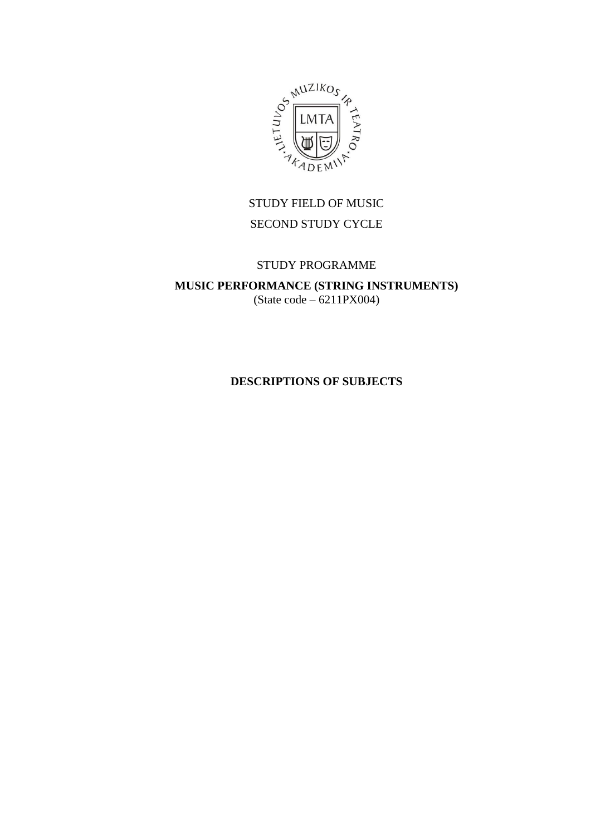

# STUDY FIELD OF MUSIC SECOND STUDY CYCLE

# STUDY PROGRAMME

**MUSIC PERFORMANCE (STRING INSTRUMENTS)** (State code – 6211PX004)

# **DESCRIPTIONS OF SUBJECTS**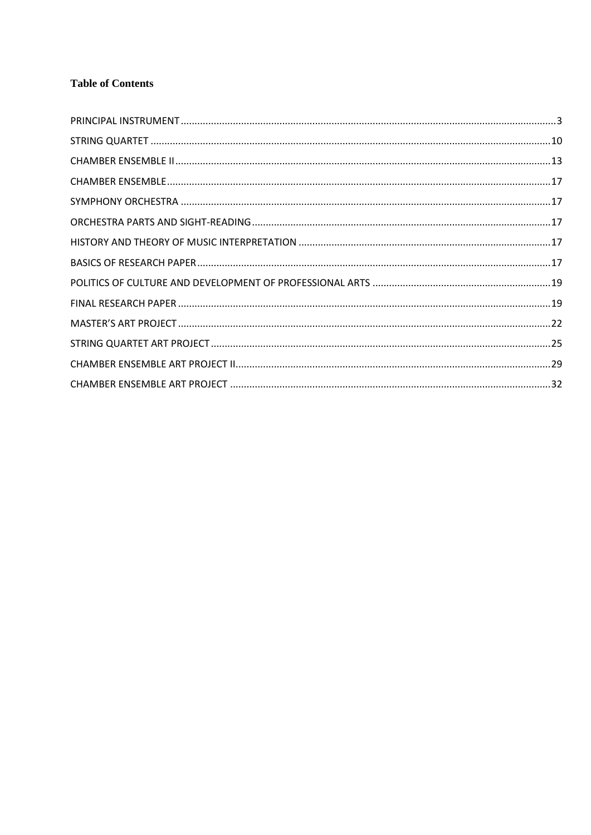# **Table of Contents**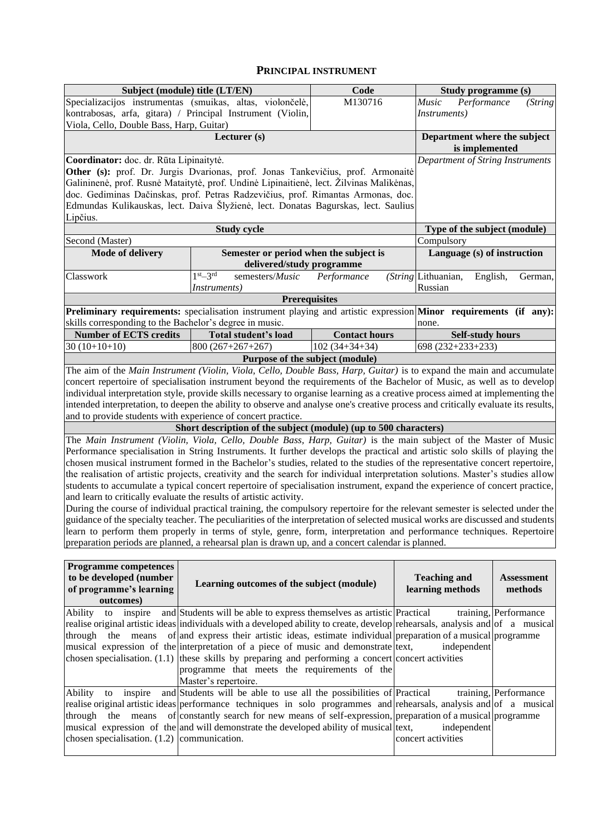#### **PRINCIPAL INSTRUMENT**

<span id="page-2-0"></span>

|                                                         | Subject (module) title (LT/EN)                                                                                                    | Code                                                                                                                |                       | Study programme (s)                        |                       |  |  |
|---------------------------------------------------------|-----------------------------------------------------------------------------------------------------------------------------------|---------------------------------------------------------------------------------------------------------------------|-----------------------|--------------------------------------------|-----------------------|--|--|
|                                                         | Specializacijos instrumentas (smuikas, altas, violončelė,                                                                         | M130716                                                                                                             |                       | Performance<br>Music                       | (String               |  |  |
|                                                         | kontrabosas, arfa, gitara) / Principal Instrument (Violin,                                                                        |                                                                                                                     |                       | <i>Instruments</i> )                       |                       |  |  |
|                                                         | Viola, Cello, Double Bass, Harp, Guitar)                                                                                          |                                                                                                                     |                       |                                            |                       |  |  |
|                                                         | Department where the subject                                                                                                      |                                                                                                                     |                       |                                            |                       |  |  |
|                                                         |                                                                                                                                   |                                                                                                                     |                       | is implemented                             |                       |  |  |
| Coordinator: doc. dr. Rūta Lipinaitytė.                 |                                                                                                                                   |                                                                                                                     |                       | Department of String Instruments           |                       |  |  |
|                                                         | Other (s): prof. Dr. Jurgis Dvarionas, prof. Jonas Tankevičius, prof. Armonaitė                                                   |                                                                                                                     |                       |                                            |                       |  |  |
|                                                         | Galininenė, prof. Rusnė Mataitytė, prof. Undinė Lipinaitienė, lect. Žilvinas Malikėnas,                                           |                                                                                                                     |                       |                                            |                       |  |  |
|                                                         | doc. Gediminas Dačinskas, prof. Petras Radzevičius, prof. Rimantas Armonas, doc.                                                  |                                                                                                                     |                       |                                            |                       |  |  |
|                                                         | Edmundas Kulikauskas, lect. Daiva Šlyžienė, lect. Donatas Bagurskas, lect. Saulius                                                |                                                                                                                     |                       |                                            |                       |  |  |
| Lipčius.                                                |                                                                                                                                   |                                                                                                                     |                       |                                            |                       |  |  |
|                                                         | <b>Study cycle</b>                                                                                                                |                                                                                                                     |                       | Type of the subject (module)<br>Compulsory |                       |  |  |
| Second (Master)<br>Mode of delivery                     | Semester or period when the subject is                                                                                            |                                                                                                                     |                       | Language (s) of instruction                |                       |  |  |
|                                                         | delivered/study programme                                                                                                         |                                                                                                                     |                       |                                            |                       |  |  |
| Classwork                                               | $1st-3rd$<br>semesters/Music                                                                                                      | Performance                                                                                                         |                       | (String Lithuanian,<br>English,            | German,               |  |  |
|                                                         | Instruments)                                                                                                                      |                                                                                                                     |                       | Russian                                    |                       |  |  |
|                                                         | <b>Prerequisites</b>                                                                                                              |                                                                                                                     |                       |                                            |                       |  |  |
|                                                         | <b>Preliminary requirements:</b> specialisation instrument playing and artistic expression <b>Minor</b> requirements (if any):    |                                                                                                                     |                       |                                            |                       |  |  |
| skills corresponding to the Bachelor's degree in music. |                                                                                                                                   |                                                                                                                     |                       | none.                                      |                       |  |  |
| <b>Number of ECTS credits</b>                           | Total student's load                                                                                                              | <b>Contact hours</b>                                                                                                |                       | <b>Self-study hours</b>                    |                       |  |  |
| $30(10+10+10)$                                          | 800 (267+267+267)                                                                                                                 | $102(34+34+34)$                                                                                                     |                       | 698 (232+233+233)                          |                       |  |  |
|                                                         | Purpose of the subject (module)                                                                                                   |                                                                                                                     |                       |                                            |                       |  |  |
|                                                         | The aim of the Main Instrument (Violin, Viola, Cello, Double Bass, Harp, Guitar) is to expand the main and accumulate             |                                                                                                                     |                       |                                            |                       |  |  |
|                                                         | concert repertoire of specialisation instrument beyond the requirements of the Bachelor of Music, as well as to develop           |                                                                                                                     |                       |                                            |                       |  |  |
|                                                         | individual interpretation style, provide skills necessary to organise learning as a creative process aimed at implementing the    |                                                                                                                     |                       |                                            |                       |  |  |
|                                                         | intended interpretation, to deepen the ability to observe and analyse one's creative process and critically evaluate its results, |                                                                                                                     |                       |                                            |                       |  |  |
|                                                         | and to provide students with experience of concert practice.                                                                      |                                                                                                                     |                       |                                            |                       |  |  |
|                                                         | Short description of the subject (module) (up to 500 characters)                                                                  |                                                                                                                     |                       |                                            |                       |  |  |
|                                                         | The Main Instrument (Violin, Viola, Cello, Double Bass, Harp, Guitar) is the main subject of the Master of Music                  |                                                                                                                     |                       |                                            |                       |  |  |
|                                                         | Performance specialisation in String Instruments. It further develops the practical and artistic solo skills of playing the       |                                                                                                                     |                       |                                            |                       |  |  |
|                                                         | chosen musical instrument formed in the Bachelor's studies, related to the studies of the representative concert repertoire,      |                                                                                                                     |                       |                                            |                       |  |  |
|                                                         | the realisation of artistic projects, creativity and the search for individual interpretation solutions. Master's studies allow   |                                                                                                                     |                       |                                            |                       |  |  |
|                                                         | students to accumulate a typical concert repertoire of specialisation instrument, expand the experience of concert practice,      |                                                                                                                     |                       |                                            |                       |  |  |
|                                                         | and learn to critically evaluate the results of artistic activity.                                                                |                                                                                                                     |                       |                                            |                       |  |  |
|                                                         | During the course of individual practical training, the compulsory repertoire for the relevant semester is selected under the     |                                                                                                                     |                       |                                            |                       |  |  |
|                                                         | guidance of the specialty teacher. The peculiarities of the interpretation of selected musical works are discussed and students   |                                                                                                                     |                       |                                            |                       |  |  |
|                                                         | learn to perform them properly in terms of style, genre, form, interpretation and performance techniques. Repertoire              |                                                                                                                     |                       |                                            |                       |  |  |
|                                                         | preparation periods are planned, a rehearsal plan is drawn up, and a concert calendar is planned.                                 |                                                                                                                     |                       |                                            |                       |  |  |
|                                                         |                                                                                                                                   |                                                                                                                     |                       |                                            |                       |  |  |
| <b>Programme competences</b>                            |                                                                                                                                   |                                                                                                                     |                       |                                            |                       |  |  |
| to be developed (number                                 |                                                                                                                                   |                                                                                                                     |                       | <b>Teaching and</b>                        | <b>Assessment</b>     |  |  |
| of programme's learning                                 | Learning outcomes of the subject (module)                                                                                         |                                                                                                                     |                       | learning methods                           | methods               |  |  |
| outcomes)                                               |                                                                                                                                   |                                                                                                                     |                       |                                            |                       |  |  |
| Ability<br>inspire<br>to                                | and Students will be able to express themselves as artistic Practical                                                             |                                                                                                                     |                       |                                            | training, Performance |  |  |
|                                                         | realise original artistic ideas individuals with a developed ability to create, develop rehearsals, analysis and of a musical     |                                                                                                                     |                       |                                            |                       |  |  |
|                                                         | through the means of and express their artistic ideas, estimate individual preparation of a musical programme                     |                                                                                                                     |                       |                                            |                       |  |  |
|                                                         | musical expression of the interpretation of a piece of music and demonstrate text,                                                |                                                                                                                     |                       | independent                                |                       |  |  |
|                                                         | chosen specialisation. $(1.1)$ these skills by preparing and performing a concert concert activities                              |                                                                                                                     |                       |                                            |                       |  |  |
|                                                         | programme that meets the requirements of the                                                                                      |                                                                                                                     |                       |                                            |                       |  |  |
|                                                         | Master's repertoire.                                                                                                              |                                                                                                                     |                       |                                            |                       |  |  |
| Ability to<br>inspire                                   | and Students will be able to use all the possibilities of Practical                                                               |                                                                                                                     | training, Performance |                                            |                       |  |  |
|                                                         |                                                                                                                                   | realise original artistic ideas performance techniques in solo programmes and rehearsals, analysis and of a musical |                       |                                            |                       |  |  |
| through<br>the means                                    | of constantly search for new means of self-expression, preparation of a musical programme                                         |                                                                                                                     |                       |                                            |                       |  |  |
|                                                         | musical expression of the and will demonstrate the developed ability of musical ltext,                                            |                                                                                                                     |                       | independent                                |                       |  |  |
| chosen specialisation. $(1.2)$ communication.           |                                                                                                                                   |                                                                                                                     |                       | concert activities                         |                       |  |  |
|                                                         |                                                                                                                                   |                                                                                                                     |                       |                                            |                       |  |  |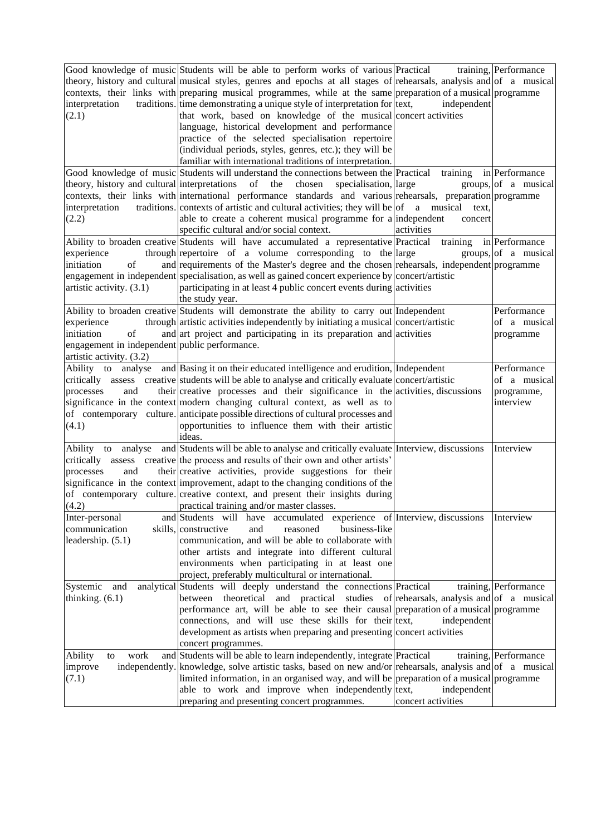|                                               | Good knowledge of music Students will be able to perform works of various Practical                                   |                         | training, Performance |
|-----------------------------------------------|-----------------------------------------------------------------------------------------------------------------------|-------------------------|-----------------------|
|                                               | theory, history and cultural musical styles, genres and epochs at all stages of rehearsals, analysis and of a musical |                         |                       |
|                                               | contexts, their links with preparing musical programmes, while at the same preparation of a musical programme         |                         |                       |
| interpretation                                | traditions. time demonstrating a unique style of interpretation for text,                                             | independent             |                       |
| (2.1)                                         | that work, based on knowledge of the musical concert activities                                                       |                         |                       |
|                                               | language, historical development and performance                                                                      |                         |                       |
|                                               | practice of the selected specialisation repertoire                                                                    |                         |                       |
|                                               | (individual periods, styles, genres, etc.); they will be                                                              |                         |                       |
|                                               | familiar with international traditions of interpretation.                                                             |                         |                       |
|                                               | Good knowledge of music Students will understand the connections between the Practical                                | training                | in Performance        |
|                                               | theory, history and cultural interpretations of the chosen<br>specialisation, large                                   |                         | groups, of a musical  |
|                                               | contexts, their links with international performance standards and various rehearsals, preparation programme          |                         |                       |
| interpretation                                | traditions. contexts of artistic and cultural activities; they will be $ $ of a musical text,                         |                         |                       |
| (2.2)                                         | able to create a coherent musical programme for a independent                                                         | concert                 |                       |
|                                               | specific cultural and/or social context.                                                                              | activities              |                       |
|                                               | Ability to broaden creative Students will have accumulated a representative Practical                                 | training in Performance |                       |
| experience                                    | through repertoire of a volume corresponding to the large                                                             |                         | groups, of a musical  |
| of<br>initiation                              | and requirements of the Master's degree and the chosen rehearsals, independent programme                              |                         |                       |
|                                               | engagement in independent specialisation, as well as gained concert experience by concert/artistic                    |                         |                       |
| artistic activity. (3.1)                      | participating in at least 4 public concert events during activities                                                   |                         |                       |
|                                               | the study year.                                                                                                       |                         |                       |
|                                               | Ability to broaden creative Students will demonstrate the ability to carry out Independent                            |                         | Performance           |
|                                               |                                                                                                                       |                         |                       |
| experience                                    | through artistic activities independently by initiating a musical concert/artistic                                    |                         | of a musical          |
| initiation<br>of                              | and art project and participating in its preparation and activities                                                   |                         | programme             |
| engagement in independent public performance. |                                                                                                                       |                         |                       |
| artistic activity. (3.2)                      |                                                                                                                       |                         |                       |
| Ability to                                    | analyse and Basing it on their educated intelligence and erudition, Independent                                       |                         | Performance           |
|                                               | critically assess creative students will be able to analyse and critically evaluate concert/artistic                  |                         | of a musical          |
| processes<br>and                              | their creative processes and their significance in the activities, discussions                                        |                         | programme,            |
|                                               | significance in the context modern changing cultural context, as well as to                                           |                         | interview             |
|                                               | of contemporary culture. anticipate possible directions of cultural processes and                                     |                         |                       |
| (4.1)                                         | opportunities to influence them with their artistic                                                                   |                         |                       |
|                                               | ideas.                                                                                                                |                         |                       |
|                                               | Ability to analyse and Students will be able to analyse and critically evaluate Interview, discussions                |                         | Interview             |
|                                               | critically assess creative the process and results of their own and other artists'                                    |                         |                       |
| and<br>processes                              | their creative activities, provide suggestions for their                                                              |                         |                       |
|                                               | significance in the context improvement, adapt to the changing conditions of the                                      |                         |                       |
|                                               | of contemporary culture. creative context, and present their insights during                                          |                         |                       |
| (4.2)                                         | practical training and/or master classes.                                                                             |                         |                       |
| Inter-personal                                | accumulated experience of Interview, discussions<br>and Students will have                                            |                         | Interview             |
| communication                                 | skills, constructive<br>and<br>reasoned<br>business-like                                                              |                         |                       |
| leadership. $(5.1)$                           | communication, and will be able to collaborate with                                                                   |                         |                       |
|                                               | other artists and integrate into different cultural                                                                   |                         |                       |
|                                               | environments when participating in at least one                                                                       |                         |                       |
|                                               | project, preferably multicultural or international.                                                                   |                         |                       |
| Systemic<br>and                               | analytical Students will deeply understand the connections Practical                                                  |                         | training, Performance |
| thinking. $(6.1)$                             | between theoretical<br>and practical studies of rehearsals, analysis and of a musical                                 |                         |                       |
|                                               | performance art, will be able to see their causal preparation of a musical programme                                  |                         |                       |
|                                               | connections, and will use these skills for their text,                                                                | independent             |                       |
|                                               | development as artists when preparing and presenting concert activities                                               |                         |                       |
|                                               | concert programmes.                                                                                                   |                         |                       |
| work<br>Ability<br>to                         | and Students will be able to learn independently, integrate Practical                                                 |                         | training, Performance |
| improve                                       | independently. knowledge, solve artistic tasks, based on new and/or rehearsals, analysis and of a musical             |                         |                       |
| (7.1)                                         | limited information, in an organised way, and will be preparation of a musical programme                              |                         |                       |
|                                               | able to work and improve when independently text,                                                                     | independent             |                       |
|                                               | preparing and presenting concert programmes.                                                                          | concert activities      |                       |
|                                               |                                                                                                                       |                         |                       |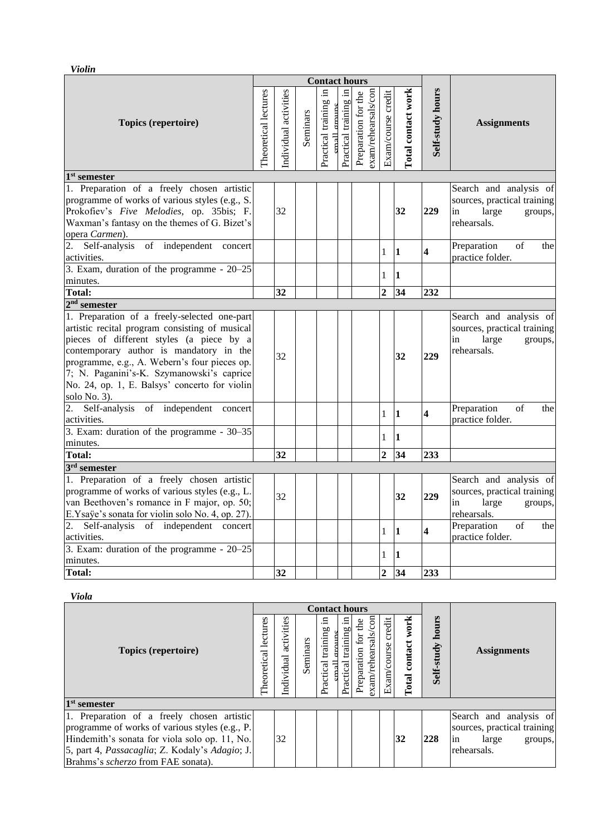*Violin* 

|                                                                                                                                                                                                                                                                                                                                                     |                      |                      |          | <b>Contact hours</b>                  |                       |                     |                     |                     |                    |                                |                                                                                                                                                |
|-----------------------------------------------------------------------------------------------------------------------------------------------------------------------------------------------------------------------------------------------------------------------------------------------------------------------------------------------------|----------------------|----------------------|----------|---------------------------------------|-----------------------|---------------------|---------------------|---------------------|--------------------|--------------------------------|------------------------------------------------------------------------------------------------------------------------------------------------|
| <b>Topics (repertoire)</b>                                                                                                                                                                                                                                                                                                                          | Theoretical lectures | ndividual activities | Seminars | Practical training in<br>cmall groups | Practical training in | Preparation for the | exam/rehearsals/con | Exam/course credit  | Total contact work | Self-study hours               | <b>Assignments</b>                                                                                                                             |
| $1st$ semester                                                                                                                                                                                                                                                                                                                                      |                      |                      |          |                                       |                       |                     |                     |                     |                    |                                |                                                                                                                                                |
| 1. Preparation of a freely chosen artistic<br>programme of works of various styles (e.g., S.<br>Prokofiev's Five Melodies, op. 35bis; F.<br>Waxman's fantasy on the themes of G. Bizet's<br>opera Carmen).                                                                                                                                          |                      | 32                   |          |                                       |                       |                     |                     |                     | 32                 | 229                            | Search and analysis of<br>sources, practical training<br>large<br>in<br>groups,<br>rehearsals.                                                 |
| 2.<br>Self-analysis of independent concert<br>activities.                                                                                                                                                                                                                                                                                           |                      |                      |          |                                       |                       |                     |                     | $\mathbf{1}$        | $\mathbf{1}$       | $\overline{\mathbf{4}}$        | Preparation<br>of<br>the<br>practice folder.                                                                                                   |
| 3. Exam, duration of the programme - 20–25<br>minutes.                                                                                                                                                                                                                                                                                              |                      |                      |          |                                       |                       |                     |                     | $\mathbf{1}$        | $\mathbf{1}$       |                                |                                                                                                                                                |
| <b>Total:</b>                                                                                                                                                                                                                                                                                                                                       |                      | $\overline{32}$      |          |                                       |                       |                     |                     | $\overline{2}$      | 34                 | 232                            |                                                                                                                                                |
| $2nd$ semester                                                                                                                                                                                                                                                                                                                                      |                      |                      |          |                                       |                       |                     |                     |                     |                    |                                |                                                                                                                                                |
| 1. Preparation of a freely-selected one-part<br>artistic recital program consisting of musical<br>pieces of different styles (a piece by a<br>contemporary author is mandatory in the<br>programme, e.g., A. Webern's four pieces op.<br>7; N. Paganini's-K. Szymanowski's caprice<br>No. 24, op. 1, E. Balsys' concerto for violin<br>solo No. 3). |                      | 32                   |          |                                       |                       |                     |                     |                     | 32                 | 229                            | Search and analysis of<br>sources, practical training<br>large<br>in<br>groups,<br>rehearsals.                                                 |
| 2. Self-analysis of independent concert<br>activities.                                                                                                                                                                                                                                                                                              |                      |                      |          |                                       |                       |                     |                     | $\mathbf{1}$        | $\mathbf{1}$       | 4                              | Preparation<br>of<br>the<br>practice folder.                                                                                                   |
| 3. Exam: duration of the programme - $30-35$<br>minutes.                                                                                                                                                                                                                                                                                            |                      |                      |          |                                       |                       |                     |                     | $\mathbf{1}$        | $\mathbf{1}$       |                                |                                                                                                                                                |
| Total:                                                                                                                                                                                                                                                                                                                                              |                      | 32                   |          |                                       |                       |                     |                     | $\overline{2}$      | 34                 | 233                            |                                                                                                                                                |
| $3rd$ semester<br>1. Preparation of a freely chosen artistic<br>programme of works of various styles (e.g., L.<br>van Beethoven's romance in F major, op. 50;<br>E.Ysaÿe's sonata for violin solo No. 4, op. 27).<br>Self-analysis of independent concert<br>2.                                                                                     |                      | 32                   |          |                                       |                       |                     |                     | $\mathbf{1}$        | 32<br>$\mathbf{1}$ | 229<br>$\overline{\mathbf{4}}$ | Search and analysis of<br>sources, practical training<br>large<br>in<br>groups,<br>rehearsals.<br>Preparation<br>of<br>the<br>practice folder. |
| activities.<br>3. Exam: duration of the programme - 20-25<br>minutes.<br><b>Total:</b>                                                                                                                                                                                                                                                              |                      | 32                   |          |                                       |                       |                     |                     | 1<br>$\overline{2}$ | $\mathbf{1}$<br>34 | 233                            |                                                                                                                                                |

#### *Viola*

|                                                                                                                                                                                                                                       |                         |                          |          | <b>Contact hours</b>             |                             |                               |                    |                    |                     |                                                                                                |  |
|---------------------------------------------------------------------------------------------------------------------------------------------------------------------------------------------------------------------------------------|-------------------------|--------------------------|----------|----------------------------------|-----------------------------|-------------------------------|--------------------|--------------------|---------------------|------------------------------------------------------------------------------------------------|--|
| <b>Topics (repertoire)</b>                                                                                                                                                                                                            | lectures<br>Theoretical | activities<br>Individual | Seminars | .드<br>training<br>Practical<br>둬 | .日<br>training<br>Practical | exam/rehearsals<br>reparation | Exam/course credit | Total contact work | hours<br>Self-study | <b>Assignments</b>                                                                             |  |
| $1st$ semester                                                                                                                                                                                                                        |                         |                          |          |                                  |                             |                               |                    |                    |                     |                                                                                                |  |
| 1. Preparation of a freely chosen artistic<br>programme of works of various styles (e.g., P.<br>Hindemith's sonata for viola solo op. 11, No.<br>5, part 4, Passacaglia; Z. Kodaly's Adagio; J.<br>Brahms's scherzo from FAE sonata). |                         | 32                       |          |                                  |                             |                               |                    | 32                 | 228                 | Search and analysis of<br>sources, practical training<br>in<br>large<br>groups,<br>rehearsals. |  |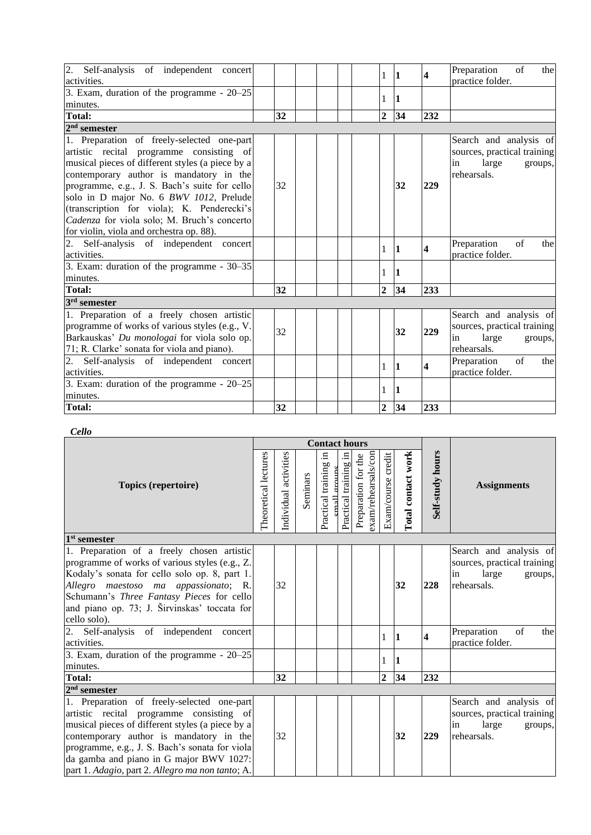| 2. Self-analysis of independent concert<br>activities. |    |  | 1              | $ 1\rangle$ | $\overline{\mathbf{4}}$ | $\sigma$ f<br>Preparation<br>the<br>practice folder. |
|--------------------------------------------------------|----|--|----------------|-------------|-------------------------|------------------------------------------------------|
| 3. Exam, duration of the programme - $20-25$           |    |  | 1              | 11          |                         |                                                      |
| minutes.                                               |    |  |                |             |                         |                                                      |
| <b>Total:</b>                                          | 32 |  | $\overline{2}$ | 34          | 232                     |                                                      |
| $2nd$ semester                                         |    |  |                |             |                         |                                                      |
| 1. Preparation of freely-selected one-part             |    |  |                |             |                         | Search and analysis of                               |
| artistic recital programme consisting of               |    |  |                |             |                         | sources, practical training                          |
| musical pieces of different styles (a piece by a       |    |  |                |             |                         | large<br>in<br>groups,                               |
| contemporary author is mandatory in the                |    |  |                |             |                         | rehearsals.                                          |
| programme, e.g., J. S. Bach's suite for cello          | 32 |  |                | 32          | 229                     |                                                      |
| solo in D major No. 6 BWV 1012, Prelude                |    |  |                |             |                         |                                                      |
| (transcription for viola); K. Penderecki's             |    |  |                |             |                         |                                                      |
| Cadenza for viola solo; M. Bruch's concerto            |    |  |                |             |                         |                                                      |
| for violin, viola and orchestra op. 88).               |    |  |                |             |                         |                                                      |
| 2. Self-analysis of independent concert                |    |  | 1              | 11          | 4                       | of<br>Preparation<br>the                             |
| activities.                                            |    |  |                |             |                         | practice folder.                                     |
| 3. Exam: duration of the programme - 30–35             |    |  | 1              | $\vert$ 1   |                         |                                                      |
| minutes.                                               |    |  |                |             |                         |                                                      |
| <b>Total:</b>                                          | 32 |  | $\overline{2}$ | 34          | 233                     |                                                      |
| $3rd$ semester                                         |    |  |                |             |                         |                                                      |
| 1. Preparation of a freely chosen artistic             |    |  |                |             |                         | Search and analysis of                               |
| programme of works of various styles (e.g., V.         | 32 |  |                | 32          | 229                     | sources, practical training                          |
| Barkauskas' Du monologai for viola solo op.            |    |  |                |             |                         | large<br>in<br>groups,                               |
| 71; R. Clarke' sonata for viola and piano).            |    |  |                |             |                         | rehearsals.                                          |
| 2. Self-analysis of independent concert                |    |  | 1              | $\vert$ 1   | 4                       | Preparation<br>of<br>the                             |
| activities.                                            |    |  |                |             |                         | practice folder.                                     |
| 3. Exam: duration of the programme - $20-25$           |    |  | 1              | 1           |                         |                                                      |
| minutes.                                               |    |  |                |             |                         |                                                      |
| <b>Total:</b>                                          | 32 |  | $\overline{2}$ | 34          | 233                     |                                                      |

### *Cello*

|                                                                                                                                                                                                                                                                                                                                        |                      |                       |          | <b>Contact hours</b>                |                          |                                            |                    |                    |                         |                                                                                                |
|----------------------------------------------------------------------------------------------------------------------------------------------------------------------------------------------------------------------------------------------------------------------------------------------------------------------------------------|----------------------|-----------------------|----------|-------------------------------------|--------------------------|--------------------------------------------|--------------------|--------------------|-------------------------|------------------------------------------------------------------------------------------------|
| <b>Topics (repertoire)</b>                                                                                                                                                                                                                                                                                                             | Theoretical lectures | Individual activities | Seminars | $\Xi$<br>Practical training<br>nall | .日<br>Practical training | exam/rehearsals/con<br>Preparation for the | Exam/course credit | Total contact work | Self-study hours        | <b>Assignments</b>                                                                             |
| $\overline{1^{st}}$ semester                                                                                                                                                                                                                                                                                                           |                      |                       |          |                                     |                          |                                            |                    |                    |                         |                                                                                                |
| 1. Preparation of a freely chosen artistic<br>programme of works of various styles (e.g., Z.<br>Kodaly's sonata for cello solo op. 8, part 1.<br>Allegro maestoso ma appassionato; R.<br>Schumann's Three Fantasy Pieces for cello<br>and piano op. 73; J. Širvinskas' toccata for<br>cello solo).                                     |                      | 32                    |          |                                     |                          |                                            |                    | 32                 | 228                     | Search and analysis of<br>sources, practical training<br>large<br>groups,<br>in<br>rehearsals. |
| 2. Self-analysis of independent concert<br>activities.                                                                                                                                                                                                                                                                                 |                      |                       |          |                                     |                          |                                            | 1                  | $ 1\rangle$        | $\overline{\mathbf{4}}$ | of<br>Preparation<br>the<br>practice folder.                                                   |
| 3. Exam, duration of the programme - $20-25$<br>minutes.                                                                                                                                                                                                                                                                               |                      |                       |          |                                     |                          |                                            |                    | $\vert$ 1          |                         |                                                                                                |
| <b>Total:</b>                                                                                                                                                                                                                                                                                                                          |                      | 32                    |          |                                     |                          |                                            | $\overline{2}$     | 34                 | 232                     |                                                                                                |
| $2nd$ semester                                                                                                                                                                                                                                                                                                                         |                      |                       |          |                                     |                          |                                            |                    |                    |                         |                                                                                                |
| 1. Preparation of freely-selected one-part<br>artistic recital programme consisting of<br>musical pieces of different styles (a piece by a<br>contemporary author is mandatory in the<br>programme, e.g., J. S. Bach's sonata for viola<br>da gamba and piano in G major BWV 1027:<br>part 1. Adagio, part 2. Allegro ma non tanto; A. |                      | 32                    |          |                                     |                          |                                            |                    | 32                 | 229                     | Search and analysis of<br>sources, practical training<br>large<br>groups,<br>in<br>rehearsals. |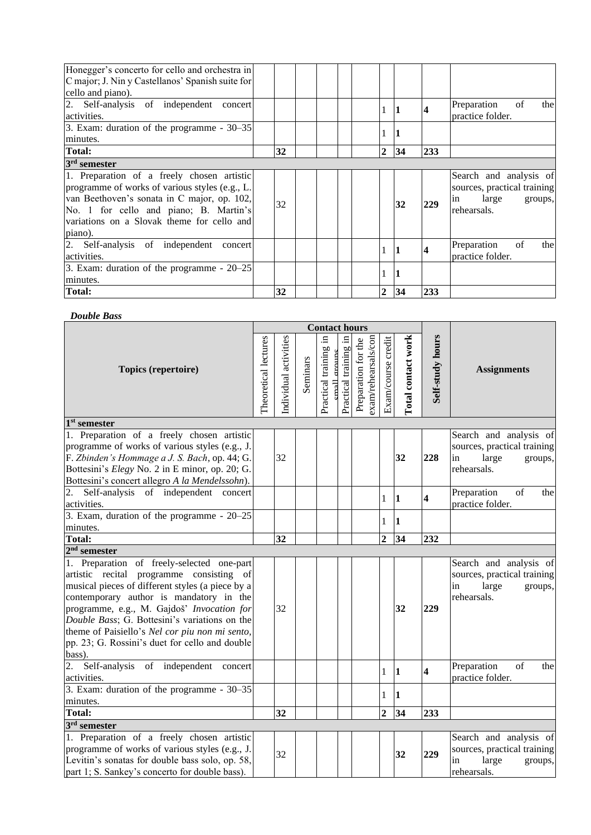| Honegger's concerto for cello and orchestra in<br>C major; J. Nin y Castellanos' Spanish suite for<br>cello and piano).                                                                                                                        |    |  |                |    |     |                                                                                                |
|------------------------------------------------------------------------------------------------------------------------------------------------------------------------------------------------------------------------------------------------|----|--|----------------|----|-----|------------------------------------------------------------------------------------------------|
| 2. Self-analysis of independent concert<br>activities.                                                                                                                                                                                         |    |  |                |    |     | of<br>Preparation<br>the<br>practice folder.                                                   |
| 3. Exam: duration of the programme $-30-35$<br>minutes.                                                                                                                                                                                        |    |  |                |    |     |                                                                                                |
| <b>Total:</b>                                                                                                                                                                                                                                  | 32 |  | $\overline{2}$ | 34 | 233 |                                                                                                |
| 3 <sup>rd</sup> semester                                                                                                                                                                                                                       |    |  |                |    |     |                                                                                                |
| 1. Preparation of a freely chosen artistic<br>programme of works of various styles (e.g., L.<br>van Beethoven's sonata in C major, op. 102,<br>No. 1 for cello and piano; B. Martin's<br>variations on a Slovak theme for cello and<br>piano). | 32 |  |                | 32 | 229 | Search and analysis of<br>sources, practical training<br>large<br>in<br>groups,<br>rehearsals. |
| 2. Self-analysis of independent concert<br>activities.                                                                                                                                                                                         |    |  |                |    |     | of<br>Preparation<br>the<br>practice folder.                                                   |
| 3. Exam: duration of the programme - $20-25$<br>minutes.                                                                                                                                                                                       |    |  |                |    |     |                                                                                                |
| <b>Total:</b>                                                                                                                                                                                                                                  | 32 |  | $\mathbf{2}$   | 34 | 233 |                                                                                                |

#### *Double Bass*

|                                                       |                      |                       |          | <b>Contact hours</b>                     |                       |                                            |                    |                    |                         |                             |
|-------------------------------------------------------|----------------------|-----------------------|----------|------------------------------------------|-----------------------|--------------------------------------------|--------------------|--------------------|-------------------------|-----------------------------|
| <b>Topics (repertoire)</b>                            | Theoretical lectures | Individual activities | Seminars | Щ.<br>Practical training<br>cmall crouns | Practical training in | exam/rehearsals/con<br>Preparation for the | Exam/course credit | Total contact work | Self-study hours        | <b>Assignments</b>          |
| $1st$ semester                                        |                      |                       |          |                                          |                       |                                            |                    |                    |                         |                             |
| 1. Preparation of a freely chosen artistic            |                      |                       |          |                                          |                       |                                            |                    |                    |                         | Search and analysis of      |
| programme of works of various styles (e.g., J.        |                      |                       |          |                                          |                       |                                            |                    |                    |                         | sources, practical training |
| F. Zbinden's Hommage a J. S. Bach, op. 44; G.         |                      | 32                    |          |                                          |                       |                                            |                    | 32                 | 228                     | large<br>in<br>groups,      |
| Bottesini's <i>Elegy</i> No. 2 in E minor, op. 20; G. |                      |                       |          |                                          |                       |                                            |                    |                    |                         | rehearsals.                 |
| Bottesini's concert allegro A la Mendelssohn).        |                      |                       |          |                                          |                       |                                            |                    |                    |                         |                             |
| 2.<br>Self-analysis of independent concert            |                      |                       |          |                                          |                       |                                            | 1                  | 1                  | $\overline{\mathbf{4}}$ | Preparation<br>of<br>the    |
| activities.                                           |                      |                       |          |                                          |                       |                                            |                    |                    |                         | practice folder.            |
| 3. Exam, duration of the programme - 20–25            |                      |                       |          |                                          |                       |                                            | $\mathbf{1}$       | $\mathbf{1}$       |                         |                             |
| minutes.                                              |                      |                       |          |                                          |                       |                                            |                    |                    |                         |                             |
| <b>Total:</b>                                         |                      | $\overline{32}$       |          |                                          |                       |                                            | $\overline{2}$     | $\overline{34}$    | 232                     |                             |
| $2nd$ semester                                        |                      |                       |          |                                          |                       |                                            |                    |                    |                         |                             |
| 1. Preparation of freely-selected one-part            |                      |                       |          |                                          |                       |                                            |                    |                    |                         | Search and analysis of      |
| artistic recital programme consisting of              |                      |                       |          |                                          |                       |                                            |                    |                    |                         | sources, practical training |
| musical pieces of different styles (a piece by a      |                      |                       |          |                                          |                       |                                            |                    |                    |                         | large<br>in<br>groups,      |
| contemporary author is mandatory in the               |                      |                       |          |                                          |                       |                                            |                    |                    |                         | rehearsals.                 |
| programme, e.g., M. Gajdoš' Invocation for            |                      | 32                    |          |                                          |                       |                                            |                    | 32                 | 229                     |                             |
| Double Bass; G. Bottesini's variations on the         |                      |                       |          |                                          |                       |                                            |                    |                    |                         |                             |
| theme of Paisiello's Nel cor piu non mi sento,        |                      |                       |          |                                          |                       |                                            |                    |                    |                         |                             |
| pp. 23; G. Rossini's duet for cello and double        |                      |                       |          |                                          |                       |                                            |                    |                    |                         |                             |
| bass).                                                |                      |                       |          |                                          |                       |                                            |                    |                    |                         |                             |
| 2.<br>Self-analysis of independent concert            |                      |                       |          |                                          |                       |                                            | 1                  | $\mathbf{1}$       | $\overline{\mathbf{4}}$ | Preparation<br>of<br>the    |
| activities.                                           |                      |                       |          |                                          |                       |                                            |                    |                    |                         | practice folder.            |
| 3. Exam: duration of the programme - 30–35            |                      |                       |          |                                          |                       |                                            | 1                  | 1                  |                         |                             |
| minutes.                                              |                      |                       |          |                                          |                       |                                            |                    |                    |                         |                             |
| <b>Total:</b>                                         |                      | 32                    |          |                                          |                       |                                            | $\overline{2}$     | 34                 | 233                     |                             |
| $3rd$ semester                                        |                      |                       |          |                                          |                       |                                            |                    |                    |                         |                             |
| 1. Preparation of a freely chosen artistic            |                      |                       |          |                                          |                       |                                            |                    |                    |                         | Search and analysis of      |
| programme of works of various styles (e.g., J.        |                      | 32                    |          |                                          |                       |                                            |                    | 32                 | 229                     | sources, practical training |
| Levitin's sonatas for double bass solo, op. 58,       |                      |                       |          |                                          |                       |                                            |                    |                    |                         | large<br>in<br>groups,      |
| part 1; S. Sankey's concerto for double bass).        |                      |                       |          |                                          |                       |                                            |                    |                    |                         | rehearsals.                 |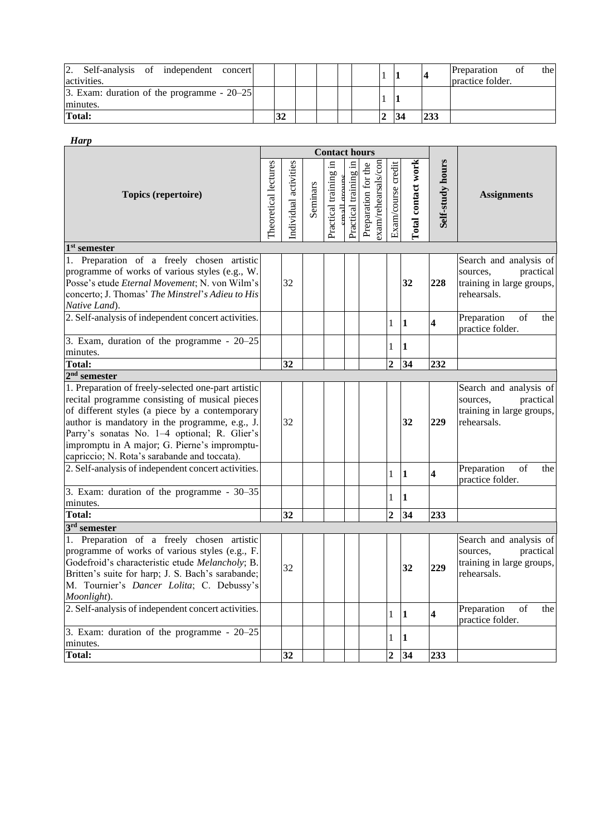| 2.<br>Self-analysis of independent<br>concert<br>activities. |    |  |  |  |     | the l<br>Preparation<br>ОT<br>practice folder. |
|--------------------------------------------------------------|----|--|--|--|-----|------------------------------------------------|
| 3. Exam: duration of the programme $-20-25$<br>minutes.      |    |  |  |  |     |                                                |
| Total:                                                       | 32 |  |  |  | 233 |                                                |

|--|

|                                                                                                                                                                                                                                                                                                                                                           |                      |                       |          | <b>Contact hours</b>                 |                       |                                            |                     |                           |                         |                                                                                             |
|-----------------------------------------------------------------------------------------------------------------------------------------------------------------------------------------------------------------------------------------------------------------------------------------------------------------------------------------------------------|----------------------|-----------------------|----------|--------------------------------------|-----------------------|--------------------------------------------|---------------------|---------------------------|-------------------------|---------------------------------------------------------------------------------------------|
| Topics (repertoire)                                                                                                                                                                                                                                                                                                                                       | Theoretical lectures | Individual activities | Seminars | Practical training in<br>mall croune | Practical training in | exam/rehearsals/con<br>Preparation for the | Exam/course credit  | <b>Total contact work</b> | Self-study hours        | <b>Assignments</b>                                                                          |
| $1st$ semester                                                                                                                                                                                                                                                                                                                                            |                      |                       |          |                                      |                       |                                            |                     |                           |                         |                                                                                             |
| 1. Preparation of a freely chosen artistic<br>programme of works of various styles (e.g., W.<br>Posse's etude Eternal Movement; N. von Wilm's<br>concerto; J. Thomas' The Minstrel's Adieu to His<br>Native Land).                                                                                                                                        |                      | 32                    |          |                                      |                       |                                            |                     | 32                        | 228                     | Search and analysis of<br>practical<br>sources.<br>training in large groups,<br>rehearsals. |
| 2. Self-analysis of independent concert activities.                                                                                                                                                                                                                                                                                                       |                      |                       |          |                                      |                       |                                            | $\mathbf{1}$        | $\vert$ 1                 | $\overline{\mathbf{4}}$ | Preparation<br>of<br>the<br>practice folder.                                                |
| $\overline{3}$ . Exam, duration of the programme - 20-25<br>minutes.                                                                                                                                                                                                                                                                                      |                      |                       |          |                                      |                       |                                            | 1                   | 1                         |                         |                                                                                             |
| Total:                                                                                                                                                                                                                                                                                                                                                    |                      | $\overline{32}$       |          |                                      |                       |                                            | $\overline{2}$      | $\overline{34}$           | 232                     |                                                                                             |
| $2nd$ semester                                                                                                                                                                                                                                                                                                                                            |                      |                       |          |                                      |                       |                                            |                     |                           |                         |                                                                                             |
| 1. Preparation of freely-selected one-part artistic<br>recital programme consisting of musical pieces<br>of different styles (a piece by a contemporary<br>author is mandatory in the programme, e.g., J.<br>Parry's sonatas No. 1-4 optional; R. Glier's<br>impromptu in A major; G. Pierne's impromptu-<br>capriccio; N. Rota's sarabande and toccata). |                      | 32                    |          |                                      |                       |                                            |                     | 32                        | 229                     | Search and analysis of<br>sources,<br>practical<br>training in large groups,<br>rehearsals. |
| 2. Self-analysis of independent concert activities.                                                                                                                                                                                                                                                                                                       |                      |                       |          |                                      |                       |                                            | $\mathbf{1}$        | $\vert$ 1                 | $\overline{\mathbf{4}}$ | Preparation<br>of<br>the<br>practice folder.                                                |
| 3. Exam: duration of the programme - 30–35<br>minutes.                                                                                                                                                                                                                                                                                                    |                      |                       |          |                                      |                       |                                            | $\mathbf{1}$        | 11                        |                         |                                                                                             |
| <b>Total:</b>                                                                                                                                                                                                                                                                                                                                             |                      | 32                    |          |                                      |                       |                                            | $\overline{2}$      | 34                        | 233                     |                                                                                             |
| $3rd$ semester<br>1. Preparation of a freely chosen artistic<br>programme of works of various styles (e.g., F.<br>Godefroid's characteristic etude Melancholy; B.<br>Britten's suite for harp; J. S. Bach's sarabande;<br>M. Tournier's Dancer Lolita; C. Debussy's<br>Moonlight).                                                                        |                      | 32                    |          |                                      |                       |                                            |                     | 32                        | 229                     | Search and analysis of<br>sources,<br>practical<br>training in large groups,<br>rehearsals. |
| 2. Self-analysis of independent concert activities.                                                                                                                                                                                                                                                                                                       |                      |                       |          |                                      |                       |                                            | $\mathbf{1}$        | 1                         | $\overline{\mathbf{4}}$ | Preparation<br>of<br>the<br>practice folder.                                                |
| 3. Exam: duration of the programme - 20-25<br>minutes.<br>Total:                                                                                                                                                                                                                                                                                          |                      | 32                    |          |                                      |                       |                                            | 1<br>$\overline{2}$ | $\bf{1}$<br>34            | 233                     |                                                                                             |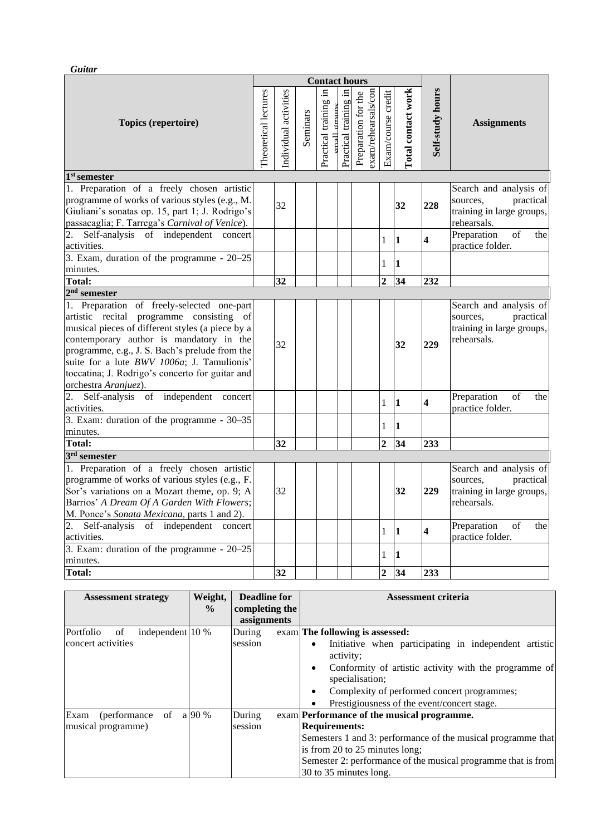*Guitar*

|                                                                                                                                                                                                                                                                                                                                                                     | <b>Contact hours</b> |                       |          |                                      |                       |                                            |                                |                           |                         |                                                                                             |
|---------------------------------------------------------------------------------------------------------------------------------------------------------------------------------------------------------------------------------------------------------------------------------------------------------------------------------------------------------------------|----------------------|-----------------------|----------|--------------------------------------|-----------------------|--------------------------------------------|--------------------------------|---------------------------|-------------------------|---------------------------------------------------------------------------------------------|
| Topics (repertoire)                                                                                                                                                                                                                                                                                                                                                 | Theoretical lectures | Individual activities | Seminars | Practical training in<br>mall croups | Practical training in | exam/rehearsals/con<br>Preparation for the | Exam/course credit             | <b>Total contact work</b> | Self-study hours        | <b>Assignments</b>                                                                          |
| $1st$ semester                                                                                                                                                                                                                                                                                                                                                      |                      |                       |          |                                      |                       |                                            |                                |                           |                         |                                                                                             |
| 1. Preparation of a freely chosen artistic<br>programme of works of various styles (e.g., M.<br>Giuliani's sonatas op. 15, part 1; J. Rodrigo's<br>passacaglia; F. Tarrega's Carnival of Venice).                                                                                                                                                                   |                      | 32                    |          |                                      |                       |                                            |                                | 32                        | 228                     | Search and analysis of<br>practical<br>sources,<br>training in large groups,<br>rehearsals. |
| 2. Self-analysis of independent concert<br>activities.                                                                                                                                                                                                                                                                                                              |                      |                       |          |                                      |                       |                                            | 1                              | 11                        | $\overline{\mathbf{4}}$ | of<br>Preparation<br>the<br>practice folder.                                                |
| 3. Exam, duration of the programme - 20-25<br>minutes.                                                                                                                                                                                                                                                                                                              |                      |                       |          |                                      |                       |                                            | 1                              | 1                         |                         |                                                                                             |
| <b>Total:</b>                                                                                                                                                                                                                                                                                                                                                       |                      | 32                    |          |                                      |                       |                                            | $\overline{2}$                 | 34                        | 232                     |                                                                                             |
| $2nd$ semester                                                                                                                                                                                                                                                                                                                                                      |                      |                       |          |                                      |                       |                                            |                                |                           |                         |                                                                                             |
| 1. Preparation of freely-selected one-part<br>artistic recital programme consisting<br>of<br>musical pieces of different styles (a piece by a<br>contemporary author is mandatory in the<br>programme, e.g., J. S. Bach's prelude from the<br>suite for a lute BWV 1006a; J. Tamulionis'<br>toccatina; J. Rodrigo's concerto for guitar and<br>orchestra Aranjuez). |                      | 32                    |          |                                      |                       |                                            |                                | 32                        | 229                     | Search and analysis of<br>practical<br>sources.<br>training in large groups,<br>rehearsals. |
| 2. Self-analysis of independent concert<br>activities.                                                                                                                                                                                                                                                                                                              |                      |                       |          |                                      |                       |                                            | $\mathbf{1}$                   | 11                        | $\overline{\mathbf{4}}$ | Preparation<br>of<br>the<br>practice folder.                                                |
| 3. Exam: duration of the programme - 30–35<br>minutes.                                                                                                                                                                                                                                                                                                              |                      |                       |          |                                      |                       |                                            | $\mathbf{1}$                   | $\bf{1}$                  |                         |                                                                                             |
| <b>Total:</b>                                                                                                                                                                                                                                                                                                                                                       |                      | 32                    |          |                                      |                       |                                            | $\overline{2}$                 | 34                        | 233                     |                                                                                             |
| $3rd$ semester                                                                                                                                                                                                                                                                                                                                                      |                      |                       |          |                                      |                       |                                            |                                |                           |                         |                                                                                             |
| 1. Preparation of a freely chosen artistic<br>programme of works of various styles (e.g., F.<br>Sor's variations on a Mozart theme, op. 9; A<br>Barrios' A Dream Of A Garden With Flowers;<br>M. Ponce's Sonata Mexicana, parts 1 and 2).                                                                                                                           |                      | 32                    |          |                                      |                       |                                            |                                | 32                        | 229                     | Search and analysis of<br>practical<br>sources,<br>training in large groups,<br>rehearsals. |
| 2. Self-analysis of independent<br>concert<br>activities.                                                                                                                                                                                                                                                                                                           |                      |                       |          |                                      |                       |                                            | $\mathbf{1}$                   | 1                         | $\overline{\mathbf{4}}$ | Preparation<br>of<br>the<br>practice folder.                                                |
| 3. Exam: duration of the programme - 20-25<br>minutes.<br><b>Total:</b>                                                                                                                                                                                                                                                                                             |                      | 32                    |          |                                      |                       |                                            | $\mathbf{1}$<br>$\overline{2}$ | 1 <br>34                  | 233                     |                                                                                             |
|                                                                                                                                                                                                                                                                                                                                                                     |                      |                       |          |                                      |                       |                                            |                                |                           |                         |                                                                                             |

| <b>Assessment strategy</b>          | Weight,       | <b>Deadline for</b> | <b>Assessment criteria</b>                                                      |
|-------------------------------------|---------------|---------------------|---------------------------------------------------------------------------------|
|                                     | $\frac{0}{0}$ | completing the      |                                                                                 |
|                                     |               | assignments         |                                                                                 |
| Portfolio<br>independent 10 %<br>of |               | During              | exam The following is assessed:                                                 |
| concert activities                  |               | session             | Initiative when participating in independent artistic<br>$\bullet$<br>activity: |
|                                     |               |                     | Conformity of artistic activity with the programme of<br>specialisation;        |
|                                     |               |                     | Complexity of performed concert programmes;<br>٠                                |
|                                     |               |                     | Prestigiousness of the event/concert stage.                                     |
| (performance of<br>Exam             | a 90 %        | During              | exam Performance of the musical programme.                                      |
| musical programme)                  |               | session             | <b>Requirements:</b>                                                            |
|                                     |               |                     | Semesters 1 and 3: performance of the musical programme that                    |
|                                     |               |                     | is from 20 to 25 minutes long;                                                  |
|                                     |               |                     | Semester 2: performance of the musical programme that is from                   |
|                                     |               |                     | 30 to 35 minutes long.                                                          |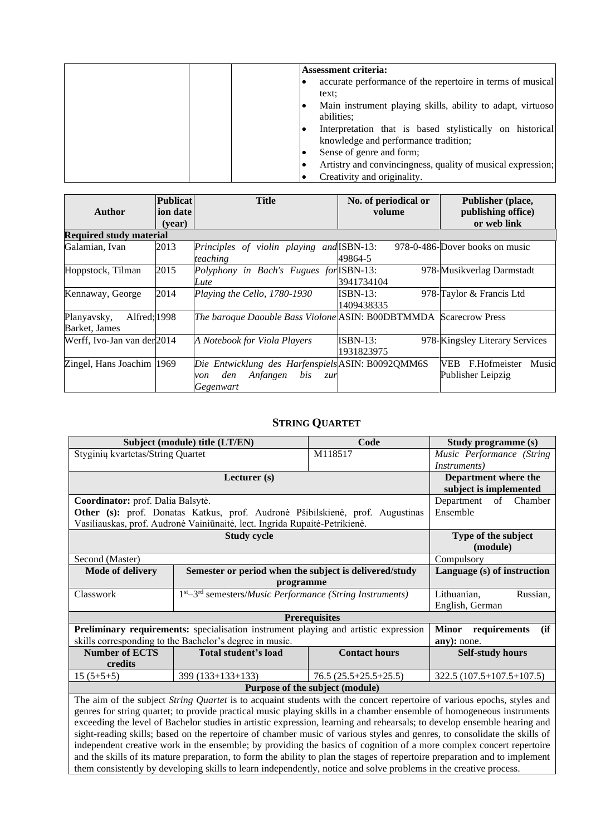| <b>Assessment criteria:</b>                                                                      |
|--------------------------------------------------------------------------------------------------|
| accurate performance of the repertoire in terms of musical<br>text:                              |
| Main instrument playing skills, ability to adapt, virtuoso<br>abilities;                         |
| Interpretation that is based stylistically on historical<br>knowledge and performance tradition; |
| Sense of genre and form;                                                                         |
| Artistry and convincingness, quality of musical expression;                                      |
| Creativity and originality.                                                                      |

|                                              | Publicat           | <b>Title</b>                                                                                           | No. of periodical or     | Publisher (place,                                  |
|----------------------------------------------|--------------------|--------------------------------------------------------------------------------------------------------|--------------------------|----------------------------------------------------|
| Author                                       | ion date<br>(year) |                                                                                                        | volume                   | publishing office)<br>or web link                  |
| <b>Required study material</b>               |                    |                                                                                                        |                          |                                                    |
| Galamian, Ivan                               | 2013               | Principles of violin playing and ISBN-13:<br>teaching                                                  | 49864-5                  | 978-0-486-Dover books on music                     |
| Hoppstock, Tilman                            | 2015               | Polyphony in Bach's Fugues for ISBN-13:<br>Lute                                                        | 3941734104               | 978-Musikverlag Darmstadt                          |
| Kennaway, George                             | 2014               | Playing the Cello, 1780-1930                                                                           | $ISBN-13:$<br>1409438335 | 978-Taylor & Francis Ltd                           |
| Alfred; 1998<br>Planyavsky,<br>Barket, James |                    | The baroque Daouble Bass Violone ASIN: B00DBTMMDA Scarecrow Press                                      |                          |                                                    |
| Werff, Ivo-Jan van der 2014                  |                    | A Notebook for Viola Players                                                                           | $ISBN-13:$<br>1931823975 | 978-Kingsley Literary Services                     |
| Zingel, Hans Joachim 1969                    |                    | Die Entwicklung des Harfenspiels ASIN: B0092QMM6S<br>Anfangen<br>bis<br>den<br>Zur<br>von<br>Gegenwart |                          | F.Hofmeister<br>VEB.<br>Music<br>Publisher Leipzig |

# **STRING QUARTET**

<span id="page-9-0"></span>

|                                                                                                                           | Subject (module) title (LT/EN)                                                                                           | Code                       | Study programme (s)                  |  |  |  |  |
|---------------------------------------------------------------------------------------------------------------------------|--------------------------------------------------------------------------------------------------------------------------|----------------------------|--------------------------------------|--|--|--|--|
| Styginių kvartetas/String Quartet                                                                                         |                                                                                                                          | M118517                    | Music Performance (String            |  |  |  |  |
|                                                                                                                           |                                                                                                                          |                            | <i>Instruments</i> )                 |  |  |  |  |
|                                                                                                                           | Lecturer (s)                                                                                                             |                            | Department where the                 |  |  |  |  |
|                                                                                                                           |                                                                                                                          |                            |                                      |  |  |  |  |
|                                                                                                                           | Coordinator: prof. Dalia Balsytė.                                                                                        |                            |                                      |  |  |  |  |
|                                                                                                                           | Other (s): prof. Donatas Katkus, prof. Audronė Pšibilskienė, prof. Augustinas                                            |                            | Ensemble                             |  |  |  |  |
|                                                                                                                           | Vasiliauskas, prof. Audronė Vainiūnaitė, lect. Ingrida Rupaitė-Petrikienė.                                               |                            |                                      |  |  |  |  |
|                                                                                                                           | <b>Study cycle</b>                                                                                                       |                            | Type of the subject                  |  |  |  |  |
|                                                                                                                           | (module)                                                                                                                 |                            |                                      |  |  |  |  |
| Second (Master)                                                                                                           |                                                                                                                          |                            |                                      |  |  |  |  |
| <b>Mode of delivery</b>                                                                                                   | Semester or period when the subject is delivered/study                                                                   |                            | Language (s) of instruction          |  |  |  |  |
|                                                                                                                           | programme                                                                                                                |                            |                                      |  |  |  |  |
| Classwork                                                                                                                 | 1st-3rd semesters/Music Performance (String Instruments)                                                                 |                            | Lithuanian,<br>Russian,              |  |  |  |  |
|                                                                                                                           |                                                                                                                          |                            | English, German                      |  |  |  |  |
|                                                                                                                           |                                                                                                                          | <b>Prerequisites</b>       |                                      |  |  |  |  |
|                                                                                                                           | Preliminary requirements: specialisation instrument playing and artistic expression                                      |                            | <b>Minor</b><br>(ii)<br>requirements |  |  |  |  |
|                                                                                                                           | skills corresponding to the Bachelor's degree in music.                                                                  |                            | any): none.                          |  |  |  |  |
| <b>Number of ECTS</b>                                                                                                     | Total student's load                                                                                                     | <b>Contact hours</b>       | <b>Self-study hours</b>              |  |  |  |  |
| credits                                                                                                                   |                                                                                                                          |                            |                                      |  |  |  |  |
| $15(5+5+5)$                                                                                                               | $399(133+133+133)$                                                                                                       | $322.5(107.5+107.5+107.5)$ |                                      |  |  |  |  |
| Purpose of the subject (module)                                                                                           |                                                                                                                          |                            |                                      |  |  |  |  |
| The aim of the subject String Quartet is to acquaint students with the concert repertoire of various epochs, styles and   |                                                                                                                          |                            |                                      |  |  |  |  |
| genres for string quartet; to provide practical music playing skills in a chamber ensemble of homogeneous instruments     |                                                                                                                          |                            |                                      |  |  |  |  |
|                                                                                                                           | exceeding the level of Bachelor studies in artistic expression, learning and rehearsals; to develop ensemble hearing and |                            |                                      |  |  |  |  |
| sight-reading skills; based on the repertoire of chamber music of various styles and genres, to consolidate the skills of |                                                                                                                          |                            |                                      |  |  |  |  |

sight-reading skills; based on the repertoire of chamber music of various styles and genres, to consolidate the skills of independent creative work in the ensemble; by providing the basics of cognition of a more complex concert repertoire and the skills of its mature preparation, to form the ability to plan the stages of repertoire preparation and to implement them consistently by developing skills to learn independently, notice and solve problems in the creative process.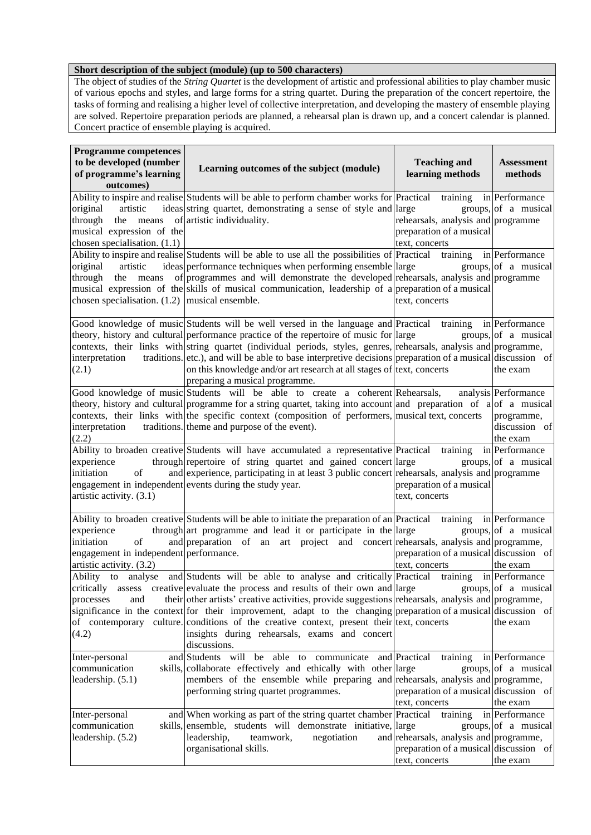#### **Short description of the subject (module) (up to 500 characters)**

The object of studies of the *String Quartet* is the development of artistic and professional abilities to play chamber music of various epochs and styles, and large forms for a string quartet. During the preparation of the concert repertoire, the tasks of forming and realising a higher level of collective interpretation, and developing the mastery of ensemble playing are solved. Repertoire preparation periods are planned, a rehearsal plan is drawn up, and a concert calendar is planned. Concert practice of ensemble playing is acquired.

| <b>Programme competences</b><br>to be developed (number<br>of programme's learning<br>outcomes)      | Learning outcomes of the subject (module)                                                                                                                                                                                                                                                                                                                                                                                                                                                                                                                                                                | <b>Teaching and</b><br>learning methods                                                                         | <b>Assessment</b><br>methods                                    |
|------------------------------------------------------------------------------------------------------|----------------------------------------------------------------------------------------------------------------------------------------------------------------------------------------------------------------------------------------------------------------------------------------------------------------------------------------------------------------------------------------------------------------------------------------------------------------------------------------------------------------------------------------------------------------------------------------------------------|-----------------------------------------------------------------------------------------------------------------|-----------------------------------------------------------------|
| original<br>artistic<br>through<br>the<br>musical expression of the<br>chosen specialisation. (1.1)  | Ability to inspire and realise Students will be able to perform chamber works for Practical<br>ideas string quartet, demonstrating a sense of style and large<br>means of artistic individuality.                                                                                                                                                                                                                                                                                                                                                                                                        | training<br>rehearsals, analysis and programme<br>preparation of a musical<br>text, concerts                    | in Performance<br>groups, of a musical                          |
| original<br>artistic<br>through<br>chosen specialisation. $(1.2)$  musical ensemble.                 | Ability to inspire and realise Students will be able to use all the possibilities of Practical<br>ideas performance techniques when performing ensemble large<br>the means of programmes and will demonstrate the developed rehearsals, analysis and programme<br>musical expression of the skills of musical communication, leadership of a preparation of a musical                                                                                                                                                                                                                                    | training<br>text, concerts                                                                                      | in Performance<br>groups, of a musical                          |
| interpretation<br>(2.1)                                                                              | Good knowledge of music Students will be well versed in the language and Practical training in Performance<br>theory, history and cultural performance practice of the repertoire of music for large<br>contexts, their links with string quartet (individual periods, styles, genres, rehearsals, analysis and programme,<br>traditions. etc.), and will be able to base interpretive decisions preparation of a musical discussion of<br>on this knowledge and/or art research at all stages of text, concerts<br>preparing a musical programme.                                                       |                                                                                                                 | groups,   of a musical<br>the exam                              |
| interpretation<br>(2.2)                                                                              | Good knowledge of music Students will be able to create a coherent Rehearsals,<br>theory, history and cultural programme for a string quartet, taking into account and preparation of a of a musical<br>contexts, their links with the specific context (composition of performers, musical text, concerts<br>traditions. theme and purpose of the event).                                                                                                                                                                                                                                               |                                                                                                                 | analysis Performance<br>programme,<br>discussion of<br>the exam |
| experience<br>initiation<br>of<br>artistic activity. (3.1)                                           | Ability to broaden creative Students will have accumulated a representative Practical training<br>through repertoire of string quartet and gained concert large<br>and experience, participating in at least 3 public concert rehearsals, analysis and programme<br>engagement in independent events during the study year.                                                                                                                                                                                                                                                                              | preparation of a musical<br>text, concerts                                                                      | in Performance<br>groups, of a musical                          |
| experience<br>initiation<br>of<br>engagement in independent performance.<br>artistic activity. (3.2) | Ability to broaden creative Students will be able to initiate the preparation of an Practical training<br>through art programme and lead it or participate in the large<br>and preparation of an art project and concert rehearsals, analysis and programme,                                                                                                                                                                                                                                                                                                                                             | preparation of a musical discussion of<br>text, concerts                                                        | in Performance<br>groups, of a musical<br>the exam              |
| processes<br>and<br>(4.2)                                                                            | Ability to analyse and Students will be able to analyse and critically Practical training in Performance<br>critically assess creative evaluate the process and results of their own and large groups, of a musical<br>their other artists' creative activities, provide suggestions rehearsals, analysis and programme,<br>significance in the context for their improvement, adapt to the changing preparation of a musical discussion of<br>of contemporary culture conditions of the creative context, present their text, concerts<br>insights during rehearsals, exams and concert<br>discussions. |                                                                                                                 | the exam                                                        |
| Inter-personal<br>communication<br>leadership. (5.1)                                                 | and Students will be able to communicate and Practical<br>skills, collaborate effectively and ethically with other large<br>members of the ensemble while preparing and rehearsals, analysis and programme,<br>performing string quartet programmes.                                                                                                                                                                                                                                                                                                                                                     | training<br>preparation of a musical discussion of<br>text, concerts                                            | in Performance<br>groups, of a musical<br>the exam              |
| Inter-personal<br>communication<br>leadership. (5.2)                                                 | and When working as part of the string quartet chamber Practical<br>skills, ensemble, students will demonstrate initiative, large<br>leadership,<br>negotiation<br>teamwork,<br>organisational skills.                                                                                                                                                                                                                                                                                                                                                                                                   | training<br>and rehearsals, analysis and programme,<br>preparation of a musical discussion of<br>text, concerts | in Performance<br>groups, of a musical<br>the exam              |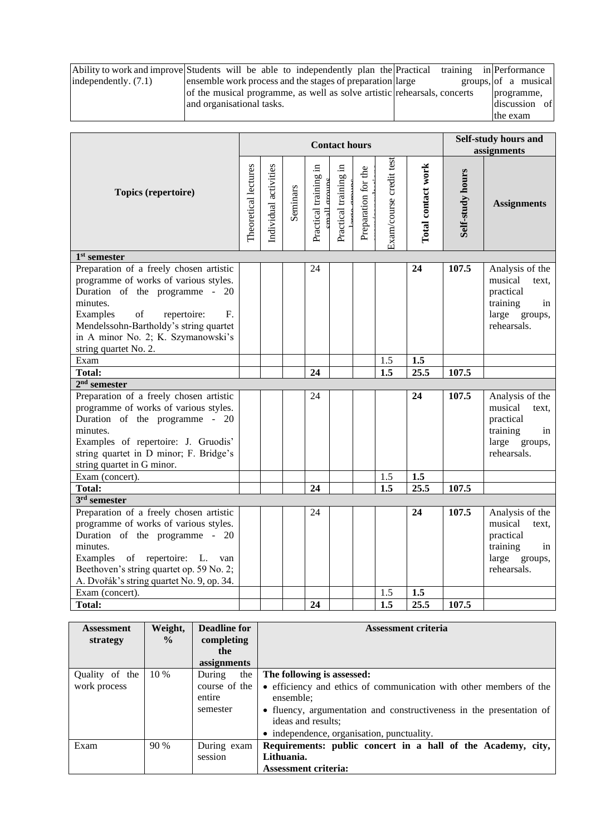|                      | Ability to work and improve Students will be able to independently plan the Practical |  | training in Performance |
|----------------------|---------------------------------------------------------------------------------------|--|-------------------------|
| independently. (7.1) | ensemble work process and the stages of preparation and large                         |  | groups, of a musical    |
|                      | of the musical programme, as well as solve artistic rehearsals, concerts              |  | programme,              |
|                      | and organisational tasks.                                                             |  | discussion of           |
|                      |                                                                                       |  | the exam                |

|                                                                                                                                                                                                                                                                                | <b>Contact hours</b> |                       |          |                                      |                       |                     |                         | Self-study hours and<br>assignments |                  |                                                                                                    |
|--------------------------------------------------------------------------------------------------------------------------------------------------------------------------------------------------------------------------------------------------------------------------------|----------------------|-----------------------|----------|--------------------------------------|-----------------------|---------------------|-------------------------|-------------------------------------|------------------|----------------------------------------------------------------------------------------------------|
| Topics (repertoire)                                                                                                                                                                                                                                                            | Theoretical lectures | Individual activities | Seminars | Practical training in<br>mall groups | Practical training in | Preparation for the | Exam/course credit test | Total contact work                  | Self-study hours | <b>Assignments</b>                                                                                 |
| 1 <sup>st</sup> semester                                                                                                                                                                                                                                                       |                      |                       |          |                                      |                       |                     |                         |                                     |                  |                                                                                                    |
| Preparation of a freely chosen artistic<br>programme of works of various styles.<br>Duration of the programme - 20<br>minutes.<br>of<br>Examples<br>repertoire:<br>F.<br>Mendelssohn-Bartholdy's string quartet<br>in A minor No. 2; K. Szymanowski's<br>string quartet No. 2. |                      |                       |          | 24                                   |                       |                     |                         | 24                                  | 107.5            | Analysis of the<br>musical<br>text.<br>practical<br>training<br>in<br>large groups,<br>rehearsals. |
| Exam                                                                                                                                                                                                                                                                           |                      |                       |          |                                      |                       |                     | 1.5                     | 1.5                                 |                  |                                                                                                    |
| <b>Total:</b>                                                                                                                                                                                                                                                                  |                      |                       |          | 24                                   |                       |                     | 1.5                     | 25.5                                | 107.5            |                                                                                                    |
| $2nd$ semester                                                                                                                                                                                                                                                                 |                      |                       |          |                                      |                       |                     |                         |                                     |                  |                                                                                                    |
| Preparation of a freely chosen artistic<br>programme of works of various styles.<br>Duration of the programme -<br>20<br>minutes.<br>Examples of repertoire: J. Gruodis'<br>string quartet in D minor; F. Bridge's<br>string quartet in G minor.                               |                      |                       |          | 24                                   |                       |                     |                         | 24                                  | 107.5            | Analysis of the<br>musical<br>text.<br>practical<br>training<br>in<br>large groups,<br>rehearsals. |
| Exam (concert).                                                                                                                                                                                                                                                                |                      |                       |          |                                      |                       |                     | 1.5                     | 1.5                                 |                  |                                                                                                    |
| <b>Total:</b>                                                                                                                                                                                                                                                                  |                      |                       |          | 24                                   |                       |                     | 1.5                     | 25.5                                | 107.5            |                                                                                                    |
| $3rd$ semester                                                                                                                                                                                                                                                                 |                      |                       |          |                                      |                       |                     |                         |                                     |                  |                                                                                                    |
| Preparation of a freely chosen artistic<br>programme of works of various styles.<br>Duration of the programme - 20<br>minutes.<br>Examples of repertoire: L.<br>van<br>Beethoven's string quartet op. 59 No. 2;<br>A. Dvořák's string quartet No. 9, op. 34.                   |                      |                       |          | 24                                   |                       |                     |                         | 24                                  | 107.5            | Analysis of the<br>musical<br>text.<br>practical<br>training<br>in<br>large groups,<br>rehearsals. |
| Exam (concert).                                                                                                                                                                                                                                                                |                      |                       |          |                                      |                       |                     | 1.5                     | 1.5                                 |                  |                                                                                                    |
| <b>Total:</b>                                                                                                                                                                                                                                                                  |                      |                       |          | 24                                   |                       |                     | $\overline{1.5}$        | 25.5                                | 107.5            |                                                                                                    |

| <b>Assessment</b> | Weight,       | <b>Deadline for</b> | Assessment criteria                                                  |
|-------------------|---------------|---------------------|----------------------------------------------------------------------|
| strategy          | $\frac{0}{0}$ | completing          |                                                                      |
|                   |               | the                 |                                                                      |
|                   |               | assignments         |                                                                      |
| Quality of the    | $10\%$        | the<br>During       | The following is assessed:                                           |
| work process      |               | course of the       | • efficiency and ethics of communication with other members of the   |
|                   |               | entire              | ensemble;                                                            |
|                   |               | semester            | • fluency, argumentation and constructiveness in the presentation of |
|                   |               |                     | ideas and results;                                                   |
|                   |               |                     | • independence, organisation, punctuality.                           |
| Exam              | 90%           | During exam         | Requirements: public concert in a hall of the Academy, city,         |
|                   |               | session             | Lithuania.                                                           |
|                   |               |                     | <b>Assessment criteria:</b>                                          |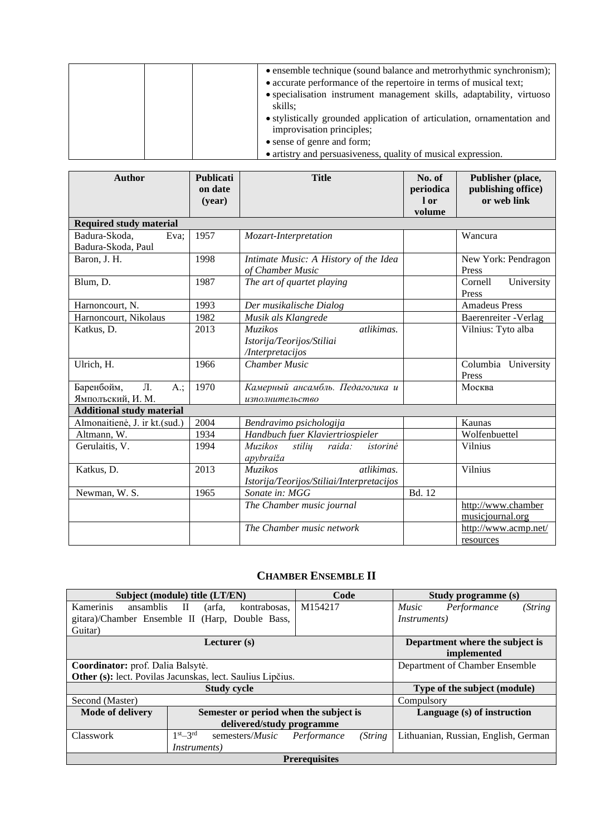| • ensemble technique (sound balance and metrorhythmic synchronism);              |
|----------------------------------------------------------------------------------|
| • accurate performance of the repertoire in terms of musical text;               |
| • specialisation instrument management skills, adaptability, virtuoso<br>skills: |
| • stylistically grounded application of articulation, ornamentation and          |
| improvisation principles;                                                        |
| • sense of genre and form;                                                       |
| • artistry and persuasiveness, quality of musical expression.                    |

| <b>Author</b>                                        | <b>Publicati</b><br>on date<br>(year) | <b>Title</b>                                                                  | No. of<br>periodica<br>1 or<br>volume | Publisher (place,<br>publishing office)<br>or web link |
|------------------------------------------------------|---------------------------------------|-------------------------------------------------------------------------------|---------------------------------------|--------------------------------------------------------|
| <b>Required study material</b>                       |                                       |                                                                               |                                       |                                                        |
| Badura-Skoda,<br>Eva:<br>Badura-Skoda, Paul          | 1957                                  | Mozart-Interpretation                                                         |                                       | Wancura                                                |
| Baron, J. H.                                         | 1998                                  | Intimate Music: A History of the Idea<br>of Chamber Music                     |                                       | New York: Pendragon<br>Press                           |
| Blum, D.                                             | 1987                                  | The art of quartet playing                                                    |                                       | Cornell<br>University<br>Press                         |
| Harnoncourt, N.                                      | 1993                                  | Der musikalische Dialog                                                       |                                       | <b>Amadeus Press</b>                                   |
| Harnoncourt, Nikolaus                                | 1982                                  | Musik als Klangrede                                                           |                                       | Baerenreiter - Verlag                                  |
| Katkus, D.                                           | 2013                                  | atlikimas.<br><b>Muzikos</b><br>Istorija/Teorijos/Stiliai<br>/Interpretacijos |                                       | Vilnius: Tyto alba                                     |
| Ulrich, H.                                           | 1966                                  | <b>Chamber Music</b>                                                          |                                       | Columbia University<br>Press                           |
| Баренбойм,<br>$\Pi$ .<br>$A$ .;<br>Ямпольский, И. М. | 1970                                  | Камерный ансамбль. Педагогика и<br>изполнительство                            |                                       | Москва                                                 |
| <b>Additional study material</b>                     |                                       |                                                                               |                                       |                                                        |
| Almonaitienė, J. ir kt.(sud.)                        | 2004                                  | Bendravimo psichologija                                                       |                                       | Kaunas                                                 |
| Altmann, W.                                          | 1934                                  | Handbuch fuer Klaviertriospieler                                              |                                       | Wolfenbuettel                                          |
| Gerulaitis, V.                                       | 1994                                  | <i>Muzikos</i><br>stilių<br>raida:<br>istorinė<br>apybraiža                   |                                       | <b>Vilnius</b>                                         |
| Katkus, D.                                           | 2013                                  | atlikimas.<br>Muzikos<br>Istorija/Teorijos/Stiliai/Interpretacijos            |                                       | Vilnius                                                |
| Newman, W. S.                                        | 1965                                  | Sonate in: MGG                                                                | Bd. 12                                |                                                        |
|                                                      |                                       | The Chamber music journal                                                     |                                       | http://www.chamber<br>musicjournal.org                 |
|                                                      |                                       | The Chamber music network                                                     |                                       | http://www.acmp.net/<br>resources                      |

# **CHAMBER ENSEMBLE II**

<span id="page-12-0"></span>

|                                   | Subject (module) title (LT/EN)                             | Code                    | Study programme (s)                    |  |
|-----------------------------------|------------------------------------------------------------|-------------------------|----------------------------------------|--|
| <b>Kamerinis</b><br>ansamblis II  | kontrabosas.<br>(arfa,                                     | M154217                 | (String<br>Performance<br><i>Music</i> |  |
|                                   | gitara)/Chamber Ensemble II (Harp, Double Bass,            |                         | <i>Instruments</i> )                   |  |
| Guitar)                           |                                                            |                         |                                        |  |
|                                   | Lecturer $(s)$                                             |                         | Department where the subject is        |  |
|                                   |                                                            |                         | implemented                            |  |
| Coordinator: prof. Dalia Balsytė. |                                                            |                         | Department of Chamber Ensemble         |  |
|                                   | Other (s): lect. Povilas Jacunskas, lect. Saulius Lipčius. |                         |                                        |  |
|                                   | <b>Study cycle</b>                                         |                         | Type of the subject (module)           |  |
| Second (Master)                   |                                                            |                         | Compulsory                             |  |
| <b>Mode of delivery</b>           | Semester or period when the subject is                     |                         | Language (s) of instruction            |  |
|                                   | delivered/study programme                                  |                         |                                        |  |
| Classwork                         | $1st - 3rd$<br>semesters/ <i>Music</i>                     | (String)<br>Performance | Lithuanian, Russian, English, German   |  |
|                                   | <i>Instruments</i> )                                       |                         |                                        |  |
|                                   | <b>Prerequisites</b>                                       |                         |                                        |  |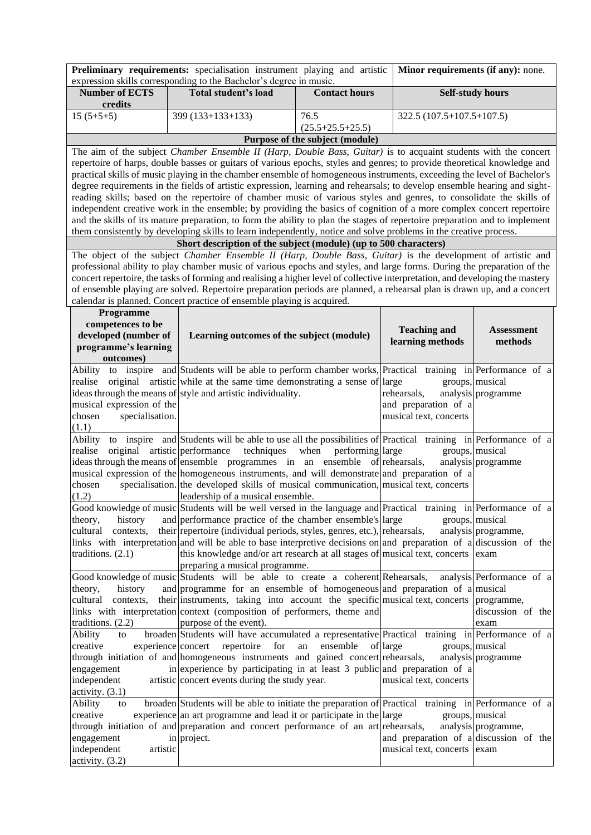| expression skills corresponding to the Bachelor's degree in music.<br><b>Number of ECTS</b><br><b>Total student's load</b><br><b>Contact hours</b><br><b>Self-study hours</b><br>credits<br>$15(5+5+5)$<br>399 (133+133+133)<br>76.5<br>$322.5(107.5+107.5+107.5)$<br>$(25.5 + 25.5 + 25.5)$<br>Purpose of the subject (module)<br>The aim of the subject Chamber Ensemble II (Harp, Double Bass, Guitar) is to acquaint students with the concert<br>repertoire of harps, double basses or guitars of various epochs, styles and genres; to provide theoretical knowledge and<br>practical skills of music playing in the chamber ensemble of homogeneous instruments, exceeding the level of Bachelor's<br>degree requirements in the fields of artistic expression, learning and rehearsals; to develop ensemble hearing and sight-<br>reading skills; based on the repertoire of chamber music of various styles and genres, to consolidate the skills of<br>independent creative work in the ensemble; by providing the basics of cognition of a more complex concert repertoire<br>and the skills of its mature preparation, to form the ability to plan the stages of repertoire preparation and to implement<br>them consistently by developing skills to learn independently, notice and solve problems in the creative process.<br>Short description of the subject (module) (up to 500 characters)<br>The object of the subject Chamber Ensemble II (Harp, Double Bass, Guitar) is the development of artistic and<br>professional ability to play chamber music of various epochs and styles, and large forms. During the preparation of the<br>concert repertoire, the tasks of forming and realising a higher level of collective interpretation, and developing the mastery<br>of ensemble playing are solved. Repertoire preparation periods are planned, a rehearsal plan is drawn up, and a concert<br>calendar is planned. Concert practice of ensemble playing is acquired.<br>Programme<br>competences to be<br><b>Teaching and</b><br><b>Assessment</b><br>developed (number of<br>Learning outcomes of the subject (module)<br>learning methods<br>methods<br>programme's learning<br>outcomes)<br>to inspire and Students will be able to perform chamber works, Practical training in Performance of a<br>Ability<br>original artistic while at the same time demonstrating a sense of large<br>groups, musical<br>realise<br>ideas through the means of style and artistic individuality.<br>analysis programme<br>rehearsals,<br>musical expression of the<br>and preparation of a<br>musical text, concerts<br>chosen<br>specialisation.<br>(1.1)<br>to inspire and Students will be able to use all the possibilities of Practical training in Performance of a<br>Ability<br>original artistic performance<br>techniques<br>groups, musical<br>realise<br>when<br>performing large<br>ideas through the means of ensemble programmes in an ensemble of rehearsals,<br>analysis programme<br>musical expression of the homogeneous instruments, and will demonstrate and preparation of a<br>specialisation. the developed skills of musical communication, musical text, concerts<br>chosen<br>(1.2)<br>leadership of a musical ensemble.<br>Good knowledge of music Students will be well versed in the language and Practical training in Performance of a<br>theory,<br>and performance practice of the chamber ensemble's large<br>groups, musical<br>history<br>analysis programme,<br>cultural<br>their repertoire (individual periods, styles, genres, etc.), rehearsals,<br>contexts,<br>links with interpretation and will be able to base interpretive decisions on and preparation of a discussion of the<br>traditions. $(2.1)$<br>this knowledge and/or art research at all stages of musical text, concerts exam<br>preparing a musical programme.<br>Good knowledge of music Students will be able to create a coherent Rehearsals,<br>analysis Performance of a<br>and programme for an ensemble of homogeneous and preparation of a musical<br>history<br>theory,<br>their instruments, taking into account the specific musical text, concerts<br>cultural<br>contexts,<br>programme,<br>links with interpretation context (composition of performers, theme and<br>discussion of the<br>traditions. $(2.2)$<br>purpose of the event).<br>exam<br>broaden Students will have accumulated a representative Practical training in Performance of a<br>Ability<br>to<br>creative<br>experience concert<br>repertoire<br>for<br>ensemble<br>of large<br>groups, musical<br>an<br>through initiation of and homogeneous instruments and gained concert rehearsals,<br>analysis programme |
|-------------------------------------------------------------------------------------------------------------------------------------------------------------------------------------------------------------------------------------------------------------------------------------------------------------------------------------------------------------------------------------------------------------------------------------------------------------------------------------------------------------------------------------------------------------------------------------------------------------------------------------------------------------------------------------------------------------------------------------------------------------------------------------------------------------------------------------------------------------------------------------------------------------------------------------------------------------------------------------------------------------------------------------------------------------------------------------------------------------------------------------------------------------------------------------------------------------------------------------------------------------------------------------------------------------------------------------------------------------------------------------------------------------------------------------------------------------------------------------------------------------------------------------------------------------------------------------------------------------------------------------------------------------------------------------------------------------------------------------------------------------------------------------------------------------------------------------------------------------------------------------------------------------------------------------------------------------------------------------------------------------------------------------------------------------------------------------------------------------------------------------------------------------------------------------------------------------------------------------------------------------------------------------------------------------------------------------------------------------------------------------------------------------------------------------------------------------------------------------------------------------------------------------------------------------------------------------------------------------------------------------------------------------------------------------------------------------------------------------------------------------------------------------------------------------------------------------------------------------------------------------------------------------------------------------------------------------------------------------------------------------------------------------------------------------------------------------------------------------------------------------------------------------------------------------------------------------------------------------------------------------------------------------------------------------------------------------------------------------------------------------------------------------------------------------------------------------------------------------------------------------------------------------------------------------------------------------------------------------------------------------------------------------------------------------------------------------------------------------------------------------------------------------------------------------------------------------------------------------------------------------------------------------------------------------------------------------------------------------------------------------------------------------------------------------------------------------------------------------------------------------------------------------------------------------------------------------------------------------------------------------------------------------------------------------------------------------------------------------------------------------------------------------------------------------------------------------------------------------------------------------------------------------------------------------------------------------------------------------------------------------------------------------------------------------------------------------------------------------|
|                                                                                                                                                                                                                                                                                                                                                                                                                                                                                                                                                                                                                                                                                                                                                                                                                                                                                                                                                                                                                                                                                                                                                                                                                                                                                                                                                                                                                                                                                                                                                                                                                                                                                                                                                                                                                                                                                                                                                                                                                                                                                                                                                                                                                                                                                                                                                                                                                                                                                                                                                                                                                                                                                                                                                                                                                                                                                                                                                                                                                                                                                                                                                                                                                                                                                                                                                                                                                                                                                                                                                                                                                                                                                                                                                                                                                                                                                                                                                                                                                                                                                                                                                                                                                                                                                                                                                                                                                                                                                                                                                                                                                                                                                                                                     |
|                                                                                                                                                                                                                                                                                                                                                                                                                                                                                                                                                                                                                                                                                                                                                                                                                                                                                                                                                                                                                                                                                                                                                                                                                                                                                                                                                                                                                                                                                                                                                                                                                                                                                                                                                                                                                                                                                                                                                                                                                                                                                                                                                                                                                                                                                                                                                                                                                                                                                                                                                                                                                                                                                                                                                                                                                                                                                                                                                                                                                                                                                                                                                                                                                                                                                                                                                                                                                                                                                                                                                                                                                                                                                                                                                                                                                                                                                                                                                                                                                                                                                                                                                                                                                                                                                                                                                                                                                                                                                                                                                                                                                                                                                                                                     |
|                                                                                                                                                                                                                                                                                                                                                                                                                                                                                                                                                                                                                                                                                                                                                                                                                                                                                                                                                                                                                                                                                                                                                                                                                                                                                                                                                                                                                                                                                                                                                                                                                                                                                                                                                                                                                                                                                                                                                                                                                                                                                                                                                                                                                                                                                                                                                                                                                                                                                                                                                                                                                                                                                                                                                                                                                                                                                                                                                                                                                                                                                                                                                                                                                                                                                                                                                                                                                                                                                                                                                                                                                                                                                                                                                                                                                                                                                                                                                                                                                                                                                                                                                                                                                                                                                                                                                                                                                                                                                                                                                                                                                                                                                                                                     |
|                                                                                                                                                                                                                                                                                                                                                                                                                                                                                                                                                                                                                                                                                                                                                                                                                                                                                                                                                                                                                                                                                                                                                                                                                                                                                                                                                                                                                                                                                                                                                                                                                                                                                                                                                                                                                                                                                                                                                                                                                                                                                                                                                                                                                                                                                                                                                                                                                                                                                                                                                                                                                                                                                                                                                                                                                                                                                                                                                                                                                                                                                                                                                                                                                                                                                                                                                                                                                                                                                                                                                                                                                                                                                                                                                                                                                                                                                                                                                                                                                                                                                                                                                                                                                                                                                                                                                                                                                                                                                                                                                                                                                                                                                                                                     |
|                                                                                                                                                                                                                                                                                                                                                                                                                                                                                                                                                                                                                                                                                                                                                                                                                                                                                                                                                                                                                                                                                                                                                                                                                                                                                                                                                                                                                                                                                                                                                                                                                                                                                                                                                                                                                                                                                                                                                                                                                                                                                                                                                                                                                                                                                                                                                                                                                                                                                                                                                                                                                                                                                                                                                                                                                                                                                                                                                                                                                                                                                                                                                                                                                                                                                                                                                                                                                                                                                                                                                                                                                                                                                                                                                                                                                                                                                                                                                                                                                                                                                                                                                                                                                                                                                                                                                                                                                                                                                                                                                                                                                                                                                                                                     |
|                                                                                                                                                                                                                                                                                                                                                                                                                                                                                                                                                                                                                                                                                                                                                                                                                                                                                                                                                                                                                                                                                                                                                                                                                                                                                                                                                                                                                                                                                                                                                                                                                                                                                                                                                                                                                                                                                                                                                                                                                                                                                                                                                                                                                                                                                                                                                                                                                                                                                                                                                                                                                                                                                                                                                                                                                                                                                                                                                                                                                                                                                                                                                                                                                                                                                                                                                                                                                                                                                                                                                                                                                                                                                                                                                                                                                                                                                                                                                                                                                                                                                                                                                                                                                                                                                                                                                                                                                                                                                                                                                                                                                                                                                                                                     |
|                                                                                                                                                                                                                                                                                                                                                                                                                                                                                                                                                                                                                                                                                                                                                                                                                                                                                                                                                                                                                                                                                                                                                                                                                                                                                                                                                                                                                                                                                                                                                                                                                                                                                                                                                                                                                                                                                                                                                                                                                                                                                                                                                                                                                                                                                                                                                                                                                                                                                                                                                                                                                                                                                                                                                                                                                                                                                                                                                                                                                                                                                                                                                                                                                                                                                                                                                                                                                                                                                                                                                                                                                                                                                                                                                                                                                                                                                                                                                                                                                                                                                                                                                                                                                                                                                                                                                                                                                                                                                                                                                                                                                                                                                                                                     |
|                                                                                                                                                                                                                                                                                                                                                                                                                                                                                                                                                                                                                                                                                                                                                                                                                                                                                                                                                                                                                                                                                                                                                                                                                                                                                                                                                                                                                                                                                                                                                                                                                                                                                                                                                                                                                                                                                                                                                                                                                                                                                                                                                                                                                                                                                                                                                                                                                                                                                                                                                                                                                                                                                                                                                                                                                                                                                                                                                                                                                                                                                                                                                                                                                                                                                                                                                                                                                                                                                                                                                                                                                                                                                                                                                                                                                                                                                                                                                                                                                                                                                                                                                                                                                                                                                                                                                                                                                                                                                                                                                                                                                                                                                                                                     |
|                                                                                                                                                                                                                                                                                                                                                                                                                                                                                                                                                                                                                                                                                                                                                                                                                                                                                                                                                                                                                                                                                                                                                                                                                                                                                                                                                                                                                                                                                                                                                                                                                                                                                                                                                                                                                                                                                                                                                                                                                                                                                                                                                                                                                                                                                                                                                                                                                                                                                                                                                                                                                                                                                                                                                                                                                                                                                                                                                                                                                                                                                                                                                                                                                                                                                                                                                                                                                                                                                                                                                                                                                                                                                                                                                                                                                                                                                                                                                                                                                                                                                                                                                                                                                                                                                                                                                                                                                                                                                                                                                                                                                                                                                                                                     |
|                                                                                                                                                                                                                                                                                                                                                                                                                                                                                                                                                                                                                                                                                                                                                                                                                                                                                                                                                                                                                                                                                                                                                                                                                                                                                                                                                                                                                                                                                                                                                                                                                                                                                                                                                                                                                                                                                                                                                                                                                                                                                                                                                                                                                                                                                                                                                                                                                                                                                                                                                                                                                                                                                                                                                                                                                                                                                                                                                                                                                                                                                                                                                                                                                                                                                                                                                                                                                                                                                                                                                                                                                                                                                                                                                                                                                                                                                                                                                                                                                                                                                                                                                                                                                                                                                                                                                                                                                                                                                                                                                                                                                                                                                                                                     |
|                                                                                                                                                                                                                                                                                                                                                                                                                                                                                                                                                                                                                                                                                                                                                                                                                                                                                                                                                                                                                                                                                                                                                                                                                                                                                                                                                                                                                                                                                                                                                                                                                                                                                                                                                                                                                                                                                                                                                                                                                                                                                                                                                                                                                                                                                                                                                                                                                                                                                                                                                                                                                                                                                                                                                                                                                                                                                                                                                                                                                                                                                                                                                                                                                                                                                                                                                                                                                                                                                                                                                                                                                                                                                                                                                                                                                                                                                                                                                                                                                                                                                                                                                                                                                                                                                                                                                                                                                                                                                                                                                                                                                                                                                                                                     |
|                                                                                                                                                                                                                                                                                                                                                                                                                                                                                                                                                                                                                                                                                                                                                                                                                                                                                                                                                                                                                                                                                                                                                                                                                                                                                                                                                                                                                                                                                                                                                                                                                                                                                                                                                                                                                                                                                                                                                                                                                                                                                                                                                                                                                                                                                                                                                                                                                                                                                                                                                                                                                                                                                                                                                                                                                                                                                                                                                                                                                                                                                                                                                                                                                                                                                                                                                                                                                                                                                                                                                                                                                                                                                                                                                                                                                                                                                                                                                                                                                                                                                                                                                                                                                                                                                                                                                                                                                                                                                                                                                                                                                                                                                                                                     |
|                                                                                                                                                                                                                                                                                                                                                                                                                                                                                                                                                                                                                                                                                                                                                                                                                                                                                                                                                                                                                                                                                                                                                                                                                                                                                                                                                                                                                                                                                                                                                                                                                                                                                                                                                                                                                                                                                                                                                                                                                                                                                                                                                                                                                                                                                                                                                                                                                                                                                                                                                                                                                                                                                                                                                                                                                                                                                                                                                                                                                                                                                                                                                                                                                                                                                                                                                                                                                                                                                                                                                                                                                                                                                                                                                                                                                                                                                                                                                                                                                                                                                                                                                                                                                                                                                                                                                                                                                                                                                                                                                                                                                                                                                                                                     |
|                                                                                                                                                                                                                                                                                                                                                                                                                                                                                                                                                                                                                                                                                                                                                                                                                                                                                                                                                                                                                                                                                                                                                                                                                                                                                                                                                                                                                                                                                                                                                                                                                                                                                                                                                                                                                                                                                                                                                                                                                                                                                                                                                                                                                                                                                                                                                                                                                                                                                                                                                                                                                                                                                                                                                                                                                                                                                                                                                                                                                                                                                                                                                                                                                                                                                                                                                                                                                                                                                                                                                                                                                                                                                                                                                                                                                                                                                                                                                                                                                                                                                                                                                                                                                                                                                                                                                                                                                                                                                                                                                                                                                                                                                                                                     |
|                                                                                                                                                                                                                                                                                                                                                                                                                                                                                                                                                                                                                                                                                                                                                                                                                                                                                                                                                                                                                                                                                                                                                                                                                                                                                                                                                                                                                                                                                                                                                                                                                                                                                                                                                                                                                                                                                                                                                                                                                                                                                                                                                                                                                                                                                                                                                                                                                                                                                                                                                                                                                                                                                                                                                                                                                                                                                                                                                                                                                                                                                                                                                                                                                                                                                                                                                                                                                                                                                                                                                                                                                                                                                                                                                                                                                                                                                                                                                                                                                                                                                                                                                                                                                                                                                                                                                                                                                                                                                                                                                                                                                                                                                                                                     |
|                                                                                                                                                                                                                                                                                                                                                                                                                                                                                                                                                                                                                                                                                                                                                                                                                                                                                                                                                                                                                                                                                                                                                                                                                                                                                                                                                                                                                                                                                                                                                                                                                                                                                                                                                                                                                                                                                                                                                                                                                                                                                                                                                                                                                                                                                                                                                                                                                                                                                                                                                                                                                                                                                                                                                                                                                                                                                                                                                                                                                                                                                                                                                                                                                                                                                                                                                                                                                                                                                                                                                                                                                                                                                                                                                                                                                                                                                                                                                                                                                                                                                                                                                                                                                                                                                                                                                                                                                                                                                                                                                                                                                                                                                                                                     |
|                                                                                                                                                                                                                                                                                                                                                                                                                                                                                                                                                                                                                                                                                                                                                                                                                                                                                                                                                                                                                                                                                                                                                                                                                                                                                                                                                                                                                                                                                                                                                                                                                                                                                                                                                                                                                                                                                                                                                                                                                                                                                                                                                                                                                                                                                                                                                                                                                                                                                                                                                                                                                                                                                                                                                                                                                                                                                                                                                                                                                                                                                                                                                                                                                                                                                                                                                                                                                                                                                                                                                                                                                                                                                                                                                                                                                                                                                                                                                                                                                                                                                                                                                                                                                                                                                                                                                                                                                                                                                                                                                                                                                                                                                                                                     |
|                                                                                                                                                                                                                                                                                                                                                                                                                                                                                                                                                                                                                                                                                                                                                                                                                                                                                                                                                                                                                                                                                                                                                                                                                                                                                                                                                                                                                                                                                                                                                                                                                                                                                                                                                                                                                                                                                                                                                                                                                                                                                                                                                                                                                                                                                                                                                                                                                                                                                                                                                                                                                                                                                                                                                                                                                                                                                                                                                                                                                                                                                                                                                                                                                                                                                                                                                                                                                                                                                                                                                                                                                                                                                                                                                                                                                                                                                                                                                                                                                                                                                                                                                                                                                                                                                                                                                                                                                                                                                                                                                                                                                                                                                                                                     |
|                                                                                                                                                                                                                                                                                                                                                                                                                                                                                                                                                                                                                                                                                                                                                                                                                                                                                                                                                                                                                                                                                                                                                                                                                                                                                                                                                                                                                                                                                                                                                                                                                                                                                                                                                                                                                                                                                                                                                                                                                                                                                                                                                                                                                                                                                                                                                                                                                                                                                                                                                                                                                                                                                                                                                                                                                                                                                                                                                                                                                                                                                                                                                                                                                                                                                                                                                                                                                                                                                                                                                                                                                                                                                                                                                                                                                                                                                                                                                                                                                                                                                                                                                                                                                                                                                                                                                                                                                                                                                                                                                                                                                                                                                                                                     |
|                                                                                                                                                                                                                                                                                                                                                                                                                                                                                                                                                                                                                                                                                                                                                                                                                                                                                                                                                                                                                                                                                                                                                                                                                                                                                                                                                                                                                                                                                                                                                                                                                                                                                                                                                                                                                                                                                                                                                                                                                                                                                                                                                                                                                                                                                                                                                                                                                                                                                                                                                                                                                                                                                                                                                                                                                                                                                                                                                                                                                                                                                                                                                                                                                                                                                                                                                                                                                                                                                                                                                                                                                                                                                                                                                                                                                                                                                                                                                                                                                                                                                                                                                                                                                                                                                                                                                                                                                                                                                                                                                                                                                                                                                                                                     |
|                                                                                                                                                                                                                                                                                                                                                                                                                                                                                                                                                                                                                                                                                                                                                                                                                                                                                                                                                                                                                                                                                                                                                                                                                                                                                                                                                                                                                                                                                                                                                                                                                                                                                                                                                                                                                                                                                                                                                                                                                                                                                                                                                                                                                                                                                                                                                                                                                                                                                                                                                                                                                                                                                                                                                                                                                                                                                                                                                                                                                                                                                                                                                                                                                                                                                                                                                                                                                                                                                                                                                                                                                                                                                                                                                                                                                                                                                                                                                                                                                                                                                                                                                                                                                                                                                                                                                                                                                                                                                                                                                                                                                                                                                                                                     |
|                                                                                                                                                                                                                                                                                                                                                                                                                                                                                                                                                                                                                                                                                                                                                                                                                                                                                                                                                                                                                                                                                                                                                                                                                                                                                                                                                                                                                                                                                                                                                                                                                                                                                                                                                                                                                                                                                                                                                                                                                                                                                                                                                                                                                                                                                                                                                                                                                                                                                                                                                                                                                                                                                                                                                                                                                                                                                                                                                                                                                                                                                                                                                                                                                                                                                                                                                                                                                                                                                                                                                                                                                                                                                                                                                                                                                                                                                                                                                                                                                                                                                                                                                                                                                                                                                                                                                                                                                                                                                                                                                                                                                                                                                                                                     |
|                                                                                                                                                                                                                                                                                                                                                                                                                                                                                                                                                                                                                                                                                                                                                                                                                                                                                                                                                                                                                                                                                                                                                                                                                                                                                                                                                                                                                                                                                                                                                                                                                                                                                                                                                                                                                                                                                                                                                                                                                                                                                                                                                                                                                                                                                                                                                                                                                                                                                                                                                                                                                                                                                                                                                                                                                                                                                                                                                                                                                                                                                                                                                                                                                                                                                                                                                                                                                                                                                                                                                                                                                                                                                                                                                                                                                                                                                                                                                                                                                                                                                                                                                                                                                                                                                                                                                                                                                                                                                                                                                                                                                                                                                                                                     |
|                                                                                                                                                                                                                                                                                                                                                                                                                                                                                                                                                                                                                                                                                                                                                                                                                                                                                                                                                                                                                                                                                                                                                                                                                                                                                                                                                                                                                                                                                                                                                                                                                                                                                                                                                                                                                                                                                                                                                                                                                                                                                                                                                                                                                                                                                                                                                                                                                                                                                                                                                                                                                                                                                                                                                                                                                                                                                                                                                                                                                                                                                                                                                                                                                                                                                                                                                                                                                                                                                                                                                                                                                                                                                                                                                                                                                                                                                                                                                                                                                                                                                                                                                                                                                                                                                                                                                                                                                                                                                                                                                                                                                                                                                                                                     |
|                                                                                                                                                                                                                                                                                                                                                                                                                                                                                                                                                                                                                                                                                                                                                                                                                                                                                                                                                                                                                                                                                                                                                                                                                                                                                                                                                                                                                                                                                                                                                                                                                                                                                                                                                                                                                                                                                                                                                                                                                                                                                                                                                                                                                                                                                                                                                                                                                                                                                                                                                                                                                                                                                                                                                                                                                                                                                                                                                                                                                                                                                                                                                                                                                                                                                                                                                                                                                                                                                                                                                                                                                                                                                                                                                                                                                                                                                                                                                                                                                                                                                                                                                                                                                                                                                                                                                                                                                                                                                                                                                                                                                                                                                                                                     |
|                                                                                                                                                                                                                                                                                                                                                                                                                                                                                                                                                                                                                                                                                                                                                                                                                                                                                                                                                                                                                                                                                                                                                                                                                                                                                                                                                                                                                                                                                                                                                                                                                                                                                                                                                                                                                                                                                                                                                                                                                                                                                                                                                                                                                                                                                                                                                                                                                                                                                                                                                                                                                                                                                                                                                                                                                                                                                                                                                                                                                                                                                                                                                                                                                                                                                                                                                                                                                                                                                                                                                                                                                                                                                                                                                                                                                                                                                                                                                                                                                                                                                                                                                                                                                                                                                                                                                                                                                                                                                                                                                                                                                                                                                                                                     |
|                                                                                                                                                                                                                                                                                                                                                                                                                                                                                                                                                                                                                                                                                                                                                                                                                                                                                                                                                                                                                                                                                                                                                                                                                                                                                                                                                                                                                                                                                                                                                                                                                                                                                                                                                                                                                                                                                                                                                                                                                                                                                                                                                                                                                                                                                                                                                                                                                                                                                                                                                                                                                                                                                                                                                                                                                                                                                                                                                                                                                                                                                                                                                                                                                                                                                                                                                                                                                                                                                                                                                                                                                                                                                                                                                                                                                                                                                                                                                                                                                                                                                                                                                                                                                                                                                                                                                                                                                                                                                                                                                                                                                                                                                                                                     |
|                                                                                                                                                                                                                                                                                                                                                                                                                                                                                                                                                                                                                                                                                                                                                                                                                                                                                                                                                                                                                                                                                                                                                                                                                                                                                                                                                                                                                                                                                                                                                                                                                                                                                                                                                                                                                                                                                                                                                                                                                                                                                                                                                                                                                                                                                                                                                                                                                                                                                                                                                                                                                                                                                                                                                                                                                                                                                                                                                                                                                                                                                                                                                                                                                                                                                                                                                                                                                                                                                                                                                                                                                                                                                                                                                                                                                                                                                                                                                                                                                                                                                                                                                                                                                                                                                                                                                                                                                                                                                                                                                                                                                                                                                                                                     |
|                                                                                                                                                                                                                                                                                                                                                                                                                                                                                                                                                                                                                                                                                                                                                                                                                                                                                                                                                                                                                                                                                                                                                                                                                                                                                                                                                                                                                                                                                                                                                                                                                                                                                                                                                                                                                                                                                                                                                                                                                                                                                                                                                                                                                                                                                                                                                                                                                                                                                                                                                                                                                                                                                                                                                                                                                                                                                                                                                                                                                                                                                                                                                                                                                                                                                                                                                                                                                                                                                                                                                                                                                                                                                                                                                                                                                                                                                                                                                                                                                                                                                                                                                                                                                                                                                                                                                                                                                                                                                                                                                                                                                                                                                                                                     |
|                                                                                                                                                                                                                                                                                                                                                                                                                                                                                                                                                                                                                                                                                                                                                                                                                                                                                                                                                                                                                                                                                                                                                                                                                                                                                                                                                                                                                                                                                                                                                                                                                                                                                                                                                                                                                                                                                                                                                                                                                                                                                                                                                                                                                                                                                                                                                                                                                                                                                                                                                                                                                                                                                                                                                                                                                                                                                                                                                                                                                                                                                                                                                                                                                                                                                                                                                                                                                                                                                                                                                                                                                                                                                                                                                                                                                                                                                                                                                                                                                                                                                                                                                                                                                                                                                                                                                                                                                                                                                                                                                                                                                                                                                                                                     |
|                                                                                                                                                                                                                                                                                                                                                                                                                                                                                                                                                                                                                                                                                                                                                                                                                                                                                                                                                                                                                                                                                                                                                                                                                                                                                                                                                                                                                                                                                                                                                                                                                                                                                                                                                                                                                                                                                                                                                                                                                                                                                                                                                                                                                                                                                                                                                                                                                                                                                                                                                                                                                                                                                                                                                                                                                                                                                                                                                                                                                                                                                                                                                                                                                                                                                                                                                                                                                                                                                                                                                                                                                                                                                                                                                                                                                                                                                                                                                                                                                                                                                                                                                                                                                                                                                                                                                                                                                                                                                                                                                                                                                                                                                                                                     |
|                                                                                                                                                                                                                                                                                                                                                                                                                                                                                                                                                                                                                                                                                                                                                                                                                                                                                                                                                                                                                                                                                                                                                                                                                                                                                                                                                                                                                                                                                                                                                                                                                                                                                                                                                                                                                                                                                                                                                                                                                                                                                                                                                                                                                                                                                                                                                                                                                                                                                                                                                                                                                                                                                                                                                                                                                                                                                                                                                                                                                                                                                                                                                                                                                                                                                                                                                                                                                                                                                                                                                                                                                                                                                                                                                                                                                                                                                                                                                                                                                                                                                                                                                                                                                                                                                                                                                                                                                                                                                                                                                                                                                                                                                                                                     |
|                                                                                                                                                                                                                                                                                                                                                                                                                                                                                                                                                                                                                                                                                                                                                                                                                                                                                                                                                                                                                                                                                                                                                                                                                                                                                                                                                                                                                                                                                                                                                                                                                                                                                                                                                                                                                                                                                                                                                                                                                                                                                                                                                                                                                                                                                                                                                                                                                                                                                                                                                                                                                                                                                                                                                                                                                                                                                                                                                                                                                                                                                                                                                                                                                                                                                                                                                                                                                                                                                                                                                                                                                                                                                                                                                                                                                                                                                                                                                                                                                                                                                                                                                                                                                                                                                                                                                                                                                                                                                                                                                                                                                                                                                                                                     |
|                                                                                                                                                                                                                                                                                                                                                                                                                                                                                                                                                                                                                                                                                                                                                                                                                                                                                                                                                                                                                                                                                                                                                                                                                                                                                                                                                                                                                                                                                                                                                                                                                                                                                                                                                                                                                                                                                                                                                                                                                                                                                                                                                                                                                                                                                                                                                                                                                                                                                                                                                                                                                                                                                                                                                                                                                                                                                                                                                                                                                                                                                                                                                                                                                                                                                                                                                                                                                                                                                                                                                                                                                                                                                                                                                                                                                                                                                                                                                                                                                                                                                                                                                                                                                                                                                                                                                                                                                                                                                                                                                                                                                                                                                                                                     |
|                                                                                                                                                                                                                                                                                                                                                                                                                                                                                                                                                                                                                                                                                                                                                                                                                                                                                                                                                                                                                                                                                                                                                                                                                                                                                                                                                                                                                                                                                                                                                                                                                                                                                                                                                                                                                                                                                                                                                                                                                                                                                                                                                                                                                                                                                                                                                                                                                                                                                                                                                                                                                                                                                                                                                                                                                                                                                                                                                                                                                                                                                                                                                                                                                                                                                                                                                                                                                                                                                                                                                                                                                                                                                                                                                                                                                                                                                                                                                                                                                                                                                                                                                                                                                                                                                                                                                                                                                                                                                                                                                                                                                                                                                                                                     |
|                                                                                                                                                                                                                                                                                                                                                                                                                                                                                                                                                                                                                                                                                                                                                                                                                                                                                                                                                                                                                                                                                                                                                                                                                                                                                                                                                                                                                                                                                                                                                                                                                                                                                                                                                                                                                                                                                                                                                                                                                                                                                                                                                                                                                                                                                                                                                                                                                                                                                                                                                                                                                                                                                                                                                                                                                                                                                                                                                                                                                                                                                                                                                                                                                                                                                                                                                                                                                                                                                                                                                                                                                                                                                                                                                                                                                                                                                                                                                                                                                                                                                                                                                                                                                                                                                                                                                                                                                                                                                                                                                                                                                                                                                                                                     |
|                                                                                                                                                                                                                                                                                                                                                                                                                                                                                                                                                                                                                                                                                                                                                                                                                                                                                                                                                                                                                                                                                                                                                                                                                                                                                                                                                                                                                                                                                                                                                                                                                                                                                                                                                                                                                                                                                                                                                                                                                                                                                                                                                                                                                                                                                                                                                                                                                                                                                                                                                                                                                                                                                                                                                                                                                                                                                                                                                                                                                                                                                                                                                                                                                                                                                                                                                                                                                                                                                                                                                                                                                                                                                                                                                                                                                                                                                                                                                                                                                                                                                                                                                                                                                                                                                                                                                                                                                                                                                                                                                                                                                                                                                                                                     |
|                                                                                                                                                                                                                                                                                                                                                                                                                                                                                                                                                                                                                                                                                                                                                                                                                                                                                                                                                                                                                                                                                                                                                                                                                                                                                                                                                                                                                                                                                                                                                                                                                                                                                                                                                                                                                                                                                                                                                                                                                                                                                                                                                                                                                                                                                                                                                                                                                                                                                                                                                                                                                                                                                                                                                                                                                                                                                                                                                                                                                                                                                                                                                                                                                                                                                                                                                                                                                                                                                                                                                                                                                                                                                                                                                                                                                                                                                                                                                                                                                                                                                                                                                                                                                                                                                                                                                                                                                                                                                                                                                                                                                                                                                                                                     |
|                                                                                                                                                                                                                                                                                                                                                                                                                                                                                                                                                                                                                                                                                                                                                                                                                                                                                                                                                                                                                                                                                                                                                                                                                                                                                                                                                                                                                                                                                                                                                                                                                                                                                                                                                                                                                                                                                                                                                                                                                                                                                                                                                                                                                                                                                                                                                                                                                                                                                                                                                                                                                                                                                                                                                                                                                                                                                                                                                                                                                                                                                                                                                                                                                                                                                                                                                                                                                                                                                                                                                                                                                                                                                                                                                                                                                                                                                                                                                                                                                                                                                                                                                                                                                                                                                                                                                                                                                                                                                                                                                                                                                                                                                                                                     |
|                                                                                                                                                                                                                                                                                                                                                                                                                                                                                                                                                                                                                                                                                                                                                                                                                                                                                                                                                                                                                                                                                                                                                                                                                                                                                                                                                                                                                                                                                                                                                                                                                                                                                                                                                                                                                                                                                                                                                                                                                                                                                                                                                                                                                                                                                                                                                                                                                                                                                                                                                                                                                                                                                                                                                                                                                                                                                                                                                                                                                                                                                                                                                                                                                                                                                                                                                                                                                                                                                                                                                                                                                                                                                                                                                                                                                                                                                                                                                                                                                                                                                                                                                                                                                                                                                                                                                                                                                                                                                                                                                                                                                                                                                                                                     |
|                                                                                                                                                                                                                                                                                                                                                                                                                                                                                                                                                                                                                                                                                                                                                                                                                                                                                                                                                                                                                                                                                                                                                                                                                                                                                                                                                                                                                                                                                                                                                                                                                                                                                                                                                                                                                                                                                                                                                                                                                                                                                                                                                                                                                                                                                                                                                                                                                                                                                                                                                                                                                                                                                                                                                                                                                                                                                                                                                                                                                                                                                                                                                                                                                                                                                                                                                                                                                                                                                                                                                                                                                                                                                                                                                                                                                                                                                                                                                                                                                                                                                                                                                                                                                                                                                                                                                                                                                                                                                                                                                                                                                                                                                                                                     |
|                                                                                                                                                                                                                                                                                                                                                                                                                                                                                                                                                                                                                                                                                                                                                                                                                                                                                                                                                                                                                                                                                                                                                                                                                                                                                                                                                                                                                                                                                                                                                                                                                                                                                                                                                                                                                                                                                                                                                                                                                                                                                                                                                                                                                                                                                                                                                                                                                                                                                                                                                                                                                                                                                                                                                                                                                                                                                                                                                                                                                                                                                                                                                                                                                                                                                                                                                                                                                                                                                                                                                                                                                                                                                                                                                                                                                                                                                                                                                                                                                                                                                                                                                                                                                                                                                                                                                                                                                                                                                                                                                                                                                                                                                                                                     |
| in experience by participating in at least 3 public and preparation of a<br>engagement                                                                                                                                                                                                                                                                                                                                                                                                                                                                                                                                                                                                                                                                                                                                                                                                                                                                                                                                                                                                                                                                                                                                                                                                                                                                                                                                                                                                                                                                                                                                                                                                                                                                                                                                                                                                                                                                                                                                                                                                                                                                                                                                                                                                                                                                                                                                                                                                                                                                                                                                                                                                                                                                                                                                                                                                                                                                                                                                                                                                                                                                                                                                                                                                                                                                                                                                                                                                                                                                                                                                                                                                                                                                                                                                                                                                                                                                                                                                                                                                                                                                                                                                                                                                                                                                                                                                                                                                                                                                                                                                                                                                                                              |
| independent<br>artistic concert events during the study year.<br>musical text, concerts                                                                                                                                                                                                                                                                                                                                                                                                                                                                                                                                                                                                                                                                                                                                                                                                                                                                                                                                                                                                                                                                                                                                                                                                                                                                                                                                                                                                                                                                                                                                                                                                                                                                                                                                                                                                                                                                                                                                                                                                                                                                                                                                                                                                                                                                                                                                                                                                                                                                                                                                                                                                                                                                                                                                                                                                                                                                                                                                                                                                                                                                                                                                                                                                                                                                                                                                                                                                                                                                                                                                                                                                                                                                                                                                                                                                                                                                                                                                                                                                                                                                                                                                                                                                                                                                                                                                                                                                                                                                                                                                                                                                                                             |
| activity. $(3.1)$                                                                                                                                                                                                                                                                                                                                                                                                                                                                                                                                                                                                                                                                                                                                                                                                                                                                                                                                                                                                                                                                                                                                                                                                                                                                                                                                                                                                                                                                                                                                                                                                                                                                                                                                                                                                                                                                                                                                                                                                                                                                                                                                                                                                                                                                                                                                                                                                                                                                                                                                                                                                                                                                                                                                                                                                                                                                                                                                                                                                                                                                                                                                                                                                                                                                                                                                                                                                                                                                                                                                                                                                                                                                                                                                                                                                                                                                                                                                                                                                                                                                                                                                                                                                                                                                                                                                                                                                                                                                                                                                                                                                                                                                                                                   |
| broaden Students will be able to initiate the preparation of Practical training in Performance of a<br>Ability<br>to                                                                                                                                                                                                                                                                                                                                                                                                                                                                                                                                                                                                                                                                                                                                                                                                                                                                                                                                                                                                                                                                                                                                                                                                                                                                                                                                                                                                                                                                                                                                                                                                                                                                                                                                                                                                                                                                                                                                                                                                                                                                                                                                                                                                                                                                                                                                                                                                                                                                                                                                                                                                                                                                                                                                                                                                                                                                                                                                                                                                                                                                                                                                                                                                                                                                                                                                                                                                                                                                                                                                                                                                                                                                                                                                                                                                                                                                                                                                                                                                                                                                                                                                                                                                                                                                                                                                                                                                                                                                                                                                                                                                                |
| experience an art programme and lead it or participate in the large<br>groups, musical<br>creative                                                                                                                                                                                                                                                                                                                                                                                                                                                                                                                                                                                                                                                                                                                                                                                                                                                                                                                                                                                                                                                                                                                                                                                                                                                                                                                                                                                                                                                                                                                                                                                                                                                                                                                                                                                                                                                                                                                                                                                                                                                                                                                                                                                                                                                                                                                                                                                                                                                                                                                                                                                                                                                                                                                                                                                                                                                                                                                                                                                                                                                                                                                                                                                                                                                                                                                                                                                                                                                                                                                                                                                                                                                                                                                                                                                                                                                                                                                                                                                                                                                                                                                                                                                                                                                                                                                                                                                                                                                                                                                                                                                                                                  |
| through initiation of and preparation and concert performance of an art rehearsals,<br>analysis programme,                                                                                                                                                                                                                                                                                                                                                                                                                                                                                                                                                                                                                                                                                                                                                                                                                                                                                                                                                                                                                                                                                                                                                                                                                                                                                                                                                                                                                                                                                                                                                                                                                                                                                                                                                                                                                                                                                                                                                                                                                                                                                                                                                                                                                                                                                                                                                                                                                                                                                                                                                                                                                                                                                                                                                                                                                                                                                                                                                                                                                                                                                                                                                                                                                                                                                                                                                                                                                                                                                                                                                                                                                                                                                                                                                                                                                                                                                                                                                                                                                                                                                                                                                                                                                                                                                                                                                                                                                                                                                                                                                                                                                          |
| and preparation of a discussion of the<br>engagement<br>in project.                                                                                                                                                                                                                                                                                                                                                                                                                                                                                                                                                                                                                                                                                                                                                                                                                                                                                                                                                                                                                                                                                                                                                                                                                                                                                                                                                                                                                                                                                                                                                                                                                                                                                                                                                                                                                                                                                                                                                                                                                                                                                                                                                                                                                                                                                                                                                                                                                                                                                                                                                                                                                                                                                                                                                                                                                                                                                                                                                                                                                                                                                                                                                                                                                                                                                                                                                                                                                                                                                                                                                                                                                                                                                                                                                                                                                                                                                                                                                                                                                                                                                                                                                                                                                                                                                                                                                                                                                                                                                                                                                                                                                                                                 |
| independent<br>musical text, concerts exam<br>artistic                                                                                                                                                                                                                                                                                                                                                                                                                                                                                                                                                                                                                                                                                                                                                                                                                                                                                                                                                                                                                                                                                                                                                                                                                                                                                                                                                                                                                                                                                                                                                                                                                                                                                                                                                                                                                                                                                                                                                                                                                                                                                                                                                                                                                                                                                                                                                                                                                                                                                                                                                                                                                                                                                                                                                                                                                                                                                                                                                                                                                                                                                                                                                                                                                                                                                                                                                                                                                                                                                                                                                                                                                                                                                                                                                                                                                                                                                                                                                                                                                                                                                                                                                                                                                                                                                                                                                                                                                                                                                                                                                                                                                                                                              |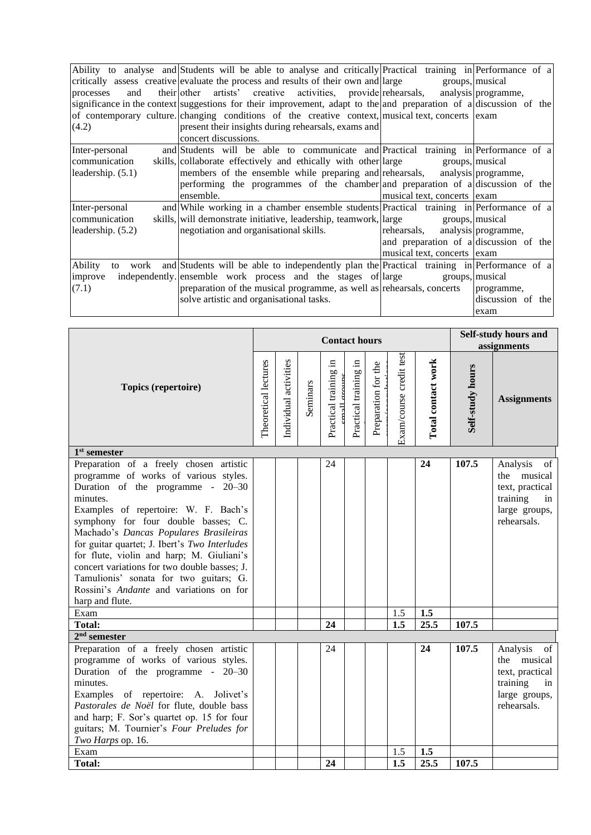|                     | Ability to analyse and Students will be able to analyse and critically Practical training in Performance of a      |                                        |                     |
|---------------------|--------------------------------------------------------------------------------------------------------------------|----------------------------------------|---------------------|
|                     | critically assess creative evaluate the process and results of their own and large                                 | groups, musical                        |                     |
| and<br>processes    | their other artists' creative activities, provide rehearsals, analysis programme,                                  |                                        |                     |
|                     | significance in the context suggestions for their improvement, adapt to the and preparation of a discussion of the |                                        |                     |
|                     | of contemporary culture. changing conditions of the creative context, musical text, concerts exam                  |                                        |                     |
| (4.2)               | present their insights during rehearsals, exams and                                                                |                                        |                     |
|                     | concert discussions.                                                                                               |                                        |                     |
| Inter-personal      | and Students will be able to communicate and Practical training in Performance of a                                |                                        |                     |
| communication       | skills, collaborate effectively and ethically with other large                                                     | groups, musical                        |                     |
| leadership. $(5.1)$ | members of the ensemble while preparing and rehearsals, analysis programme,                                        |                                        |                     |
|                     | performing the programmes of the chamber and preparation of a discussion of the                                    |                                        |                     |
|                     | ensemble.                                                                                                          | musical text, concerts exam            |                     |
| Inter-personal      | and While working in a chamber ensemble students Practical training in Performance of a                            |                                        |                     |
| communication       | skills, will demonstrate initiative, leadership, teamwork, large                                                   | groups, musical                        |                     |
| leadership. (5.2)   | negotiation and organisational skills.                                                                             | rehearsals,                            | analysis programme, |
|                     |                                                                                                                    | and preparation of a discussion of the |                     |
|                     |                                                                                                                    | musical text, concerts exam            |                     |
| <b>Ability</b>      | to work and Students will be able to independently plan the Practical training in Performance of a                 |                                        |                     |
| improve             | independently ensemble work process and the stages of large                                                        | groups, musical                        |                     |
| (7.1)               | preparation of the musical programme, as well as rehearsals, concerts                                              |                                        | programme,          |
|                     | solve artistic and organisational tasks.                                                                           |                                        | discussion of the   |
|                     |                                                                                                                    |                                        | exam                |

|                                                                                                                                                                                                                                                                                                                                                                                                                                                                                                                    |                      |                       |          | <b>Contact hours</b>                    |                       |                     |                         |                    | Self-study hours and<br>assignments |                                                                                                    |  |  |
|--------------------------------------------------------------------------------------------------------------------------------------------------------------------------------------------------------------------------------------------------------------------------------------------------------------------------------------------------------------------------------------------------------------------------------------------------------------------------------------------------------------------|----------------------|-----------------------|----------|-----------------------------------------|-----------------------|---------------------|-------------------------|--------------------|-------------------------------------|----------------------------------------------------------------------------------------------------|--|--|
| Topics (repertoire)                                                                                                                                                                                                                                                                                                                                                                                                                                                                                                | Theoretical lectures | Individual activities | Seminars | Practical training in<br>oroune<br>mall | Practical training in | Preparation for the | Exam/course credit test | Total contact work | Self-study hours                    | <b>Assignments</b>                                                                                 |  |  |
| $1st$ semester                                                                                                                                                                                                                                                                                                                                                                                                                                                                                                     |                      |                       |          |                                         |                       |                     |                         |                    |                                     |                                                                                                    |  |  |
| Preparation of a freely chosen artistic<br>programme of works of various styles.<br>Duration of the programme - $20-30$<br>minutes.<br>Examples of repertoire: W. F. Bach's<br>symphony for four double basses; C.<br>Machado's Dancas Populares Brasileiras<br>for guitar quartet; J. Ibert's Two Interludes<br>for flute, violin and harp; M. Giuliani's<br>concert variations for two double basses; J.<br>Tamulionis' sonata for two guitars; G.<br>Rossini's Andante and variations on for<br>harp and flute. |                      |                       |          | 24                                      |                       |                     |                         | 24                 | 107.5                               | Analysis<br>of<br>the musical<br>text, practical<br>training<br>in<br>large groups,<br>rehearsals. |  |  |
| Exam                                                                                                                                                                                                                                                                                                                                                                                                                                                                                                               |                      |                       |          |                                         |                       |                     | 1.5                     | 1.5                |                                     |                                                                                                    |  |  |
| <b>Total:</b>                                                                                                                                                                                                                                                                                                                                                                                                                                                                                                      |                      |                       |          | 24                                      |                       |                     | 1.5                     | 25.5               | 107.5                               |                                                                                                    |  |  |
| $2nd$ semester                                                                                                                                                                                                                                                                                                                                                                                                                                                                                                     |                      |                       |          |                                         |                       |                     |                         |                    |                                     |                                                                                                    |  |  |
| Preparation of a freely chosen artistic<br>programme of works of various styles.<br>Duration of the programme - 20–30<br>minutes.<br>Examples of repertoire: A. Jolivet's<br>Pastorales de Noël for flute, double bass<br>and harp; F. Sor's quartet op. 15 for four<br>guitars; M. Tournier's Four Preludes for<br>Two Harps op. 16.                                                                                                                                                                              |                      |                       |          | 24                                      |                       |                     |                         | 24                 | 107.5                               | Analysis<br>of<br>the musical<br>text, practical<br>training<br>in<br>large groups,<br>rehearsals. |  |  |
| Exam                                                                                                                                                                                                                                                                                                                                                                                                                                                                                                               |                      |                       |          |                                         |                       |                     | 1.5                     | 1.5                |                                     |                                                                                                    |  |  |
| <b>Total:</b>                                                                                                                                                                                                                                                                                                                                                                                                                                                                                                      |                      |                       |          | 24                                      |                       |                     | $\overline{1.5}$        | 25.5               | 107.5                               |                                                                                                    |  |  |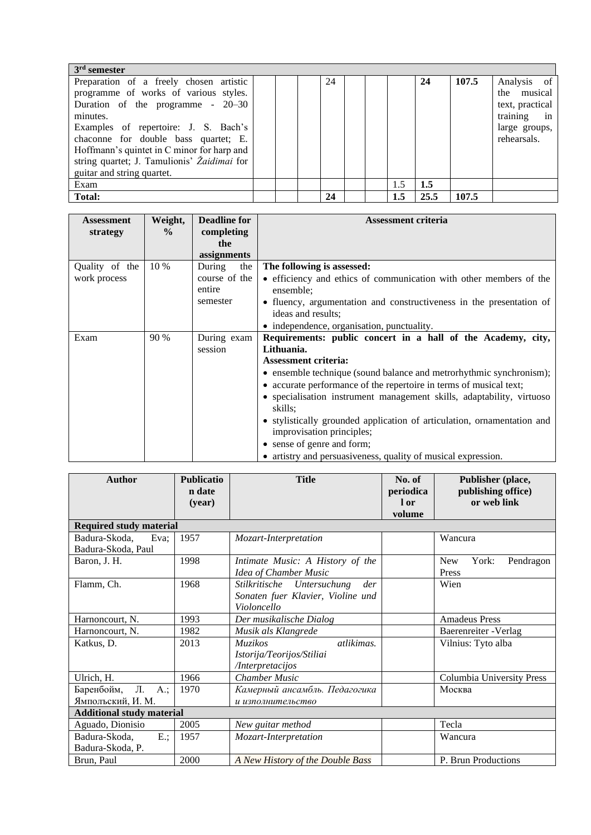| $3rd$ semester                              |  |    |  |     |      |       |                 |
|---------------------------------------------|--|----|--|-----|------|-------|-----------------|
| Preparation of a freely chosen artistic     |  | 24 |  |     | 24   | 107.5 | Analysis of     |
| programme of works of various styles.       |  |    |  |     |      |       | the musical     |
| Duration of the programme $-20-30$          |  |    |  |     |      |       | text, practical |
| minutes.                                    |  |    |  |     |      |       | training in     |
| Examples of repertoire: J. S. Bach's        |  |    |  |     |      |       | large groups,   |
| chaconne for double bass quartet; E.        |  |    |  |     |      |       | rehearsals.     |
| Hoffmann's quintet in C minor for harp and  |  |    |  |     |      |       |                 |
| string quartet; J. Tamulionis' Žaidimai for |  |    |  |     |      |       |                 |
| guitar and string quartet.                  |  |    |  |     |      |       |                 |
| Exam                                        |  |    |  | 1.5 | 1.5  |       |                 |
| Total:                                      |  | 24 |  | 1.5 | 25.5 | 107.5 |                 |

| <b>Assessment</b><br>strategy  | Weight,<br>$\frac{0}{0}$ | <b>Deadline for</b><br>completing<br>the<br>assignments | <b>Assessment criteria</b>                                                                                                                                                                                                                                                                                                                                                                                                                                                                                                                        |
|--------------------------------|--------------------------|---------------------------------------------------------|---------------------------------------------------------------------------------------------------------------------------------------------------------------------------------------------------------------------------------------------------------------------------------------------------------------------------------------------------------------------------------------------------------------------------------------------------------------------------------------------------------------------------------------------------|
| Quality of the<br>work process | 10 %                     | During<br>the<br>course of the<br>entire<br>semester    | The following is assessed:<br>• efficiency and ethics of communication with other members of the<br>ensemble;<br>• fluency, argumentation and constructiveness in the presentation of<br>ideas and results;<br>• independence, organisation, punctuality.                                                                                                                                                                                                                                                                                         |
| Exam                           | 90 %                     | During exam<br>session                                  | Requirements: public concert in a hall of the Academy, city,<br>Lithuania.<br><b>Assessment criteria:</b><br>• ensemble technique (sound balance and metrorhythmic synchronism);<br>• accurate performance of the repertoire in terms of musical text;<br>• specialisation instrument management skills, adaptability, virtuoso<br>skills;<br>• stylistically grounded application of articulation, ornamentation and<br>improvisation principles;<br>• sense of genre and form;<br>• artistry and persuasiveness, quality of musical expression. |

| <b>Author</b>                                | <b>Publicatio</b><br>n date<br>(year) | <b>Title</b>                                                                          | No. of<br>periodica<br>l or<br>volume | Publisher (place,<br>publishing office)<br>or web link |  |  |  |  |
|----------------------------------------------|---------------------------------------|---------------------------------------------------------------------------------------|---------------------------------------|--------------------------------------------------------|--|--|--|--|
| <b>Required study material</b>               |                                       |                                                                                       |                                       |                                                        |  |  |  |  |
| Badura-Skoda,<br>Eva:<br>Badura-Skoda, Paul  | 1957                                  | Mozart-Interpretation                                                                 |                                       | Wancura                                                |  |  |  |  |
| Baron, J. H.                                 | 1998                                  | Intimate Music: A History of the<br>Idea of Chamber Music                             |                                       | York:<br>Pendragon<br><b>New</b><br>Press              |  |  |  |  |
| Flamm, Ch.                                   | 1968                                  | Stilkritische Untersuchung<br>der<br>Sonaten fuer Klavier, Violine und<br>Violoncello |                                       |                                                        |  |  |  |  |
| Harnoncourt, N.                              | 1993                                  | Der musikalische Dialog                                                               |                                       | <b>Amadeus Press</b>                                   |  |  |  |  |
| Harnoncourt, N.                              | 1982                                  | Musik als Klangrede                                                                   |                                       | Baerenreiter - Verlag                                  |  |  |  |  |
| Katkus, D.                                   | 2013                                  | atlikimas.<br><b>Muzikos</b><br>Istorija/Teorijos/Stiliai<br>/Interpretacijos         |                                       | Vilnius: Tyto alba                                     |  |  |  |  |
| Ulrich, H.                                   | 1966                                  | <b>Chamber Music</b>                                                                  |                                       | Columbia University Press                              |  |  |  |  |
| Л.<br>Баренбойм,<br>A.;<br>Ямпольский, И. М. | 1970                                  | Камерный ансамбль. Педагогика<br>и изполнительство                                    | Москва                                |                                                        |  |  |  |  |
| <b>Additional study material</b>             |                                       |                                                                                       |                                       |                                                        |  |  |  |  |
| Aguado, Dionisio                             | 2005                                  | New guitar method                                                                     |                                       | Tecla                                                  |  |  |  |  |
| $E$ :<br>Badura-Skoda,<br>Badura-Skoda, P.   | 1957                                  | Mozart-Interpretation                                                                 | Wancura                               |                                                        |  |  |  |  |
| Brun, Paul                                   | 2000                                  | A New History of the Double Bass                                                      |                                       | P. Brun Productions                                    |  |  |  |  |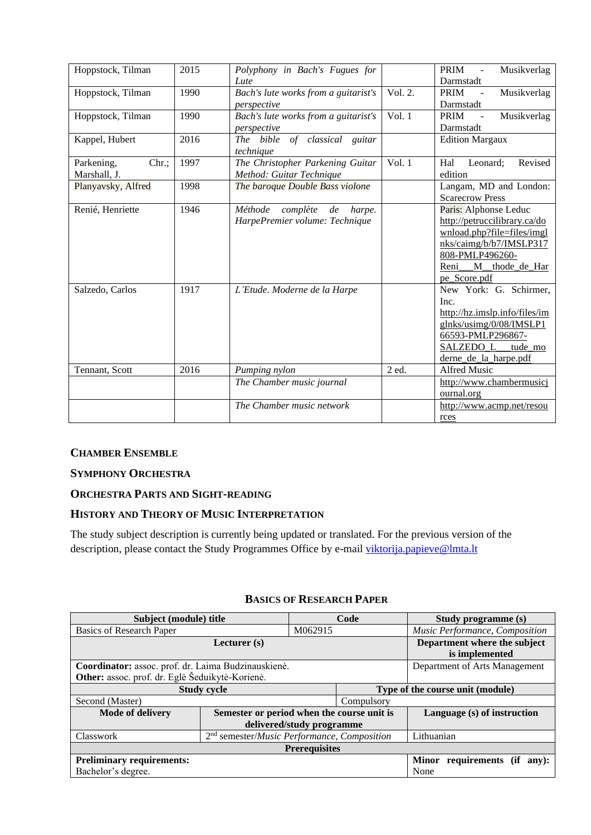| Hoppstock, Tilman   | 2015 | Polyphony in Bach's Fugues for       |                    | PRIM<br>Musikverlag<br>$\overline{\phantom{a}}$ |
|---------------------|------|--------------------------------------|--------------------|-------------------------------------------------|
|                     |      | Lute                                 |                    | Darmstadt                                       |
| Hoppstock, Tilman   | 1990 | Bach's lute works from a guitarist's | Vol. 2.            | <b>PRIM</b><br>Musikverlag<br>$\mathcal{L}$     |
|                     |      | perspective                          |                    | Darmstadt                                       |
| Hoppstock, Tilman   | 1990 | Bach's lute works from a guitarist's | Vol.1              | PRIM<br>Musikverlag                             |
|                     |      | perspective                          |                    | Darmstadt                                       |
| Kappel, Hubert      | 2016 | of classical<br>The bible<br>guitar  |                    | <b>Edition Margaux</b>                          |
|                     |      | technique                            |                    |                                                 |
| Chr.;<br>Parkening, | 1997 | The Christopher Parkening Guitar     | $\overline{Vol}.1$ | Revised<br>Hal<br>Leonard;                      |
| Marshall, J.        |      | Method: Guitar Technique             |                    | edition                                         |
| Planyavsky, Alfred  | 1998 | The baroque Double Bass violone      |                    | Langam, MD and London:                          |
|                     |      |                                      |                    | <b>Scarecrow Press</b>                          |
| Renié, Henriette    | 1946 | Méthode<br>complète<br>de<br>harpe.  |                    | Paris: Alphonse Leduc                           |
|                     |      | HarpePremier volume: Technique       |                    | http://petruccilibrary.ca/do                    |
|                     |      |                                      |                    | wnload.php?file=files/imgl                      |
|                     |      |                                      |                    | nks/caimg/b/b7/IMSLP317                         |
|                     |      |                                      |                    | 808-PMLP496260-                                 |
|                     |      |                                      |                    | Reni<br>M_thode_de_Har                          |
|                     |      |                                      |                    | pe Score.pdf                                    |
| Salzedo, Carlos     | 1917 | L'Etude. Moderne de la Harpe         |                    | New York: G. Schirmer,                          |
|                     |      |                                      |                    | Inc.                                            |
|                     |      |                                      |                    | http://hz.imslp.info/files/im                   |
|                     |      |                                      |                    | glnks/usimg/0/08/IMSLP1                         |
|                     |      |                                      |                    | 66593-PMLP296867-                               |
|                     |      |                                      |                    | SALZEDO_L_<br>tude_mo                           |
|                     |      |                                      |                    | derne de la harpe.pdf                           |
| Tennant, Scott      | 2016 | Pumping nylon                        | 2 ed.              | <b>Alfred Music</b>                             |
|                     |      | The Chamber music journal            |                    | http://www.chambermusicj                        |
|                     |      |                                      |                    | ournal.org                                      |
|                     |      | The Chamber music network            |                    | http://www.acmp.net/resou                       |
|                     |      |                                      |                    | rces                                            |

# <span id="page-16-0"></span>**CHAMBER ENSEMBLE**

#### <span id="page-16-1"></span>**SYMPHONY ORCHESTRA**

#### <span id="page-16-2"></span>**ORCHESTRA PARTS AND SIGHT-READING**

## <span id="page-16-3"></span>**HISTORY AND THEORY OF MUSIC INTERPRETATION**

The study subject description is currently being updated or translated. For the previous version of the description, please contact the Study Programmes Office by e-mail [viktorija.papieve@lmta.lt](mailto:viktorija.papieve@lmta.lt)

#### **BASICS OF RESEARCH PAPER**

<span id="page-16-4"></span>

| Subject (module) title                              |                                                               |                           | Code                             | Study programme (s)             |  |  |  |
|-----------------------------------------------------|---------------------------------------------------------------|---------------------------|----------------------------------|---------------------------------|--|--|--|
| <b>Basics of Research Paper</b>                     |                                                               | M062915                   |                                  | Music Performance, Composition  |  |  |  |
|                                                     | Lecturer $(s)$                                                |                           | Department where the subject     |                                 |  |  |  |
|                                                     |                                                               |                           |                                  | is implemented                  |  |  |  |
| Coordinator: assoc. prof. dr. Laima Budzinauskienė. |                                                               |                           |                                  | Department of Arts Management   |  |  |  |
| Other: assoc. prof. dr. Eglė Šeduikytė-Korienė.     |                                                               |                           |                                  |                                 |  |  |  |
|                                                     | <b>Study cycle</b>                                            |                           | Type of the course unit (module) |                                 |  |  |  |
| Second (Master)                                     |                                                               |                           | Compulsory                       |                                 |  |  |  |
| Mode of delivery                                    | Semester or period when the course unit is                    |                           |                                  | Language (s) of instruction     |  |  |  |
|                                                     |                                                               | delivered/study programme |                                  |                                 |  |  |  |
| Classwork                                           | $2nd$ semester/ <i>Music Performance</i> , <i>Composition</i> |                           | Lithuanian                       |                                 |  |  |  |
|                                                     |                                                               | <b>Prerequisites</b>      |                                  |                                 |  |  |  |
|                                                     |                                                               |                           |                                  |                                 |  |  |  |
| <b>Preliminary requirements:</b>                    |                                                               |                           |                                  | Minor requirements (if<br>any): |  |  |  |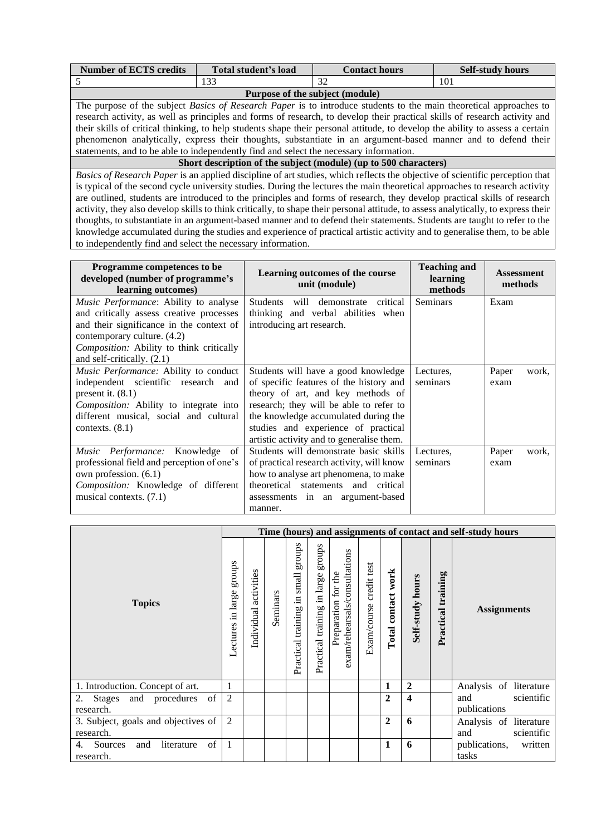| <b>Number of ECTS credits</b>                                                                                                      | Total student's load                                                                                                          | <b>Contact hours</b>                                                                                                         | <b>Self-study hours</b> |  |  |  |  |  |  |  |  |
|------------------------------------------------------------------------------------------------------------------------------------|-------------------------------------------------------------------------------------------------------------------------------|------------------------------------------------------------------------------------------------------------------------------|-------------------------|--|--|--|--|--|--|--|--|
|                                                                                                                                    | 133                                                                                                                           | 32                                                                                                                           | 101                     |  |  |  |  |  |  |  |  |
|                                                                                                                                    | Purpose of the subject (module)                                                                                               |                                                                                                                              |                         |  |  |  |  |  |  |  |  |
|                                                                                                                                    |                                                                                                                               | The purpose of the subject <i>Basics of Research Paper</i> is to introduce students to the main theoretical approaches to    |                         |  |  |  |  |  |  |  |  |
|                                                                                                                                    |                                                                                                                               | research activity, as well as principles and forms of research, to develop their practical skills of research activity and   |                         |  |  |  |  |  |  |  |  |
|                                                                                                                                    | their skills of critical thinking, to help students shape their personal attitude, to develop the ability to assess a certain |                                                                                                                              |                         |  |  |  |  |  |  |  |  |
|                                                                                                                                    | phenomenon analytically, express their thoughts, substantiate in an argument-based manner and to defend their                 |                                                                                                                              |                         |  |  |  |  |  |  |  |  |
| statements, and to be able to independently find and select the necessary information.                                             |                                                                                                                               |                                                                                                                              |                         |  |  |  |  |  |  |  |  |
|                                                                                                                                    |                                                                                                                               | Short description of the subject (module) (up to 500 characters)                                                             |                         |  |  |  |  |  |  |  |  |
|                                                                                                                                    |                                                                                                                               | Basics of Research Paper is an applied discipline of art studies, which reflects the objective of scientific perception that |                         |  |  |  |  |  |  |  |  |
| is typical of the second cycle university studies. During the lectures the main theoretical approaches to research activity        |                                                                                                                               |                                                                                                                              |                         |  |  |  |  |  |  |  |  |
| are outlined, students are introduced to the principles and forms of research, they develop practical skills of research           |                                                                                                                               |                                                                                                                              |                         |  |  |  |  |  |  |  |  |
| activity, they also develop skills to think critically, to shape their personal attitude, to assess analytically, to express their |                                                                                                                               |                                                                                                                              |                         |  |  |  |  |  |  |  |  |
|                                                                                                                                    |                                                                                                                               | thoughts, to substantiate in an argument-based manner and to defend their statements. Students are taught to refer to the    |                         |  |  |  |  |  |  |  |  |

knowledge accumulated during the studies and experience of practical artistic activity and to generalise them, to be able

to independently find and select the necessary information.

| Programme competences to be<br>developed (number of programme's<br>learning outcomes)                                                                                                                                                  | Learning outcomes of the course<br>unit (module)                                                                                                                                                                                                                                           | <b>Teaching and</b><br>learning<br>methods | <b>Assessment</b><br>methods |  |  |
|----------------------------------------------------------------------------------------------------------------------------------------------------------------------------------------------------------------------------------------|--------------------------------------------------------------------------------------------------------------------------------------------------------------------------------------------------------------------------------------------------------------------------------------------|--------------------------------------------|------------------------------|--|--|
| Music Performance: Ability to analyse<br>and critically assess creative processes<br>and their significance in the context of<br>contemporary culture. (4.2)<br>Composition: Ability to think critically<br>and self-critically. (2.1) | will demonstrate critical<br><b>Students</b><br>thinking and verbal abilities when<br>introducing art research.                                                                                                                                                                            | <b>Seminars</b>                            | Exam                         |  |  |
| Music Performance: Ability to conduct<br>independent scientific research and<br>present it. $(8.1)$<br>Composition: Ability to integrate into<br>different musical, social and cultural<br>contexts. $(8.1)$                           | Students will have a good knowledge<br>of specific features of the history and<br>theory of art, and key methods of<br>research; they will be able to refer to<br>the knowledge accumulated during the<br>studies and experience of practical<br>artistic activity and to generalise them. | Lectures,<br>seminars                      | Paper<br>work,<br>exam       |  |  |
| Music Performance: Knowledge<br>of<br>professional field and perception of one's<br>own profession. (6.1)<br>Composition: Knowledge of different<br>musical contexts. (7.1)                                                            | Students will demonstrate basic skills<br>of practical research activity, will know<br>how to analyse art phenomena, to make<br>theoretical statements and critical<br>assessments in an argument-based<br>manner.                                                                         | Lectures,<br>seminars                      | Paper<br>work,<br>exam       |  |  |

|                                                       | Time (hours) and assignments of contact and self-study hours |                       |          |                                                |                                       |                                                      |                         |                    |                  |                       |                                   |
|-------------------------------------------------------|--------------------------------------------------------------|-----------------------|----------|------------------------------------------------|---------------------------------------|------------------------------------------------------|-------------------------|--------------------|------------------|-----------------------|-----------------------------------|
| <b>Topics</b>                                         | groups<br>Lectures in large                                  | Individual activities | Seminars | stonbs<br>small<br>且.<br>training<br>Practical | stonbs<br>Practical training in large | exam/rehearsals/consultations<br>Preparation for the | Exam/course credit test | Total contact work | Self-study hours | training<br>Practical | <b>Assignments</b>                |
| 1. Introduction. Concept of art.                      |                                                              |                       |          |                                                |                                       |                                                      |                         | 1                  | $\overline{2}$   |                       | Analysis of literature            |
| of<br>2. Stages and procedures                        | 2                                                            |                       |          |                                                |                                       |                                                      |                         | $\mathbf{2}$       | 4                |                       | and<br>scientific                 |
| research.                                             |                                                              |                       |          |                                                |                                       |                                                      |                         |                    |                  |                       | publications                      |
| 3. Subject, goals and objectives of                   | 2                                                            |                       |          |                                                |                                       |                                                      |                         | $\mathbf{2}$       | 6                |                       | Analysis of literature            |
| research.                                             |                                                              |                       |          |                                                |                                       |                                                      |                         |                    |                  |                       | and<br>scientific                 |
| of<br>Sources<br>and<br>literature<br>4.<br>research. | $\overline{1}$                                               |                       |          |                                                |                                       |                                                      |                         | 1                  | 6                |                       | publications,<br>written<br>tasks |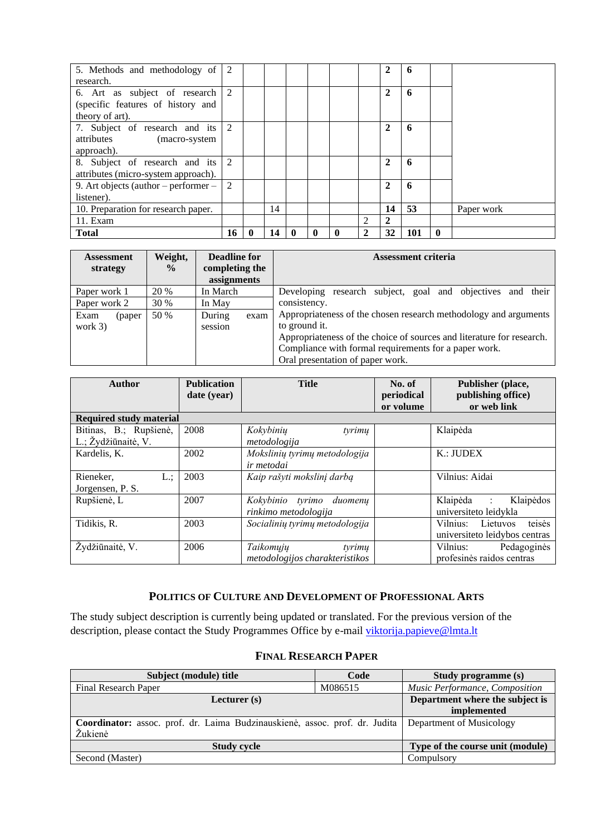| 5. Methods and methodology of        | 2  |   |    |   |   |                             | 2              | 6   |              |            |
|--------------------------------------|----|---|----|---|---|-----------------------------|----------------|-----|--------------|------------|
| research.                            |    |   |    |   |   |                             |                |     |              |            |
| 6. Art as subject of research        | 2  |   |    |   |   |                             | 2              | 6   |              |            |
| (specific features of history and    |    |   |    |   |   |                             |                |     |              |            |
| theory of art).                      |    |   |    |   |   |                             |                |     |              |            |
| 7. Subject of research and its 2     |    |   |    |   |   |                             | $\overline{2}$ | 6   |              |            |
| attributes (macro-system             |    |   |    |   |   |                             |                |     |              |            |
| approach).                           |    |   |    |   |   |                             |                |     |              |            |
| 8. Subject of research and its       | 2  |   |    |   |   |                             | $\mathbf{2}$   | 6   |              |            |
| attributes (micro-system approach).  |    |   |    |   |   |                             |                |     |              |            |
| 9. Art objects (author – performer – | 2  |   |    |   |   |                             | 2              | 6   |              |            |
| listener).                           |    |   |    |   |   |                             |                |     |              |            |
| 10. Preparation for research paper.  |    |   | 14 |   |   |                             | 14             | 53  |              | Paper work |
| 11. Exam                             |    |   |    |   |   | $\mathcal{D}_{\mathcal{A}}$ | 2              |     |              |            |
| <b>Total</b>                         | 16 | 0 | 14 | 0 | 0 |                             | 32             | 101 | $\mathbf{0}$ |            |

| <b>Assessment</b><br>strategy | Weight,<br>$\frac{0}{0}$ | <b>Deadline for</b><br>completing the<br>assignments | <b>Assessment criteria</b>                                                                                                                                                                                                                              |
|-------------------------------|--------------------------|------------------------------------------------------|---------------------------------------------------------------------------------------------------------------------------------------------------------------------------------------------------------------------------------------------------------|
| Paper work 1                  | 20 %                     | In March                                             | Developing research subject, goal and objectives and their                                                                                                                                                                                              |
| Paper work 2                  | 30 %                     | In May                                               | consistency.                                                                                                                                                                                                                                            |
| Exam<br>(paper)<br>work $3)$  | 50 %                     | During<br>exam<br>session                            | Appropriateness of the chosen research methodology and arguments<br>to ground it.<br>Appropriateness of the choice of sources and literature for research.<br>Compliance with formal requirements for a paper work.<br>Oral presentation of paper work. |

| <b>Author</b>                                 | <b>Publication</b><br>date (year) | <b>Title</b>                                          | No. of<br>periodical<br>or volume | Publisher (place,<br>publishing office)<br>or web link       |
|-----------------------------------------------|-----------------------------------|-------------------------------------------------------|-----------------------------------|--------------------------------------------------------------|
| <b>Required study material</b>                |                                   |                                                       |                                   |                                                              |
| Bitinas, B.; Rupšienė,<br>L.; Žydžiūnaitė, V. | 2008                              | Kokybinių<br>tyrimų<br>metodologija                   |                                   | Klaipėda                                                     |
| Kardelis, K.                                  | 2002                              | Mokslinių tyrimų metodologija<br>ir metodai           |                                   | K:JUDEX                                                      |
| $L$ .;<br>Rieneker.<br>Jorgensen, P. S.       | 2003                              | Kaip rašyti mokslinį darbą                            |                                   | Vilnius: Aidai                                               |
| Rupšienė, L                                   | 2007                              | Kokybinio tyrimo<br>duomenu<br>rinkimo metodologija   |                                   | Klaipėda<br>Klaipėdos<br>$\sim 100$<br>universiteto leidykla |
| Tidikis, R.                                   | 2003                              | Socialinių tyrimų metodologija                        |                                   | teisės<br>Vilnius: Lietuvos<br>universiteto leidybos centras |
| Žydžiūnaitė, V.                               | 2006                              | Taikomųjų<br>tyrimų<br>metodologijos charakteristikos |                                   | Vilnius:<br>Pedagoginės<br>profesinės raidos centras         |

# **POLITICS OF CULTURE AND DEVELOPMENT OF PROFESSIONAL ARTS**

<span id="page-18-0"></span>The study subject description is currently being updated or translated. For the previous version of the description, please contact the Study Programmes Office by e-mail [viktorija.papieve@lmta.lt](mailto:viktorija.papieve@lmta.lt)

### **FINAL RESEARCH PAPER**

<span id="page-18-1"></span>

| Subject (module) title                                                      | Code                             | Study programme (s)             |
|-----------------------------------------------------------------------------|----------------------------------|---------------------------------|
| Final Research Paper                                                        | M086515                          | Music Performance, Composition  |
| Lecturer $(s)$                                                              |                                  | Department where the subject is |
|                                                                             | implemented                      |                                 |
| Coordinator: assoc. prof. dr. Laima Budzinauskienė, assoc. prof. dr. Judita | Department of Musicology         |                                 |
| Žukienė                                                                     |                                  |                                 |
| <b>Study cycle</b>                                                          | Type of the course unit (module) |                                 |
| Second (Master)                                                             |                                  | Compulsory                      |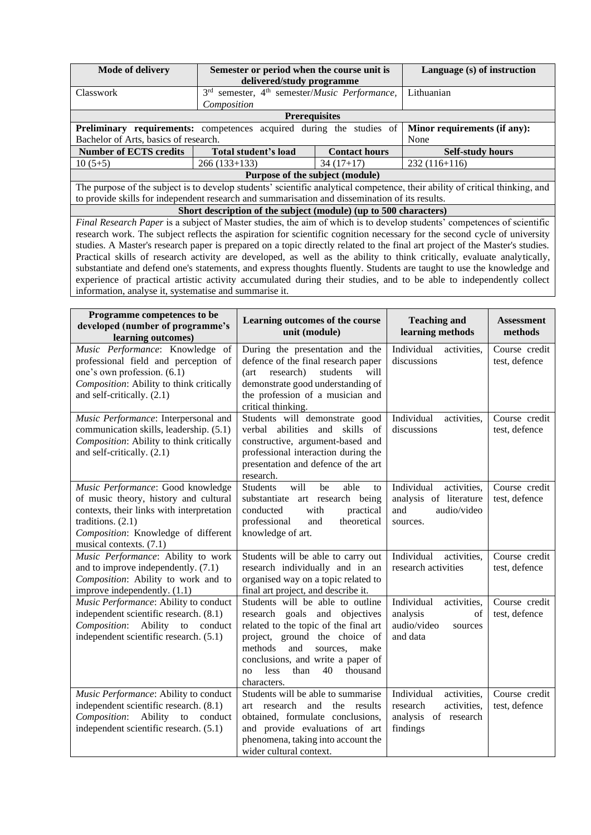| <b>Mode of delivery</b>                                                                        | Semester or period when the course unit is<br>delivered/study programme        | Language (s) of instruction |                                                                                                                              |
|------------------------------------------------------------------------------------------------|--------------------------------------------------------------------------------|-----------------------------|------------------------------------------------------------------------------------------------------------------------------|
| Classwork                                                                                      | 3 <sup>rd</sup> semester, 4 <sup>th</sup> semester/ <i>Music Performance</i> , |                             | Lithuanian                                                                                                                   |
|                                                                                                | Composition                                                                    |                             |                                                                                                                              |
|                                                                                                | <b>Prerequisites</b>                                                           |                             |                                                                                                                              |
| Preliminary requirements: competences acquired during the studies of                           |                                                                                |                             | Minor requirements (if any):                                                                                                 |
| Bachelor of Arts, basics of research.                                                          |                                                                                |                             | None                                                                                                                         |
| <b>Number of ECTS credits</b>                                                                  | Total student's load                                                           | <b>Contact hours</b>        | <b>Self-study hours</b>                                                                                                      |
| $10(5+5)$                                                                                      | $266(133+133)$                                                                 | $34(17+17)$                 | $232(116+116)$                                                                                                               |
|                                                                                                | Purpose of the subject (module)                                                |                             |                                                                                                                              |
|                                                                                                |                                                                                |                             | The purpose of the subject is to develop students' scientific analytical competence, their ability of critical thinking, and |
| to provide skills for independent research and summarisation and dissemination of its results. |                                                                                |                             |                                                                                                                              |
|                                                                                                | Short description of the subject (module) (up to 500 characters)               |                             |                                                                                                                              |
|                                                                                                |                                                                                |                             | Final Research Paper is a subject of Master studies, the aim of which is to develop students' competences of scientific      |
|                                                                                                |                                                                                |                             | research work. The subject reflects the aspiration for scientific cognition necessary for the second cycle of university     |
|                                                                                                |                                                                                |                             | studies. A Master's research paper is prepared on a topic directly related to the final art project of the Master's studies. |
|                                                                                                |                                                                                |                             | Practical skills of research activity are developed, as well as the ability to think critically, evaluate analytically,      |
|                                                                                                |                                                                                |                             | substantiate and defend one's statements, and express thoughts fluently. Students are taught to use the knowledge and        |
|                                                                                                |                                                                                |                             | experience of practical artistic activity accumulated during their studies, and to be able to independently collect          |
| information, analyse it, systematise and summarise it.                                         |                                                                                |                             |                                                                                                                              |

| Programme competences to be<br>developed (number of programme's<br>learning outcomes)                                                                                                                            | Learning outcomes of the course<br>unit (module)                                                                                                                                                                                                                                     | <b>Teaching and</b><br>learning methods                                                     | <b>Assessment</b><br>methods   |
|------------------------------------------------------------------------------------------------------------------------------------------------------------------------------------------------------------------|--------------------------------------------------------------------------------------------------------------------------------------------------------------------------------------------------------------------------------------------------------------------------------------|---------------------------------------------------------------------------------------------|--------------------------------|
| Music Performance: Knowledge of<br>professional field and perception of<br>one's own profession. (6.1)<br>Composition: Ability to think critically<br>and self-critically. (2.1)                                 | During the presentation and the<br>defence of the final research paper<br>students<br>research)<br>will<br>(art<br>demonstrate good understanding of<br>the profession of a musician and<br>critical thinking.                                                                       | Individual<br>activities,<br>discussions                                                    | Course credit<br>test, defence |
| Music Performance: Interpersonal and<br>communication skills, leadership. (5.1)<br>Composition: Ability to think critically<br>and self-critically. (2.1)                                                        | Students will demonstrate good<br>verbal abilities and skills<br>- of<br>constructive, argument-based and<br>professional interaction during the<br>presentation and defence of the art<br>research.                                                                                 | Individual<br>activities,<br>discussions                                                    | Course credit<br>test, defence |
| Music Performance: Good knowledge<br>of music theory, history and cultural<br>contexts, their links with interpretation<br>traditions. $(2.1)$<br>Composition: Knowledge of different<br>musical contexts. (7.1) | <b>Students</b><br>will<br>be<br>able<br>to<br>substantiate art research being<br>conducted<br>practical<br>with<br>professional<br>theoretical<br>and<br>knowledge of art.                                                                                                          | Individual<br>activities,<br>analysis of literature<br>and<br>audio/video<br>sources.       | Course credit<br>test, defence |
| Music Performance: Ability to work<br>and to improve independently. (7.1)<br>Composition: Ability to work and to<br>improve independently. (1.1)                                                                 | Students will be able to carry out<br>research individually and in an<br>organised way on a topic related to<br>final art project, and describe it.                                                                                                                                  | Individual<br>activities.<br>research activities                                            | Course credit<br>test, defence |
| Music Performance: Ability to conduct<br>independent scientific research. (8.1)<br>Composition: Ability to conduct<br>independent scientific research. (5.1)                                                     | Students will be able to outline<br>research goals and objectives<br>related to the topic of the final art<br>project, ground the choice of<br>and<br>methods<br>sources,<br>make<br>conclusions, and write a paper of<br><i>less</i><br>than<br>40<br>thousand<br>no<br>characters. | Individual<br>activities,<br>analysis<br>of<br>audio/video<br>sources<br>and data           | Course credit<br>test, defence |
| Music Performance: Ability to conduct<br>independent scientific research. (8.1)<br>Composition:<br>Ability to conduct<br>independent scientific research. (5.1)                                                  | Students will be able to summarise<br>and<br>art research<br>the<br>results<br>obtained, formulate conclusions,<br>and provide evaluations of art<br>phenomena, taking into account the<br>wider cultural context.                                                                   | Individual<br>activities,<br>research<br>activities,<br>analysis<br>of research<br>findings | Course credit<br>test, defence |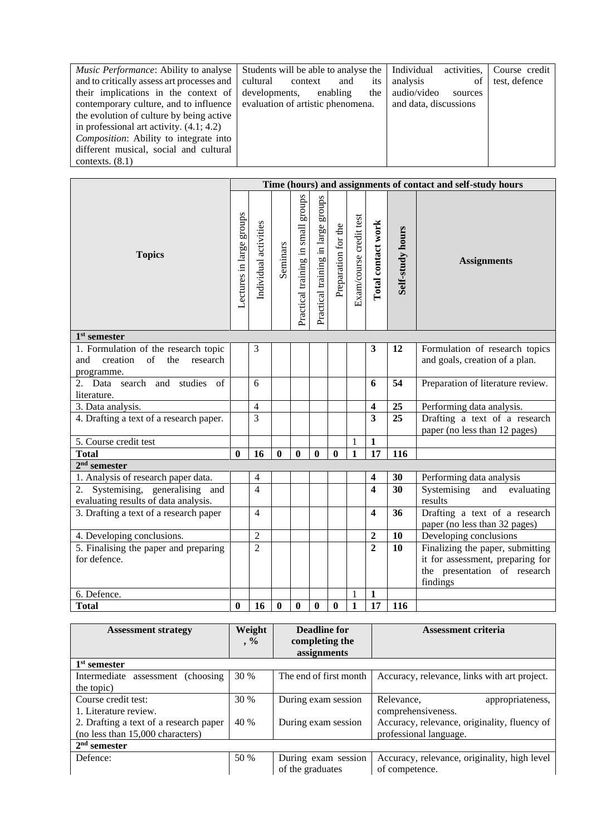| <i>Music Performance:</i> Ability to analyse  | Individual<br>Students will be able to analyse the | activities,<br>Course credit |
|-----------------------------------------------|----------------------------------------------------|------------------------------|
| and to critically assess art processes and    | analysis<br>cultural<br>context<br>its<br>and      | test, defence<br>of          |
| their implications in the context of          | developments,<br>enabling<br>the                   | audio/video<br>sources       |
| contemporary culture, and to influence        | evaluation of artistic phenomena.                  | and data, discussions        |
| the evolution of culture by being active      |                                                    |                              |
| in professional art activity. $(4.1; 4.2)$    |                                                    |                              |
| <i>Composition:</i> Ability to integrate into |                                                    |                              |
| different musical, social and cultural        |                                                    |                              |
| contexts. $(8.1)$                             |                                                    |                              |

|                                                                                                        |                          | Time (hours) and assignments of contact and self-study hours |              |                                       |                                       |                     |                         |                         |                  |                                                                                                                  |
|--------------------------------------------------------------------------------------------------------|--------------------------|--------------------------------------------------------------|--------------|---------------------------------------|---------------------------------------|---------------------|-------------------------|-------------------------|------------------|------------------------------------------------------------------------------------------------------------------|
| <b>Topics</b>                                                                                          | Lectures in large groups | Individual activities                                        | Seminars     | groups<br>Practical training in small | groups<br>Practical training in large | Preparation for the | Exam/course credit test | Total contact work      | Self-study hours | <b>Assignments</b>                                                                                               |
| $1st$ semester                                                                                         |                          |                                                              |              |                                       |                                       |                     |                         |                         |                  |                                                                                                                  |
| 1. Formulation of the research topic<br>creation<br>$\sigma$ f<br>and<br>the<br>research<br>programme. |                          | 3                                                            |              |                                       |                                       |                     |                         | 3                       | 12               | Formulation of research topics<br>and goals, creation of a plan.                                                 |
| 2. Data search and studies<br>of<br>literature.                                                        |                          | 6                                                            |              |                                       |                                       |                     |                         | 6                       | 54               | Preparation of literature review.                                                                                |
| 3. Data analysis.                                                                                      |                          | $\overline{4}$                                               |              |                                       |                                       |                     |                         | $\overline{\mathbf{4}}$ | 25               | Performing data analysis.                                                                                        |
| 4. Drafting a text of a research paper.                                                                |                          | 3                                                            |              |                                       |                                       |                     |                         | $\overline{\mathbf{3}}$ | 25               | Drafting a text of a research<br>paper (no less than 12 pages)                                                   |
| 5. Course credit test                                                                                  |                          |                                                              |              |                                       |                                       |                     | 1                       | $\mathbf{1}$            |                  |                                                                                                                  |
| <b>Total</b>                                                                                           | 0                        | 16                                                           | $\mathbf{0}$ | 0                                     | $\mathbf{0}$                          | 0                   | 1                       | 17                      | 116              |                                                                                                                  |
| $2nd$ semester                                                                                         |                          |                                                              |              |                                       |                                       |                     |                         |                         |                  |                                                                                                                  |
| 1. Analysis of research paper data.                                                                    |                          | $\overline{4}$                                               |              |                                       |                                       |                     |                         | 4                       | 30               | Performing data analysis                                                                                         |
| 2. Systemising, generalising and<br>evaluating results of data analysis.                               |                          | $\overline{4}$                                               |              |                                       |                                       |                     |                         | $\overline{\mathbf{4}}$ | 30               | Systemising<br>and<br>evaluating<br>results                                                                      |
| 3. Drafting a text of a research paper                                                                 |                          | $\overline{4}$                                               |              |                                       |                                       |                     |                         | $\overline{\mathbf{4}}$ | 36               | Drafting a text of a research<br>paper (no less than 32 pages)                                                   |
| 4. Developing conclusions.                                                                             |                          | $\overline{2}$                                               |              |                                       |                                       |                     |                         | $\overline{2}$          | <b>10</b>        | Developing conclusions                                                                                           |
| 5. Finalising the paper and preparing<br>for defence.                                                  |                          | $\overline{2}$                                               |              |                                       |                                       |                     |                         | $\overline{2}$          | <b>10</b>        | Finalizing the paper, submitting<br>it for assessment, preparing for<br>the presentation of research<br>findings |
| 6. Defence.                                                                                            |                          |                                                              |              |                                       |                                       |                     | 1                       | $\mathbf{1}$            |                  |                                                                                                                  |
| <b>Total</b>                                                                                           | 0                        | 16                                                           | $\bf{0}$     | $\bf{0}$                              | $\bf{0}$                              | $\bf{0}$            | $\mathbf{1}$            | 17                      | 116              |                                                                                                                  |

| <b>Assessment strategy</b>             | Weight    | Deadline for           | <b>Assessment criteria</b>                   |
|----------------------------------------|-----------|------------------------|----------------------------------------------|
|                                        | $\cdot$ % | completing the         |                                              |
|                                        |           | assignments            |                                              |
| 1 <sup>st</sup> semester               |           |                        |                                              |
| Intermediate assessment<br>(choosing)  | 30 %      | The end of first month | Accuracy, relevance, links with art project. |
| the topic)                             |           |                        |                                              |
| Course credit test:                    | 30 %      | During exam session    | Relevance,<br>appropriateness,               |
| 1. Literature review.                  |           |                        | comprehensiveness.                           |
| 2. Drafting a text of a research paper | 40 %      | During exam session    | Accuracy, relevance, originality, fluency of |
| (no less than 15,000 characters)       |           |                        | professional language.                       |
| $2nd$ semester                         |           |                        |                                              |
| Defence:                               | 50 %      | During exam session    | Accuracy, relevance, originality, high level |
|                                        |           | of the graduates       | of competence.                               |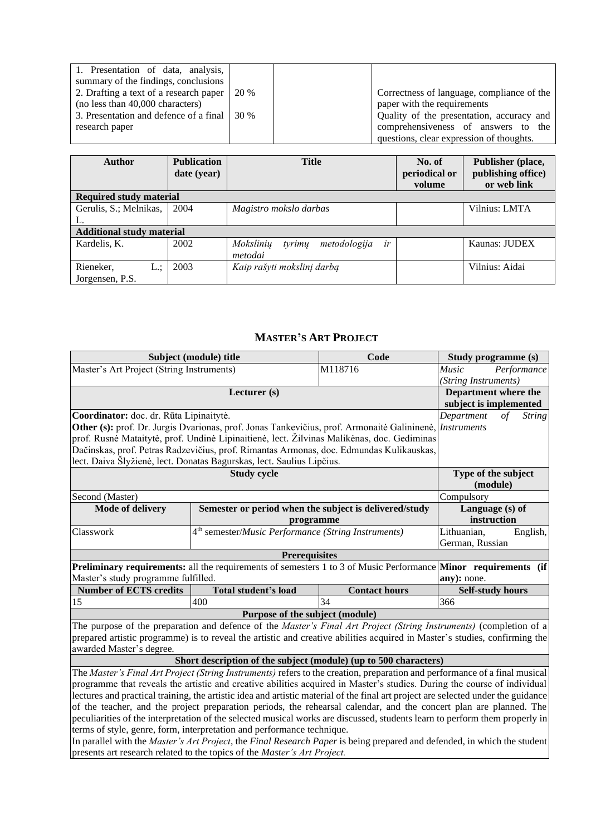| 1. Presentation of data, analysis,            |      |                                            |
|-----------------------------------------------|------|--------------------------------------------|
| summary of the findings, conclusions          |      |                                            |
| 2. Drafting a text of a research paper        | 20 % | Correctness of language, compliance of the |
| (no less than 40,000 characters)              |      | paper with the requirements                |
| 3. Presentation and defence of a final 1 30 % |      | Quality of the presentation, accuracy and  |
| research paper                                |      | comprehensiveness of answers to the        |
|                                               |      | questions, clear expression of thoughts.   |

| <b>Author</b>                    | <b>Publication</b><br>date (year) | <b>Title</b>                              | No. of<br>periodical or<br>volume | Publisher (place,<br>publishing office)<br>or web link |
|----------------------------------|-----------------------------------|-------------------------------------------|-----------------------------------|--------------------------------------------------------|
| <b>Required study material</b>   |                                   |                                           |                                   |                                                        |
| Gerulis, S.; Melnikas,           | 2004                              | Magistro mokslo darbas                    |                                   | Vilnius: LMTA                                          |
| L.                               |                                   |                                           |                                   |                                                        |
| <b>Additional study material</b> |                                   |                                           |                                   |                                                        |
| Kardelis, K.                     | 2002                              | Mokslinių<br>metodologija<br>ir<br>tyrimų |                                   | Kaunas: JUDEX                                          |
|                                  |                                   | metodai                                   |                                   |                                                        |
| Rieneker,<br>L.:                 | 2003                              | Kaip rašyti mokslinį darbą                |                                   | Vilnius: Aidai                                         |
| Jorgensen, P.S.                  |                                   |                                           |                                   |                                                        |

#### **MASTER'S ART PROJECT**

<span id="page-21-0"></span>

|                                           | Code<br>Subject (module) title<br>Study programme (s)                                                                        |                      |                         |                             |  |  |
|-------------------------------------------|------------------------------------------------------------------------------------------------------------------------------|----------------------|-------------------------|-----------------------------|--|--|
| Master's Art Project (String Instruments) |                                                                                                                              | M118716              | <i>Music</i>            | Performance                 |  |  |
|                                           |                                                                                                                              |                      |                         | (String Instruments)        |  |  |
|                                           | Lecturer (s)                                                                                                                 |                      | Department where the    |                             |  |  |
|                                           | subject is implemented                                                                                                       |                      |                         |                             |  |  |
| Coordinator: doc. dr. Rūta Lipinaitytė.   |                                                                                                                              |                      | Department              | $\sigma f$<br><i>String</i> |  |  |
|                                           | Other (s): prof. Dr. Jurgis Dvarionas, prof. Jonas Tankevičius, prof. Armonaitė Galininenė, <i>Instruments</i>               |                      |                         |                             |  |  |
|                                           | prof. Rusnė Mataitytė, prof. Undinė Lipinaitienė, lect. Žilvinas Malikėnas, doc. Gediminas                                   |                      |                         |                             |  |  |
|                                           | Dačinskas, prof. Petras Radzevičius, prof. Rimantas Armonas, doc. Edmundas Kulikauskas,                                      |                      |                         |                             |  |  |
|                                           | lect. Daiva Šlyžienė, lect. Donatas Bagurskas, lect. Saulius Lipčius.                                                        |                      |                         |                             |  |  |
|                                           | Type of the subject                                                                                                          |                      |                         |                             |  |  |
|                                           |                                                                                                                              |                      | (module)                |                             |  |  |
| Second (Master)                           |                                                                                                                              |                      | Compulsory              |                             |  |  |
| <b>Mode of delivery</b>                   | Semester or period when the subject is delivered/study                                                                       |                      | Language $(s)$ of       |                             |  |  |
|                                           | programme                                                                                                                    |                      | instruction             |                             |  |  |
| Classwork                                 | 4 <sup>th</sup> semester/ <i>Music Performance</i> (String Instruments)                                                      |                      | Lithuanian,             | English,                    |  |  |
|                                           |                                                                                                                              |                      | German, Russian         |                             |  |  |
|                                           | <b>Prerequisites</b>                                                                                                         |                      |                         |                             |  |  |
|                                           | <b>Preliminary requirements:</b> all the requirements of semesters 1 to 3 of Music Performance <b>Minor</b> requirements (if |                      |                         |                             |  |  |
| Master's study programme fulfilled.       |                                                                                                                              |                      | any): none.             |                             |  |  |
| <b>Number of ECTS credits</b>             | Total student's load                                                                                                         | <b>Contact hours</b> | <b>Self-study hours</b> |                             |  |  |
| 15                                        | 400                                                                                                                          | 34                   | 366                     |                             |  |  |
|                                           | Purpose of the subject (module)                                                                                              |                      |                         |                             |  |  |
|                                           | The purpose of the preparation and defence of the Master's Final Art Project (String Instruments) (completion of a           |                      |                         |                             |  |  |
|                                           | prepared artistic programme) is to reveal the artistic and creative abilities acquired in Master's studies, confirming the   |                      |                         |                             |  |  |

awarded Master's degree.

### **Short description of the subject (module) (up to 500 characters)**

The *Master's Final Art Project (String Instruments)* refers to the creation, preparation and performance of a final musical programme that reveals the artistic and creative abilities acquired in Master's studies. During the course of individual lectures and practical training, the artistic idea and artistic material of the final art project are selected under the guidance of the teacher, and the project preparation periods, the rehearsal calendar, and the concert plan are planned. The peculiarities of the interpretation of the selected musical works are discussed, students learn to perform them properly in terms of style, genre, form, interpretation and performance technique.

In parallel with the *Master's Art Project*, the *Final Research Paper* is being prepared and defended, in which the student presents art research related to the topics of the *Master's Art Project.*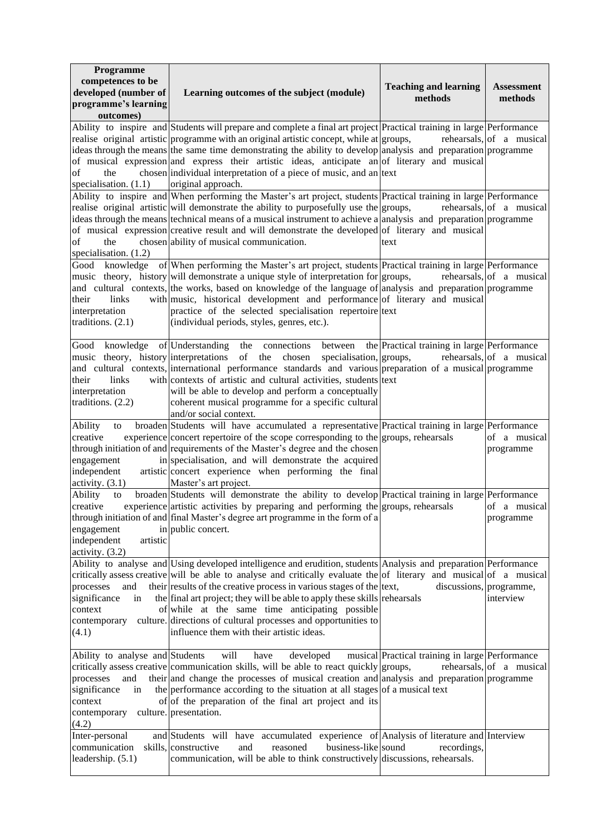| Programme<br>competences to be<br>developed (number of<br>programme's learning<br>outcomes)                   | Learning outcomes of the subject (module)                                                                                                                                                                                                                                                                                                                                                                                                                                                                                                                       | <b>Teaching and learning</b><br>methods         | <b>Assessment</b><br>methods |
|---------------------------------------------------------------------------------------------------------------|-----------------------------------------------------------------------------------------------------------------------------------------------------------------------------------------------------------------------------------------------------------------------------------------------------------------------------------------------------------------------------------------------------------------------------------------------------------------------------------------------------------------------------------------------------------------|-------------------------------------------------|------------------------------|
| of<br>the<br>specialisation. $(1.1)$                                                                          | Ability to inspire and Students will prepare and complete a final art project Practical training in large Performance<br>realise original artistic programme with an original artistic concept, while at groups,<br>ideas through the means the same time demonstrating the ability to develop analysis and preparation programme<br>of musical expression and express their artistic ideas, anticipate an of literary and musical<br>chosen individual interpretation of a piece of music, and an text<br>original approach.                                   |                                                 | rehearsals, of a musical     |
| the<br>of<br>specialisation. $(1.2)$                                                                          | Ability to inspire and When performing the Master's art project, students Practical training in large Performance<br>realise original artistic will demonstrate the ability to purposefully use the groups,<br>ideas through the means technical means of a musical instrument to achieve a analysis and preparation programme<br>of musical expression creative result and will demonstrate the developed of literary and musical<br>chosen ability of musical communication.                                                                                  | text                                            | rehearsals, of a musical     |
| their<br>links<br>interpretation<br>traditions. $(2.1)$                                                       | Good knowledge of When performing the Master's art project, students Practical training in large Performance<br>music theory, history will demonstrate a unique style of interpretation for groups,<br>and cultural contexts, the works, based on knowledge of the language of analysis and preparation programme<br>with music, historical development and performance of literary and musical<br>practice of the selected specialisation repertoire text<br>(individual periods, styles, genres, etc.).                                                       |                                                 | rehearsals, of a musical     |
| their<br>links<br>interpretation<br>traditions. $(2.2)$                                                       | Good knowledge of Understanding the connections between the Practical training in large Performance<br>music theory, history interpretations of the chosen<br>specialisation, groups,<br>and cultural contexts, international performance standards and various preparation of a musical programme<br>with contexts of artistic and cultural activities, students text<br>will be able to develop and perform a conceptually<br>coherent musical programme for a specific cultural<br>and/or social context.                                                    |                                                 | rehearsals, of a musical     |
| Ability<br>to<br>creative<br>engagement<br>independent<br>activity. $(3.1)$                                   | broaden Students will have accumulated a representative Practical training in large Performance<br>experience concert repertoire of the scope corresponding to the groups, rehearsals<br>through initiation of and requirements of the Master's degree and the chosen<br>in specialisation, and will demonstrate the acquired<br>artistic concert experience when performing the final<br>Master's art project.                                                                                                                                                 |                                                 | of a musical<br>programme    |
| Ability<br>to<br>creative<br>engagement<br>independent<br>artistic<br>activity. (3.2)                         | broaden Students will demonstrate the ability to develop Practical training in large Performance<br>experience artistic activities by preparing and performing the groups, rehearsals<br>through initiation of and final Master's degree art programme in the form of a<br>in public concert.                                                                                                                                                                                                                                                                   |                                                 | of a musical<br>programme    |
| processes<br>and<br>significance<br>in<br>context<br>contemporary<br>(4.1)                                    | Ability to analyse and Using developed intelligence and erudition, students Analysis and preparation Performance<br>critically assess creative will be able to analyse and critically evaluate the of literary and musical of a musical<br>their results of the creative process in various stages of the ltext,<br>the final art project; they will be able to apply these skills rehearsals<br>of while at the same time anticipating possible<br>culture. directions of cultural processes and opportunities to<br>influence them with their artistic ideas. | discussions, programme,                         | interview                    |
| Ability to analyse and Students<br>processes<br>and<br>significance<br>in<br>context<br>contemporary<br>(4.2) | will<br>have<br>developed<br>critically assess creative communication skills, will be able to react quickly groups,<br>their and change the processes of musical creation and analysis and preparation programme<br>the performance according to the situation at all stages of a musical text<br>of of the preparation of the final art project and its<br>culture. presentation.                                                                                                                                                                              | musical Practical training in large Performance | rehearaals, of a musical     |
| Inter-personal<br>communication<br>leadership. $(5.1)$                                                        | and Students will have accumulated experience of Analysis of literature and Interview<br>skills, constructive<br>and<br>reasoned<br>business-like sound<br>communication, will be able to think constructively discussions, rehearsals.                                                                                                                                                                                                                                                                                                                         | recordings,                                     |                              |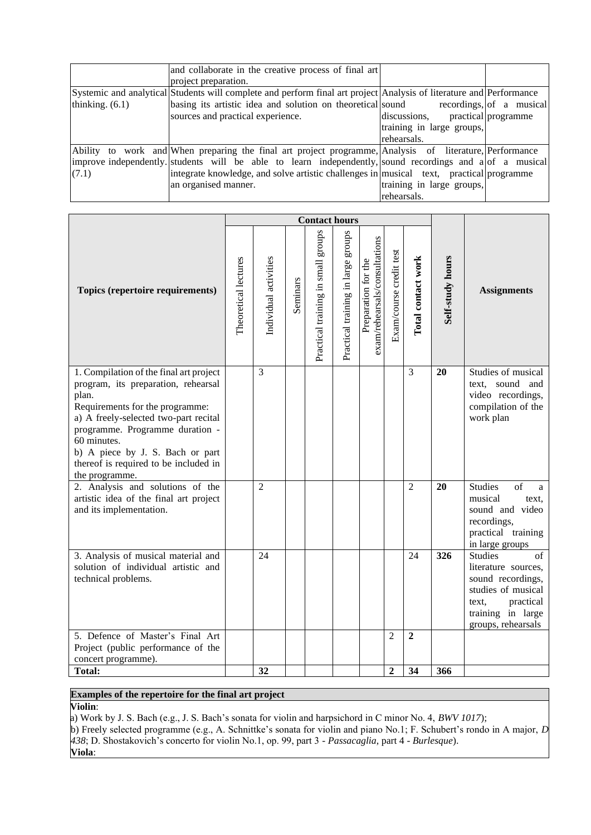|                   | and collaborate in the creative process of final art                                                                |                           |                          |
|-------------------|---------------------------------------------------------------------------------------------------------------------|---------------------------|--------------------------|
|                   | project preparation.                                                                                                |                           |                          |
|                   | Systemic and analytical Students will complete and perform final art project Analysis of literature and Performance |                           |                          |
| thinking. $(6.1)$ | basing its artistic idea and solution on theoretical sound                                                          |                           | recordings, of a musical |
|                   | sources and practical experience.                                                                                   | discussions.              | practical programme      |
|                   |                                                                                                                     | training in large groups, |                          |
|                   |                                                                                                                     | rehearsals.               |                          |
|                   | Ability to work and When preparing the final art project programme, Analysis of literature, Performance             |                           |                          |
|                   | improve independently students will be able to learn independently, sound recordings and a of a musical             |                           |                          |
| (7.1)             | integrate knowledge, and solve artistic challenges in musical text, practical programme                             |                           |                          |
|                   | an organised manner.                                                                                                | training in large groups, |                          |
|                   |                                                                                                                     | rehearsals.               |                          |

|                                                                                                                                                                                                                                                                                                                      |                      |                       |          | <b>Contact hours</b>                  |                                       |                                                      |                         |                    |                  |                                                                                                                                                         |
|----------------------------------------------------------------------------------------------------------------------------------------------------------------------------------------------------------------------------------------------------------------------------------------------------------------------|----------------------|-----------------------|----------|---------------------------------------|---------------------------------------|------------------------------------------------------|-------------------------|--------------------|------------------|---------------------------------------------------------------------------------------------------------------------------------------------------------|
| Topics (repertoire requirements)                                                                                                                                                                                                                                                                                     | Theoretical lectures | Individual activities | Seminars | sanora<br>Practical training in small | sdnorg<br>Practical training in large | exam/rehearsals/consultations<br>Preparation for the | Exam/course credit test | Total contact work | Self-study hours | <b>Assignments</b>                                                                                                                                      |
| 1. Compilation of the final art project<br>program, its preparation, rehearsal<br>plan.<br>Requirements for the programme:<br>a) A freely-selected two-part recital<br>programme. Programme duration -<br>60 minutes.<br>b) A piece by J. S. Bach or part<br>thereof is required to be included in<br>the programme. |                      | $\overline{3}$        |          |                                       |                                       |                                                      |                         | 3                  | 20               | Studies of musical<br>text, sound and<br>video recordings,<br>compilation of the<br>work plan                                                           |
| 2. Analysis and solutions of the<br>artistic idea of the final art project<br>and its implementation.                                                                                                                                                                                                                |                      | $\overline{2}$        |          |                                       |                                       |                                                      |                         | $\overline{2}$     | 20               | <b>Studies</b><br>of<br>a<br>musical<br>text.<br>sound and video<br>recordings,<br>practical training<br>in large groups                                |
| 3. Analysis of musical material and<br>solution of individual artistic and<br>technical problems.                                                                                                                                                                                                                    |                      | 24                    |          |                                       |                                       |                                                      |                         | 24                 | 326              | <b>Studies</b><br>of<br>literature sources,<br>sound recordings,<br>studies of musical<br>practical<br>text.<br>training in large<br>groups, rehearsals |
| 5. Defence of Master's Final Art<br>Project (public performance of the<br>concert programme).                                                                                                                                                                                                                        |                      |                       |          |                                       |                                       |                                                      | $\overline{c}$          | $\boldsymbol{2}$   |                  |                                                                                                                                                         |
| <b>Total:</b>                                                                                                                                                                                                                                                                                                        |                      | 32                    |          |                                       |                                       |                                                      | $\overline{2}$          | 34                 | 366              |                                                                                                                                                         |

# **Examples of the repertoire for the final art project**

**Violin**:

a) Work by J. S. Bach (e.g., J. S. Bach's sonata for violin and harpsichord in C minor No. 4, *BWV 1017*); b) Freely selected programme (e.g., A. Schnittke's sonata for violin and piano No.1; F. Schubert's rondo in A major, *D 438*; D. Shostakovich's concerto for violin No.1, op. 99, part 3 - *Passacaglia*, part 4 - *Burlesque*). **Viola**: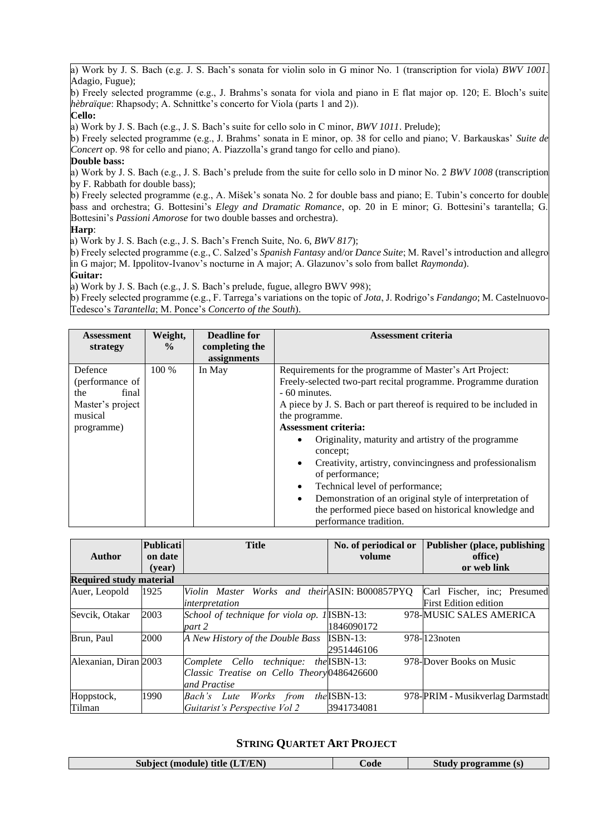a) Work by J. S. Bach (e.g. J. S. Bach's sonata for violin solo in G minor No. 1 (transcription for viola) *BWV 1001*. Adagio, Fugue);

b) Freely selected programme (e.g., J. Brahms's sonata for viola and piano in E flat major op. 120; E. Bloch's suite *hèbraïque*: Rhapsody; A. Schnittke's concerto for Viola (parts 1 and 2)).

#### **Cello:**

a) Work by J. S. Bach (e.g., J. S. Bach's suite for cello solo in C minor, *BWV 1011*. Prelude);

b) Freely selected programme (e.g., J. Brahms' sonata in E minor, op. 38 for cello and piano; V. Barkauskas' *Suite de Concert* op. 98 for cello and piano; A. Piazzolla's grand tango for cello and piano).

#### **Double bass:**

a) Work by J. S. Bach (e.g., J. S. Bach's prelude from the suite for cello solo in D minor No. 2 *BWV 1008* (transcription by F. Rabbath for double bass);

b) Freely selected programme (e.g., A. Mišek's sonata No. 2 for double bass and piano; E. Tubin's concerto for double bass and orchestra; G. Bottesini's *Elegy and Dramatic Romance*, op. 20 in E minor; G. Bottesini's tarantella; G. Bottesini's *Passioni Amorose* for two double basses and orchestra).

#### **Harp**:

a) Work by J. S. Bach (e.g., J. S. Bach's French Suite, No. 6, *BWV 817*);

b) Freely selected programme (e.g., C. Salzed's *Spanish Fantasy* and/or *Dance Suite*; M. Ravel's introduction and allegro in G major; M. Ippolitov-Ivanov's nocturne in A major; A. Glazunov's solo from ballet *Raymonda*).

#### **Guitar:**

a) Work by J. S. Bach (e.g., J. S. Bach's prelude, fugue, allegro BWV 998);

b) Freely selected programme (e.g., F. Tarrega's variations on the topic of *Jota*, J. Rodrigo's *Fandango*; M. Castelnuovo-Tedesco's *Tarantella*; M. Ponce's *Concerto of the South*).

| <b>Assessment</b><br>strategy                                                           | Weight,<br>$\frac{0}{0}$ | <b>Deadline for</b><br>completing the<br>assignments | <b>Assessment criteria</b>                                                                                                                                                                                                                                                                                                                                                                                                                                                                                                                                                                                              |
|-----------------------------------------------------------------------------------------|--------------------------|------------------------------------------------------|-------------------------------------------------------------------------------------------------------------------------------------------------------------------------------------------------------------------------------------------------------------------------------------------------------------------------------------------------------------------------------------------------------------------------------------------------------------------------------------------------------------------------------------------------------------------------------------------------------------------------|
| Defence<br>(performance of<br>the<br>final<br>Master's project<br>musical<br>programme) | 100 %                    | In May                                               | Requirements for the programme of Master's Art Project:<br>Freely-selected two-part recital programme. Programme duration<br>- 60 minutes.<br>A piece by J. S. Bach or part thereof is required to be included in<br>the programme.<br><b>Assessment criteria:</b><br>Originality, maturity and artistry of the programme<br>concept;<br>Creativity, artistry, convincingness and professionalism<br>٠<br>of performance;<br>Technical level of performance;<br>Demonstration of an original style of interpretation of<br>$\bullet$<br>the performed piece based on historical knowledge and<br>performance tradition. |

| <b>Author</b>                  | <b>Publicati</b><br><b>Title</b><br>on date |                                                                                          | No. of periodical or<br>volume      | Publisher (place, publishing<br>office)                 |  |  |
|--------------------------------|---------------------------------------------|------------------------------------------------------------------------------------------|-------------------------------------|---------------------------------------------------------|--|--|
|                                | (vear)                                      |                                                                                          |                                     | or web link                                             |  |  |
| <b>Required study material</b> |                                             |                                                                                          |                                     |                                                         |  |  |
| Auer, Leopold                  | 1925                                        | Violin Master Works and their ASIN: B000857PYQ                                           |                                     | Carl Fischer, inc: Presumed                             |  |  |
| Sevcik, Otakar                 | 2003                                        | interpretation<br>School of technique for viola op. 1 ISBN-13:<br>part 2                 | 1846090172                          | <b>First Edition edition</b><br>978-MUSIC SALES AMERICA |  |  |
| Brun, Paul                     | 2000                                        | A New History of the Double Bass                                                         | $ISBN-13:$<br>2951446106            | 978-1123 noten                                          |  |  |
| Alexanian, Diran 2003          |                                             | Complete Cello technique:<br>Classic Treatise on Cello Theory 0486426600<br>and Practise | $the$ ISBN-13:                      | 978-Dover Books on Music                                |  |  |
| Hoppstock,<br>Tilman           | 1990                                        | Works from<br>Bach's Lute<br>Guitarist's Perspective Vol 2                               | $the$ <i>ISBN-13:</i><br>3941734081 | 978-PRIM - Musikverlag Darmstadt                        |  |  |

#### **STRING QUARTET ART PROJECT**

<span id="page-24-0"></span>

| Subject (module) title $(LT/EN)$ | bode | <i><b>/ programme (s)</b></i> |
|----------------------------------|------|-------------------------------|
|----------------------------------|------|-------------------------------|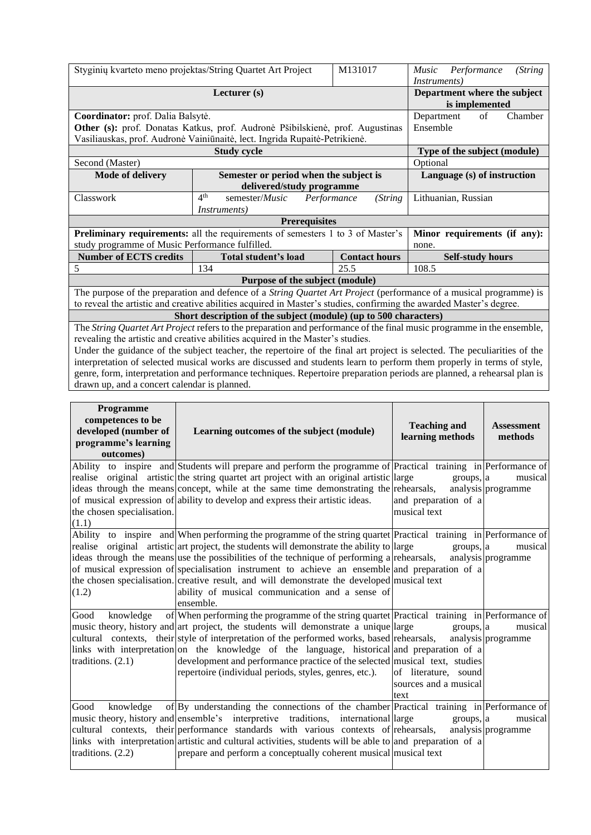|                                                                               | Styginių kvarteto meno projektas/String Quartet Art Project                                                                                                                                                                               | M131017                      | (String<br>Performance<br><i>Music</i> |  |  |  |
|-------------------------------------------------------------------------------|-------------------------------------------------------------------------------------------------------------------------------------------------------------------------------------------------------------------------------------------|------------------------------|----------------------------------------|--|--|--|
|                                                                               |                                                                                                                                                                                                                                           |                              | <i>Instruments</i>                     |  |  |  |
|                                                                               | Lecturer (s)                                                                                                                                                                                                                              |                              | Department where the subject           |  |  |  |
|                                                                               |                                                                                                                                                                                                                                           |                              | is implemented                         |  |  |  |
|                                                                               | Coordinator: prof. Dalia Balsytė.                                                                                                                                                                                                         |                              |                                        |  |  |  |
| Other (s): prof. Donatas Katkus, prof. Audronė Pšibilskienė, prof. Augustinas | Ensemble                                                                                                                                                                                                                                  |                              |                                        |  |  |  |
|                                                                               | Vasiliauskas, prof. Audronė Vainiūnaitė, lect. Ingrida Rupaitė-Petrikienė.                                                                                                                                                                |                              |                                        |  |  |  |
|                                                                               |                                                                                                                                                                                                                                           | Type of the subject (module) |                                        |  |  |  |
| Second (Master)                                                               | Optional                                                                                                                                                                                                                                  |                              |                                        |  |  |  |
| <b>Mode of delivery</b>                                                       | Semester or period when the subject is                                                                                                                                                                                                    |                              | Language (s) of instruction            |  |  |  |
|                                                                               | delivered/study programme                                                                                                                                                                                                                 |                              |                                        |  |  |  |
| Classwork                                                                     | 4 <sup>th</sup><br>semester/ <i>Music</i>                                                                                                                                                                                                 | Performance<br>(String       |                                        |  |  |  |
|                                                                               | <i>Instruments</i> )                                                                                                                                                                                                                      |                              |                                        |  |  |  |
| <b>Prerequisites</b>                                                          |                                                                                                                                                                                                                                           |                              |                                        |  |  |  |
|                                                                               | Preliminary requirements: all the requirements of semesters 1 to 3 of Master's                                                                                                                                                            |                              |                                        |  |  |  |
|                                                                               |                                                                                                                                                                                                                                           |                              | Minor requirements (if any):           |  |  |  |
| study programme of Music Performance fulfilled.                               |                                                                                                                                                                                                                                           |                              | none.                                  |  |  |  |
| <b>Number of ECTS credits</b>                                                 | Total student's load                                                                                                                                                                                                                      | <b>Contact hours</b>         | <b>Self-study hours</b>                |  |  |  |
| 5                                                                             | 134                                                                                                                                                                                                                                       | 25.5                         | 108.5                                  |  |  |  |
|                                                                               | Purpose of the subject (module)                                                                                                                                                                                                           |                              |                                        |  |  |  |
|                                                                               |                                                                                                                                                                                                                                           |                              |                                        |  |  |  |
|                                                                               | The purpose of the preparation and defence of a String Quartet Art Project (performance of a musical programme) is<br>to reveal the artistic and creative abilities acquired in Master's studies, confirming the awarded Master's degree. |                              |                                        |  |  |  |
|                                                                               | Short description of the subject (module) (up to 500 characters)                                                                                                                                                                          |                              |                                        |  |  |  |
|                                                                               | The <i>String Quartet Art Project</i> refers to the preparation and performance of the final music programme in the ensemble,                                                                                                             |                              |                                        |  |  |  |
|                                                                               | revealing the artistic and creative abilities acquired in the Master's studies.                                                                                                                                                           |                              |                                        |  |  |  |
|                                                                               | Under the guidance of the subject teacher, the repertoire of the final art project is selected. The peculiarities of the                                                                                                                  |                              |                                        |  |  |  |

genre, form, interpretation and performance techniques. Repertoire preparation periods are planned, a rehearsal plan is drawn up, and a concert calendar is planned.

| Programme<br>competences to be<br>developed (number of<br>programme's learning<br>outcomes) | Learning outcomes of the subject (module)                                                                                                                                                                                                                                                                                                                                                                                                                                                                                                                                   | <b>Teaching and</b><br>learning methods                            | <b>Assessment</b><br>methods  |
|---------------------------------------------------------------------------------------------|-----------------------------------------------------------------------------------------------------------------------------------------------------------------------------------------------------------------------------------------------------------------------------------------------------------------------------------------------------------------------------------------------------------------------------------------------------------------------------------------------------------------------------------------------------------------------------|--------------------------------------------------------------------|-------------------------------|
| the chosen specialisation.<br>(1.1)                                                         | Ability to inspire and Students will prepare and perform the programme of Practical training in Performance of<br>realise original artistic the string quartet art project with an original artistic large<br>ideas through the means concept, while at the same time demonstrating the rehearsals,<br>of musical expression of ability to develop and express their artistic ideas.                                                                                                                                                                                        | groups, a<br>and preparation of a<br>musical text                  | musical<br>analysis programme |
| (1.2)                                                                                       | Ability to inspire and When performing the programme of the string quartet Practical training in Performance of<br>realise original artistic art project, the students will demonstrate the ability to large<br>ideas through the means use the possibilities of the technique of performing a rehearsals,<br>of musical expression of specialisation instrument to achieve an ensemble and preparation of a<br>the chosen specialisation. creative result, and will demonstrate the developed musical text<br>ability of musical communication and a sense of<br>ensemble. | groups, a                                                          | musical<br>analysis programme |
| Good<br>knowledge<br>traditions. $(2.1)$                                                    | of When performing the programme of the string quartet Practical training in Performance of<br>music theory, history and art project, the students will demonstrate a unique large<br>cultural contexts, their style of interpretation of the performed works, based rehearsals,<br>links with interpretation on the knowledge of the language, historical and preparation of a<br>development and performance practice of the selected musical text, studies<br>repertoire (individual periods, styles, genres, etc.).                                                     | groups, a<br>of literature, sound<br>sources and a musical<br>text | musical<br>analysis programme |
| Good<br>knowledge<br>traditions. $(2.2)$                                                    | of By understanding the connections of the chamber Practical training in Performance of<br>music theory, history and ensemble's interpretive traditions, international large<br>cultural contexts, their performance standards with various contexts of rehearsals,<br>links with interpretation artistic and cultural activities, students will be able to and preparation of a<br>prepare and perform a conceptually coherent musical musical text                                                                                                                        | groups, a                                                          | musical<br>analysis programme |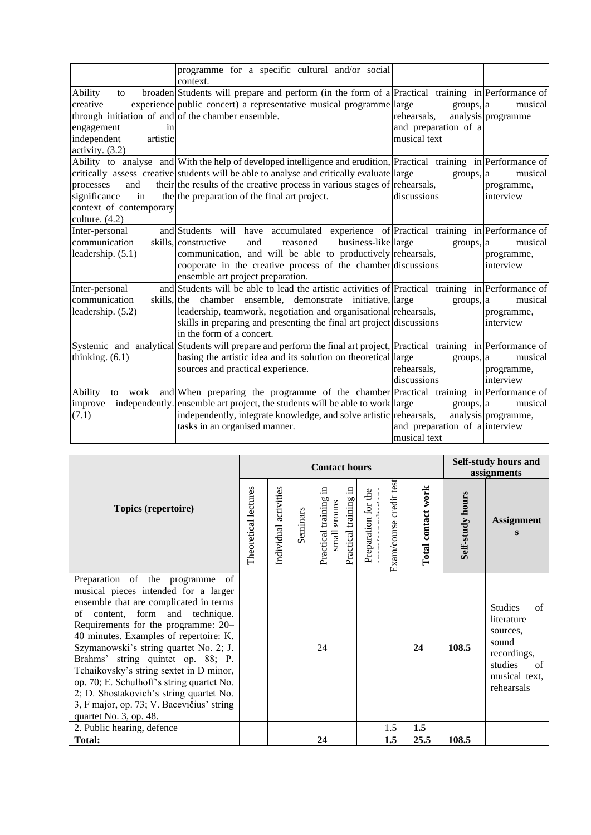|                                                                                                                                                     | programme for a specific cultural and/or social<br>context.                                                                                                                                                                                                                                                                                    |                                                                  |                                    |
|-----------------------------------------------------------------------------------------------------------------------------------------------------|------------------------------------------------------------------------------------------------------------------------------------------------------------------------------------------------------------------------------------------------------------------------------------------------------------------------------------------------|------------------------------------------------------------------|------------------------------------|
| Ability<br>to<br>creative<br>through initiation of and of the chamber ensemble.<br>engagement<br>in<br>independent<br>artistic<br>activity. $(3.2)$ | broaden Students will prepare and perform (in the form of a Practical training in Performance of<br>experience public concert) a representative musical programme large                                                                                                                                                                        | groups, a<br>rehearsals,<br>and preparation of a<br>musical text | musical<br>analysis programme      |
| and<br>processes<br>significance<br>in<br>context of contemporary<br>culture. $(4.2)$                                                               | Ability to analyse and With the help of developed intelligence and erudition, Practical training in Performance of<br>critically assess creative students will be able to analyse and critically evaluate large<br>their the results of the creative process in various stages of rehearsals,<br>the the preparation of the final art project. | groups, a<br>discussions                                         | musical<br>programme,<br>interview |
| Inter-personal<br>communication<br>leadership. (5.1)                                                                                                | and Students will have accumulated experience of Practical training in Performance of<br>business-like large<br>skills, constructive<br>reasoned<br>and<br>communication, and will be able to productively rehearsals,<br>cooperate in the creative process of the chamber discussions<br>ensemble art project preparation.                    | groups, a                                                        | musical<br>programme,<br>interview |
| Inter-personal<br>communication<br>leadership. (5.2)                                                                                                | and Students will be able to lead the artistic activities of Practical training in Performance of<br>skills, the chamber ensemble, demonstrate initiative, large<br>leadership, teamwork, negotiation and organisational rehearsals,<br>skills in preparing and presenting the final art project discussions<br>in the form of a concert.      | groups, a                                                        | musical<br>programme,<br>interview |
| thinking. $(6.1)$                                                                                                                                   | Systemic and analytical Students will prepare and perform the final art project, Practical training in Performance of<br>basing the artistic idea and its solution on theoretical large<br>sources and practical experience.                                                                                                                   | groups, a<br>rehearsals,<br>discussions                          | musical<br>programme,<br>interview |
| Ability<br>work<br>to<br>improve<br>(7.1)                                                                                                           | and When preparing the programme of the chamber Practical training in Performance of<br>independently. ensemble art project, the students will be able to work large<br>independently, integrate knowledge, and solve artistic rehearsals,<br>tasks in an organised manner.                                                                    | groups, a<br>and preparation of a interview<br>musical text      | musical<br>analysis programme,     |

| <b>Topics (repertoire)</b>                                                                                                                                                                                                                                                                                                                                                                                                                                                                                                     |  | <b>Contact hours</b>     |          |                                            |                          |                     |                         |                    |                  | Self-study hours and<br>assignments                                                                                    |  |
|--------------------------------------------------------------------------------------------------------------------------------------------------------------------------------------------------------------------------------------------------------------------------------------------------------------------------------------------------------------------------------------------------------------------------------------------------------------------------------------------------------------------------------|--|--------------------------|----------|--------------------------------------------|--------------------------|---------------------|-------------------------|--------------------|------------------|------------------------------------------------------------------------------------------------------------------------|--|
|                                                                                                                                                                                                                                                                                                                                                                                                                                                                                                                                |  | activities<br>Individual | Seminars | 르.<br>Practical training<br>ornuns<br>mall | 묘.<br>Practical training | Preparation for the | Exam/course credit test | Total contact work | Self-study hours | <b>Assignment</b>                                                                                                      |  |
| Preparation of the programme of<br>musical pieces intended for a larger<br>ensemble that are complicated in terms<br>of content, form and technique.<br>Requirements for the programme: 20–<br>40 minutes. Examples of repertoire: K.<br>Szymanowski's string quartet No. 2; J.<br>Brahms' string quintet op. 88; P.<br>Tchaikovsky's string sextet in D minor,<br>op. 70; E. Schulhoff's string quartet No.<br>2; D. Shostakovich's string quartet No.<br>3, F major, op. 73; V. Bacevičius' string<br>quartet No. 3, op. 48. |  |                          |          | 24                                         |                          |                     |                         | 24                 | 108.5            | <b>Studies</b><br>of<br>literature<br>sources,<br>sound<br>recordings,<br>studies<br>of<br>musical text,<br>rehearsals |  |
| 2. Public hearing, defence                                                                                                                                                                                                                                                                                                                                                                                                                                                                                                     |  |                          |          |                                            |                          |                     | 1.5                     | 1.5                |                  |                                                                                                                        |  |
| <b>Total:</b>                                                                                                                                                                                                                                                                                                                                                                                                                                                                                                                  |  |                          |          | 24                                         |                          |                     | 1.5                     | 25.5               | 108.5            |                                                                                                                        |  |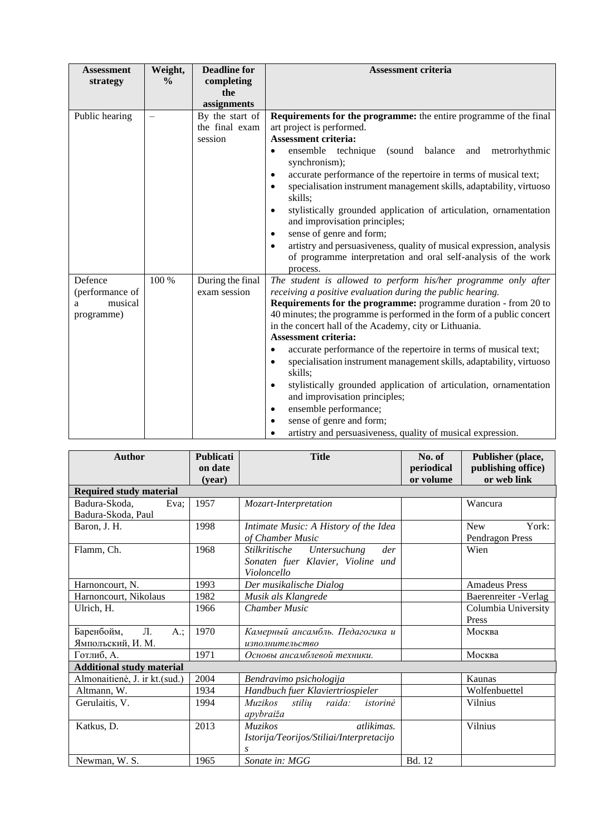| <b>Assessment</b><br>strategy                            | Weight,<br>$\frac{6}{9}$ | <b>Deadline for</b><br>completing<br>the<br>assignments | <b>Assessment criteria</b>                                                                                                                                                                                                                                                                                                                                                                                                                                                                                                                                                                                                                                                                                                                                                                                                 |
|----------------------------------------------------------|--------------------------|---------------------------------------------------------|----------------------------------------------------------------------------------------------------------------------------------------------------------------------------------------------------------------------------------------------------------------------------------------------------------------------------------------------------------------------------------------------------------------------------------------------------------------------------------------------------------------------------------------------------------------------------------------------------------------------------------------------------------------------------------------------------------------------------------------------------------------------------------------------------------------------------|
| Public hearing                                           |                          | By the start of<br>the final exam<br>session            | <b>Requirements for the programme:</b> the entire programme of the final<br>art project is performed.<br><b>Assessment criteria:</b><br>(sound balance and<br>ensemble technique<br>metrorhythmic<br>$\bullet$<br>synchronism);<br>accurate performance of the repertoire in terms of musical text;<br>$\bullet$<br>specialisation instrument management skills, adaptability, virtuoso<br>$\bullet$<br>skills;<br>stylistically grounded application of articulation, ornamentation<br>$\bullet$<br>and improvisation principles;<br>sense of genre and form;<br>$\bullet$<br>artistry and persuasiveness, quality of musical expression, analysis<br>$\bullet$<br>of programme interpretation and oral self-analysis of the work<br>process.                                                                             |
| Defence<br>(performance of<br>musical<br>a<br>programme) | 100 %                    | During the final<br>exam session                        | The student is allowed to perform his/her programme only after<br>receiving a positive evaluation during the public hearing.<br><b>Requirements for the programme:</b> programme duration - from 20 to<br>40 minutes; the programme is performed in the form of a public concert<br>in the concert hall of the Academy, city or Lithuania.<br><b>Assessment criteria:</b><br>accurate performance of the repertoire in terms of musical text;<br>$\bullet$<br>specialisation instrument management skills, adaptability, virtuoso<br>$\bullet$<br>skills;<br>stylistically grounded application of articulation, ornamentation<br>$\bullet$<br>and improvisation principles;<br>ensemble performance;<br>$\bullet$<br>sense of genre and form;<br>$\bullet$<br>artistry and persuasiveness, quality of musical expression. |

| <b>Author</b>                    | <b>Publicati</b><br>on date | <b>Title</b>                                              | No. of<br>periodical | Publisher (place,<br>publishing office) |
|----------------------------------|-----------------------------|-----------------------------------------------------------|----------------------|-----------------------------------------|
|                                  | (vear)                      |                                                           | or volume            | or web link                             |
| <b>Required study material</b>   |                             |                                                           |                      |                                         |
| Badura-Skoda,<br>Eva;            | 1957                        | Mozart-Interpretation                                     |                      | Wancura                                 |
| Badura-Skoda, Paul               |                             |                                                           |                      |                                         |
| Baron, J. H.                     | 1998                        | Intimate Music: A History of the Idea<br>of Chamber Music |                      | <b>New</b><br>York:<br>Pendragon Press  |
| Flamm, Ch.                       | 1968                        | Stilkritische<br>Untersuchung<br>der                      |                      | Wien                                    |
|                                  |                             | Sonaten fuer Klavier, Violine und<br>Violoncello          |                      |                                         |
| Harnoncourt, N.                  | 1993                        | Der musikalische Dialog                                   |                      | <b>Amadeus Press</b>                    |
| Harnoncourt, Nikolaus            | 1982                        | Musik als Klangrede                                       |                      | Baerenreiter - Verlag                   |
| Ulrich, H.                       | 1966                        | <b>Chamber Music</b>                                      |                      | Columbia University                     |
|                                  |                             |                                                           |                      | Press                                   |
| Баренбойм,<br>Л.<br>A.:          | 1970                        | Камерный ансамбль. Педагогика и                           |                      | Москва                                  |
| Ямполъский, И. М.                |                             | изполнительство                                           |                      |                                         |
| Готлиб, А.                       | 1971                        | Основы ансамблевой техники.                               |                      | Москва                                  |
| <b>Additional study material</b> |                             |                                                           |                      |                                         |
| Almonaitienė, J. ir kt.(sud.)    | 2004                        | Bendravimo psichologija                                   |                      | Kaunas                                  |
| Altmann, W.                      | 1934                        | Handbuch fuer Klaviertriospieler                          |                      | Wolfenbuettel                           |
| Gerulaitis, V.                   | 1994                        | <i>Muzikos</i><br>stilių<br>raida:<br>istorinė            |                      | Vilnius                                 |
|                                  |                             | apybraiža                                                 |                      |                                         |
| Katkus, D.                       | 2013                        | atlikimas.<br><b>Muzikos</b>                              |                      | Vilnius                                 |
|                                  |                             | Istorija/Teorijos/Stiliai/Interpretacijo                  |                      |                                         |
|                                  |                             | .S                                                        |                      |                                         |
| Newman, W. S.                    | 1965                        | Sonate in: MGG                                            | Bd. 12               |                                         |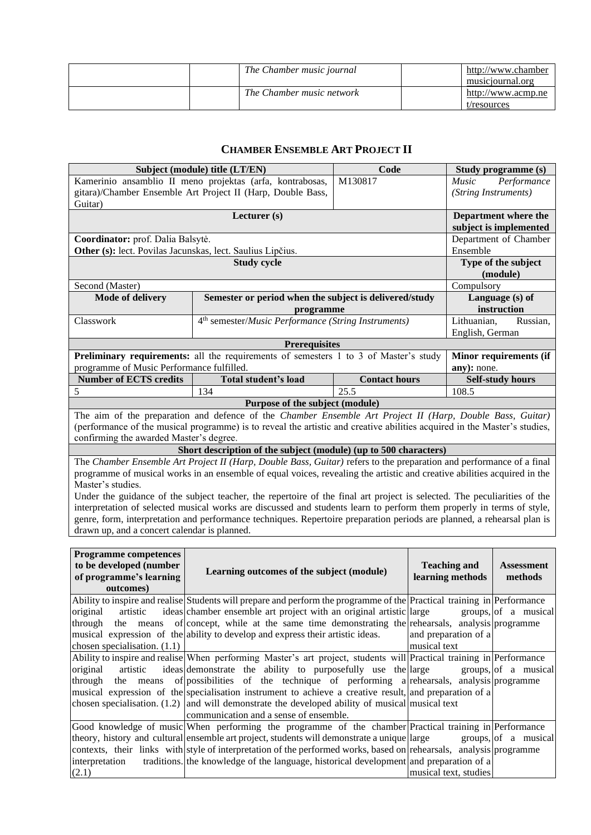| The Chamber music journal | http://www.chamber<br>musiciournal.org |
|---------------------------|----------------------------------------|
| The Chamber music network | http://www.acmp.ne<br>t/resources      |

# **CHAMBER ENSEMBLE ART PROJECT II**

<span id="page-28-0"></span>

|                                                            | Subject (module) title (LT/EN)                                                                                            | Code                 |              | Study programme (s)   |                                 |  |
|------------------------------------------------------------|---------------------------------------------------------------------------------------------------------------------------|----------------------|--------------|-----------------------|---------------------------------|--|
|                                                            | Kamerinio ansamblio II meno projektas (arfa, kontrabosas,                                                                 | M130817              |              | Music                 | Performance                     |  |
|                                                            | gitara)/Chamber Ensemble Art Project II (Harp, Double Bass,                                                               |                      |              | (String Instruments)  |                                 |  |
| Guitar)                                                    |                                                                                                                           |                      |              |                       |                                 |  |
|                                                            | Lecturer (s)                                                                                                              |                      |              |                       | Department where the            |  |
|                                                            |                                                                                                                           |                      |              |                       | subject is implemented          |  |
| Coordinator: prof. Dalia Balsytė.                          |                                                                                                                           |                      |              |                       | Department of Chamber           |  |
| Other (s): lect. Povilas Jacunskas, lect. Saulius Lipčius. |                                                                                                                           |                      |              | Ensemble              |                                 |  |
|                                                            | <b>Study cycle</b>                                                                                                        |                      |              |                       | Type of the subject<br>(module) |  |
| Second (Master)                                            |                                                                                                                           |                      |              | Compulsory            |                                 |  |
| <b>Mode of delivery</b>                                    | Semester or period when the subject is delivered/study                                                                    |                      |              | Language (s) of       |                                 |  |
|                                                            | programme                                                                                                                 |                      |              | instruction           |                                 |  |
| Classwork                                                  | 4 <sup>th</sup> semester/ <i>Music Performance</i> (String Instruments)                                                   |                      |              | Lithuanian,           | Russian,                        |  |
|                                                            |                                                                                                                           |                      |              | English, German       |                                 |  |
|                                                            | <b>Prerequisites</b>                                                                                                      |                      |              |                       |                                 |  |
|                                                            | Preliminary requirements: all the requirements of semesters 1 to 3 of Master's study                                      |                      |              |                       | Minor requirements (if          |  |
| programme of Music Performance fulfilled.                  |                                                                                                                           |                      |              | any): none.           |                                 |  |
| <b>Number of ECTS credits</b>                              | Total student's load                                                                                                      | <b>Contact hours</b> |              |                       | <b>Self-study hours</b>         |  |
| 5                                                          | 134                                                                                                                       | 25.5                 |              | 108.5                 |                                 |  |
|                                                            | Purpose of the subject (module)                                                                                           |                      |              |                       |                                 |  |
|                                                            | The aim of the preparation and defence of the Chamber Ensemble Art Project II (Harp, Double Bass, Guitar)                 |                      |              |                       |                                 |  |
|                                                            | (performance of the musical programme) is to reveal the artistic and creative abilities acquired in the Master's studies, |                      |              |                       |                                 |  |
| confirming the awarded Master's degree.                    |                                                                                                                           |                      |              |                       |                                 |  |
|                                                            | Short description of the subject (module) (up to 500 characters)                                                          |                      |              |                       |                                 |  |
|                                                            | The Chamber Ensemble Art Project II (Harp, Double Bass, Guitar) refers to the preparation and performance of a final      |                      |              |                       |                                 |  |
| Master's studies.                                          | programme of musical works in an ensemble of equal voices, revealing the artistic and creative abilities acquired in the  |                      |              |                       |                                 |  |
|                                                            | Under the guidance of the subject teacher, the repertoire of the final art project is selected. The peculiarities of the  |                      |              |                       |                                 |  |
|                                                            | interpretation of selected musical works are discussed and students learn to perform them properly in terms of style,     |                      |              |                       |                                 |  |
|                                                            | genre, form, interpretation and performance techniques. Repertoire preparation periods are planned, a rehearsal plan is   |                      |              |                       |                                 |  |
| drawn up, and a concert calendar is planned.               |                                                                                                                           |                      |              |                       |                                 |  |
|                                                            |                                                                                                                           |                      |              |                       |                                 |  |
| <b>Programme competences</b>                               |                                                                                                                           |                      |              |                       |                                 |  |
| to be developed (number                                    | Learning outcomes of the subject (module)                                                                                 |                      |              | <b>Teaching and</b>   | <b>Assessment</b>               |  |
| of programme's learning                                    |                                                                                                                           |                      |              | learning methods      | methods                         |  |
| outcomes)                                                  |                                                                                                                           |                      |              |                       |                                 |  |
|                                                            | Ability to inspire and realise Students will prepare and perform the programme of the Practical training in Performance   |                      |              |                       |                                 |  |
| original<br>artistic                                       | ideas chamber ensemble art project with an original artistic large                                                        |                      |              |                       | groups, of a musical            |  |
| through<br>means<br>the                                    | of concept, while at the same time demonstrating the rehearsals, analysis programme                                       |                      |              |                       |                                 |  |
| chosen specialisation. $(1.1)$                             | musical expression of the ability to develop and express their artistic ideas.                                            |                      | musical text | and preparation of a  |                                 |  |
|                                                            | Ability to inspire and realise When performing Master's art project, students will Practical training in Performance      |                      |              |                       |                                 |  |
| original<br>artistic                                       | ideas demonstrate the ability to purposefully use the large                                                               |                      |              |                       | groups, of a musical            |  |
| through<br>means<br>the                                    | of possibilities of the technique of performing a rehearsals, analysis programme                                          |                      |              |                       |                                 |  |
|                                                            | musical expression of the specialisation instrument to achieve a creative result, and preparation of a                    |                      |              |                       |                                 |  |
|                                                            | chosen specialisation. $(1.2)$ and will demonstrate the developed ability of musical musical text                         |                      |              |                       |                                 |  |
|                                                            | communication and a sense of ensemble.                                                                                    |                      |              |                       |                                 |  |
|                                                            | Good knowledge of music When performing the programme of the chamber Practical training in Performance                    |                      |              |                       |                                 |  |
|                                                            | theory, history and cultural ensemble art project, students will demonstrate a unique large                               |                      |              |                       | groups, of a musical            |  |
|                                                            | contexts, their links with style of interpretation of the performed works, based on rehearsals, analysis programme        |                      |              |                       |                                 |  |
| interpretation                                             | traditions. the knowledge of the language, historical development and preparation of a                                    |                      |              |                       |                                 |  |
| (2.1)                                                      |                                                                                                                           |                      |              | musical text, studies |                                 |  |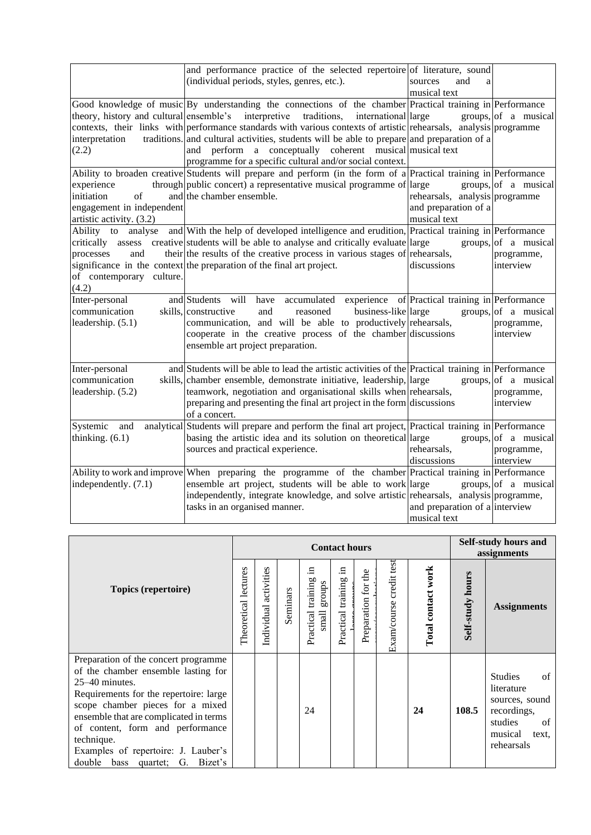|                                                                                         | and performance practice of the selected repertoire of literature, sound<br>(individual periods, styles, genres, etc.).                                                                                                                                                                                                                                                                                                                                                                                                                            | sources<br>and<br>a<br>musical text                                    |                                                 |
|-----------------------------------------------------------------------------------------|----------------------------------------------------------------------------------------------------------------------------------------------------------------------------------------------------------------------------------------------------------------------------------------------------------------------------------------------------------------------------------------------------------------------------------------------------------------------------------------------------------------------------------------------------|------------------------------------------------------------------------|-------------------------------------------------|
| interpretation<br>(2.2)                                                                 | Good knowledge of music By understanding the connections of the chamber Practical training in Performance<br>theory, history and cultural ensemble's interpretive<br>traditions,<br>international large<br>contexts, their links with performance standards with various contexts of artistic rehearsals, analysis programme<br>traditions. and cultural activities, students will be able to prepare and preparation of a<br>and perform a conceptually coherent musical musical text<br>programme for a specific cultural and/or social context. |                                                                        | groups, of a musical                            |
| experience<br>initiation<br>of<br>engagement in independent<br>artistic activity. (3.2) | Ability to broaden creative Students will prepare and perform (in the form of a Practical training in Performance<br>through public concert) a representative musical programme of large<br>and the chamber ensemble.                                                                                                                                                                                                                                                                                                                              | rehearsals, analysis programme<br>and preparation of a<br>musical text | groups, of a musical                            |
| processes<br>and<br>of contemporary culture.<br>(4.2)                                   | Ability to analyse and With the help of developed intelligence and erudition, Practical training in Performance<br>critically assess creative students will be able to analyse and critically evaluate large<br>their the results of the creative process in various stages of rehearsals,<br>significance in the context the preparation of the final art project.                                                                                                                                                                                | discussions                                                            | groups, of a musical<br>programme,<br>interview |
| Inter-personal<br>communication<br>leadership. (5.1)                                    | and Students<br>will<br>accumulated<br>have<br>skills, constructive<br>business-like large<br>and<br>reasoned<br>communication, and will be able to productively rehearsals,<br>cooperate in the creative process of the chamber discussions<br>ensemble art project preparation.                                                                                                                                                                                                                                                                  | experience of Practical training in Performance                        | groups, of a musical<br>programme,<br>interview |
| Inter-personal<br>communication<br>leadership. (5.2)                                    | and Students will be able to lead the artistic activities of the Practical training in Performance<br>skills, chamber ensemble, demonstrate initiative, leadership, large<br>teamwork, negotiation and organisational skills when rehearsals,<br>preparing and presenting the final art project in the form discussions<br>of a concert.                                                                                                                                                                                                           |                                                                        | groups, of a musical<br>programme,<br>interview |
| Systemic<br>and<br>thinking. $(6.1)$                                                    | analytical Students will prepare and perform the final art project, Practical training in Performance<br>basing the artistic idea and its solution on theoretical large<br>sources and practical experience.                                                                                                                                                                                                                                                                                                                                       | rehearsals,<br>discussions                                             | groups, of a musical<br>programme,<br>interview |
| independently. (7.1)                                                                    | Ability to work and improve When preparing the programme of the chamber Practical training in Performance<br>ensemble art project, students will be able to work large<br>independently, integrate knowledge, and solve artistic rehearsals, analysis programme,<br>tasks in an organised manner.                                                                                                                                                                                                                                                  | and preparation of a interview<br>musical text                         | groups, of a musical                            |

|                                                                                                                                                                                                                                                                                                                                                                 | <b>Contact hours</b> |                       |          |                                                                                  |                              |                     |                            | <b>Self-study hours and</b><br>assignments |                         |                                                                                                                        |
|-----------------------------------------------------------------------------------------------------------------------------------------------------------------------------------------------------------------------------------------------------------------------------------------------------------------------------------------------------------------|----------------------|-----------------------|----------|----------------------------------------------------------------------------------|------------------------------|---------------------|----------------------------|--------------------------------------------|-------------------------|------------------------------------------------------------------------------------------------------------------------|
| Topics (repertoire)                                                                                                                                                                                                                                                                                                                                             |                      | Individual activities | Seminars | Е<br><b>b</b><br>stonba<br>trainin<br>Practical<br>$\mathop{\rm small}\nolimits$ | .드<br>9<br>Practical trainin | Preparation for the | credit test<br>Exam/course | Total contact work                         | <b>Self-study hours</b> | <b>Assignments</b>                                                                                                     |
| Preparation of the concert programme<br>of the chamber ensemble lasting for<br>$25-40$ minutes.<br>Requirements for the repertoire: large<br>scope chamber pieces for a mixed<br>ensemble that are complicated in terms<br>of content, form and performance<br>technique.<br>Examples of repertoire: J. Lauber's<br>double<br>Bizet's<br>bass<br>G.<br>quartet; |                      |                       |          | 24                                                                               |                              |                     |                            | 24                                         | 108.5                   | <b>Studies</b><br>of<br>literature<br>sources, sound<br>recordings,<br>studies<br>of<br>musical<br>text.<br>rehearsals |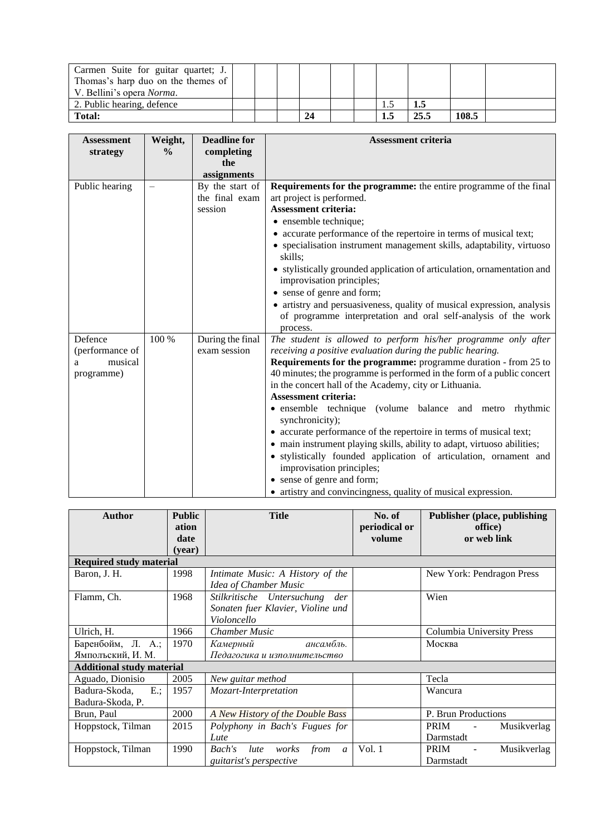| Carmen Suite for guitar quartet; J.<br>Thomas's harp duo on the themes of |  |     |  |     |      |       |  |
|---------------------------------------------------------------------------|--|-----|--|-----|------|-------|--|
| V. Bellini's opera <i>Norma</i> .                                         |  |     |  |     |      |       |  |
| 2. Public hearing, defence                                                |  |     |  |     | 1.5  |       |  |
| <b>Total:</b>                                                             |  | -24 |  | 1.J | 25.5 | 108.5 |  |

| <b>Assessment</b> | Weight,       | <b>Deadline for</b> | Assessment criteria                                                                                  |
|-------------------|---------------|---------------------|------------------------------------------------------------------------------------------------------|
| strategy          | $\frac{6}{6}$ | completing          |                                                                                                      |
|                   |               | the                 |                                                                                                      |
|                   |               | assignments         |                                                                                                      |
| Public hearing    |               | By the start of     | <b>Requirements for the programme:</b> the entire programme of the final                             |
|                   |               | the final exam      | art project is performed.                                                                            |
|                   |               | session             | <b>Assessment criteria:</b>                                                                          |
|                   |               |                     | • ensemble technique;                                                                                |
|                   |               |                     | • accurate performance of the repertoire in terms of musical text;                                   |
|                   |               |                     | • specialisation instrument management skills, adaptability, virtuoso<br>skills:                     |
|                   |               |                     | • stylistically grounded application of articulation, ornamentation and<br>improvisation principles; |
|                   |               |                     | • sense of genre and form;                                                                           |
|                   |               |                     | • artistry and persuasiveness, quality of musical expression, analysis                               |
|                   |               |                     | of programme interpretation and oral self-analysis of the work<br>process.                           |
| Defence           | 100 %         | During the final    | The student is allowed to perform his/her programme only after                                       |
| (performance of   |               | exam session        | receiving a positive evaluation during the public hearing.                                           |
| musical<br>a      |               |                     | Requirements for the programme: programme duration - from 25 to                                      |
| programme)        |               |                     | 40 minutes; the programme is performed in the form of a public concert                               |
|                   |               |                     | in the concert hall of the Academy, city or Lithuania.                                               |
|                   |               |                     | <b>Assessment criteria:</b>                                                                          |
|                   |               |                     | • ensemble technique (volume balance and metro rhythmic<br>synchronicity);                           |
|                   |               |                     | • accurate performance of the repertoire in terms of musical text;                                   |
|                   |               |                     | • main instrument playing skills, ability to adapt, virtuoso abilities;                              |
|                   |               |                     | • stylistically founded application of articulation, ornament and                                    |
|                   |               |                     | improvisation principles;                                                                            |
|                   |               |                     | • sense of genre and form;                                                                           |
|                   |               |                     | • artistry and convincingness, quality of musical expression.                                        |

| <b>Author</b>                    | <b>Public</b><br>ation<br>date<br>(vear) | <b>Title</b>                                                                          | No. of<br>periodical or<br>volume | <b>Publisher (place, publishing</b><br>office)<br>or web link |
|----------------------------------|------------------------------------------|---------------------------------------------------------------------------------------|-----------------------------------|---------------------------------------------------------------|
| <b>Required study material</b>   |                                          |                                                                                       |                                   |                                                               |
| Baron, J. H.                     | 1998                                     | Intimate Music: A History of the<br>Idea of Chamber Music                             |                                   | New York: Pendragon Press                                     |
| Flamm, Ch.                       | 1968                                     | Stilkritische Untersuchung<br>der<br>Sonaten fuer Klavier, Violine und<br>Violoncello |                                   | Wien                                                          |
| Ulrich, H.                       | 1966                                     | <b>Chamber Music</b>                                                                  |                                   | Columbia University Press                                     |
| Баренбойм, Л. А.;                | 1970                                     | ансамбль.<br>Камерный                                                                 |                                   | Москва                                                        |
| Ямполъский, И. М.                |                                          | Педагогика и изполнительство                                                          |                                   |                                                               |
| <b>Additional study material</b> |                                          |                                                                                       |                                   |                                                               |
| Aguado, Dionisio                 | 2005                                     | New guitar method                                                                     |                                   | Tecla                                                         |
| Badura-Skoda,<br>$E$ :           | 1957                                     | Mozart-Interpretation                                                                 |                                   | Wancura                                                       |
| Badura-Skoda, P.                 |                                          |                                                                                       |                                   |                                                               |
| Brun, Paul                       | 2000                                     | A New History of the Double Bass                                                      |                                   | P. Brun Productions                                           |
| Hoppstock, Tilman                | 2015                                     | Polyphony in Bach's Fugues for                                                        |                                   | <b>PRIM</b><br>Musikverlag<br>$\overline{\phantom{a}}$        |
|                                  |                                          | Lute                                                                                  |                                   | Darmstadt                                                     |
| Hoppstock, Tilman                | 1990                                     | Bach's<br>from<br>lute<br>works<br>$\mathfrak{a}$<br><i>guitarist's perspective</i>   | Vol.1                             | <b>PRIM</b><br>Musikverlag<br>$\blacksquare$<br>Darmstadt     |